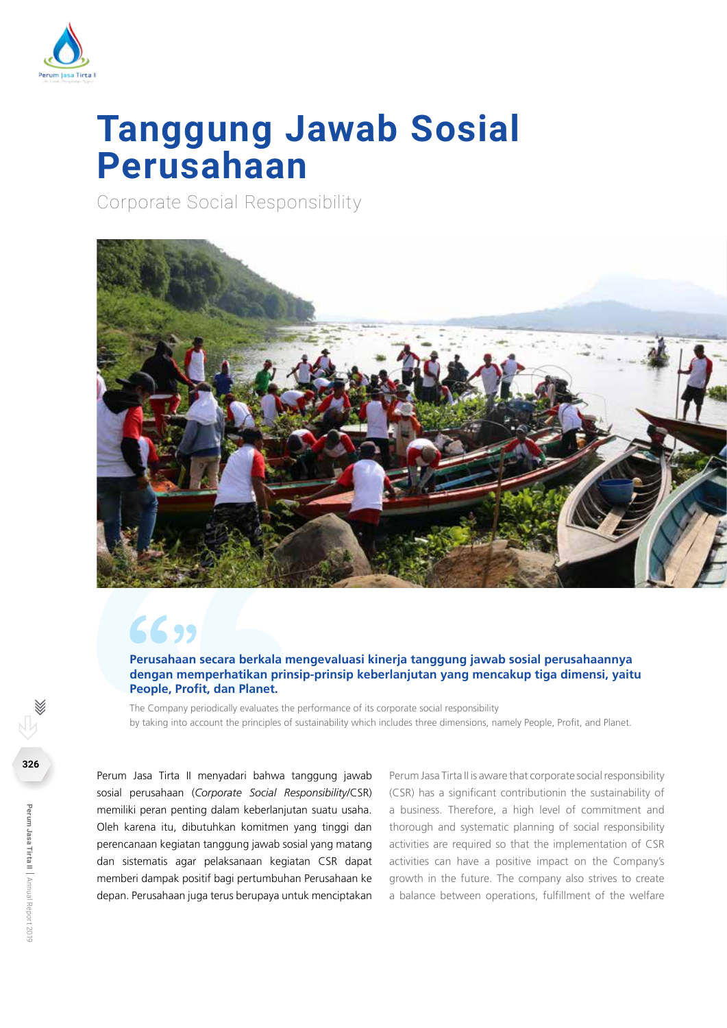

# **Tanggung Jawab Sosial Perusahaan**

Corporate Social Responsibility



# 6699

**Perusahaan secara berkala mengevaluasi kinerja tanggung jawab sosial perusahaannya dengan memperhatikan prinsip-prinsip keberlanjutan yang mencakup tiga dimensi, yaitu People, Profit, dan Planet.**

The Company periodically evaluates the performance of its corporate social responsibility by taking into account the principles of sustainability which includes three dimensions, namely People, Profit, and Planet.

Perum Jasa Tirta II menyadari bahwa tanggung jawab sosial perusahaan (*Corporate Social Responsibility*/CSR) memiliki peran penting dalam keberlanjutan suatu usaha. Oleh karena itu, dibutuhkan komitmen yang tinggi dan perencanaan kegiatan tanggung jawab sosial yang matang dan sistematis agar pelaksanaan kegiatan CSR dapat memberi dampak positif bagi pertumbuhan Perusahaan ke depan. Perusahaan juga terus berupaya untuk menciptakan

Perum Jasa Tirta II is aware that corporate social responsibility (CSR) has a significant contributionin the sustainability of a business. Therefore, a high level of commitment and thorough and systematic planning of social responsibility activities are required so that the implementation of CSR activities can have a positive impact on the Company's growth in the future. The company also strives to create a balance between operations, fulfillment of the welfare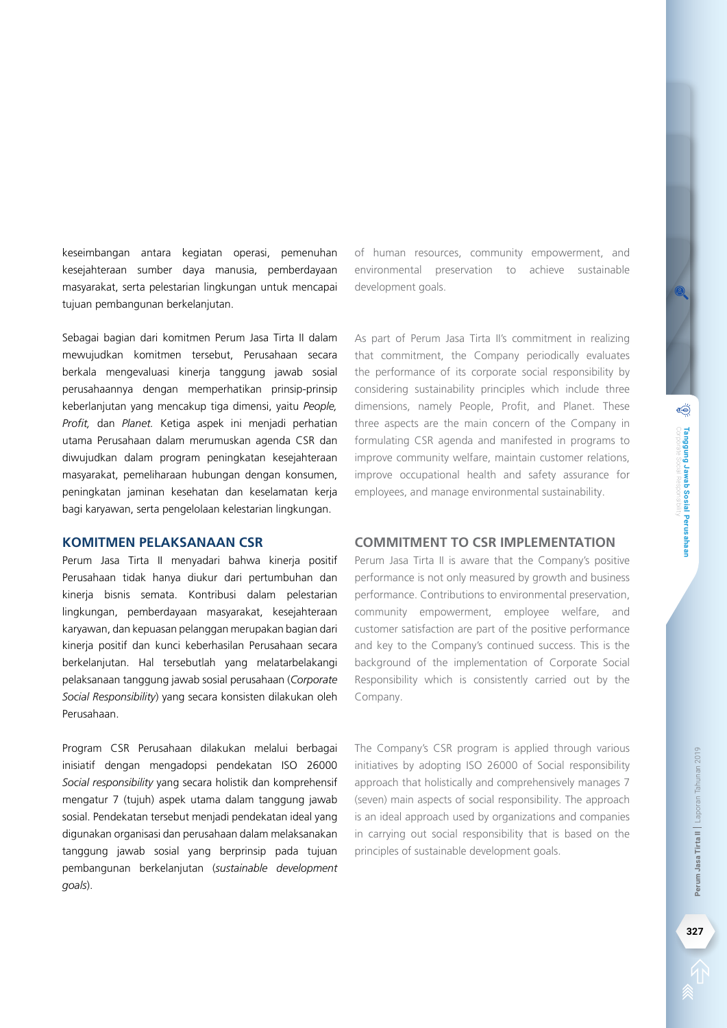keseimbangan antara kegiatan operasi, pemenuhan kesejahteraan sumber daya manusia, pemberdayaan masyarakat, serta pelestarian lingkungan untuk mencapai tujuan pembangunan berkelanjutan.

Sebagai bagian dari komitmen Perum Jasa Tirta II dalam mewujudkan komitmen tersebut, Perusahaan secara berkala mengevaluasi kinerja tanggung jawab sosial perusahaannya dengan memperhatikan prinsip-prinsip keberlanjutan yang mencakup tiga dimensi, yaitu *People, Profit,* dan *Planet.* Ketiga aspek ini menjadi perhatian utama Perusahaan dalam merumuskan agenda CSR dan diwujudkan dalam program peningkatan kesejahteraan masyarakat, pemeliharaan hubungan dengan konsumen, peningkatan jaminan kesehatan dan keselamatan kerja bagi karyawan, serta pengelolaan kelestarian lingkungan.

#### **Komitmen Pelaksanaan CSR**

Perum Jasa Tirta II menyadari bahwa kineria positif Perusahaan tidak hanya diukur dari pertumbuhan dan kinerja bisnis semata. Kontribusi dalam pelestarian lingkungan, pemberdayaan masyarakat, kesejahteraan karyawan, dan kepuasan pelanggan merupakan bagian dari kinerja positif dan kunci keberhasilan Perusahaan secara berkelanjutan. Hal tersebutlah yang melatarbelakangi pelaksanaan tanggung jawab sosial perusahaan (*Corporate Social Responsibility*) yang secara konsisten dilakukan oleh Perusahaan.

Program CSR Perusahaan dilakukan melalui berbagai inisiatif dengan mengadopsi pendekatan ISO 26000 *Social responsibility* yang secara holistik dan komprehensif mengatur 7 (tujuh) aspek utama dalam tanggung jawab sosial. Pendekatan tersebut menjadi pendekatan ideal yang digunakan organisasi dan perusahaan dalam melaksanakan tanggung jawab sosial yang berprinsip pada tujuan pembangunan berkelanjutan (*sustainable development goals*).

of human resources, community empowerment, and environmental preservation to achieve sustainable development goals.

As part of Perum Jasa Tirta II's commitment in realizing that commitment, the Company periodically evaluates the performance of its corporate social responsibility by considering sustainability principles which include three dimensions, namely People, Profit, and Planet. These three aspects are the main concern of the Company in formulating CSR agenda and manifested in programs to improve community welfare, maintain customer relations, improve occupational health and safety assurance for employees, and manage environmental sustainability.

## **Commitment to CSR Implementation**

Perum Jasa Tirta II is aware that the Company's positive performance is not only measured by growth and business performance. Contributions to environmental preservation, community empowerment, employee welfare, and customer satisfaction are part of the positive performance and key to the Company's continued success. This is the background of the implementation of Corporate Social Responsibility which is consistently carried out by the Company.

The Company's CSR program is applied through various initiatives by adopting ISO 26000 of Social responsibility approach that holistically and comprehensively manages 7 (seven) main aspects of social responsibility. The approach is an ideal approach used by organizations and companies in carrying out social responsibility that is based on the principles of sustainable development goals.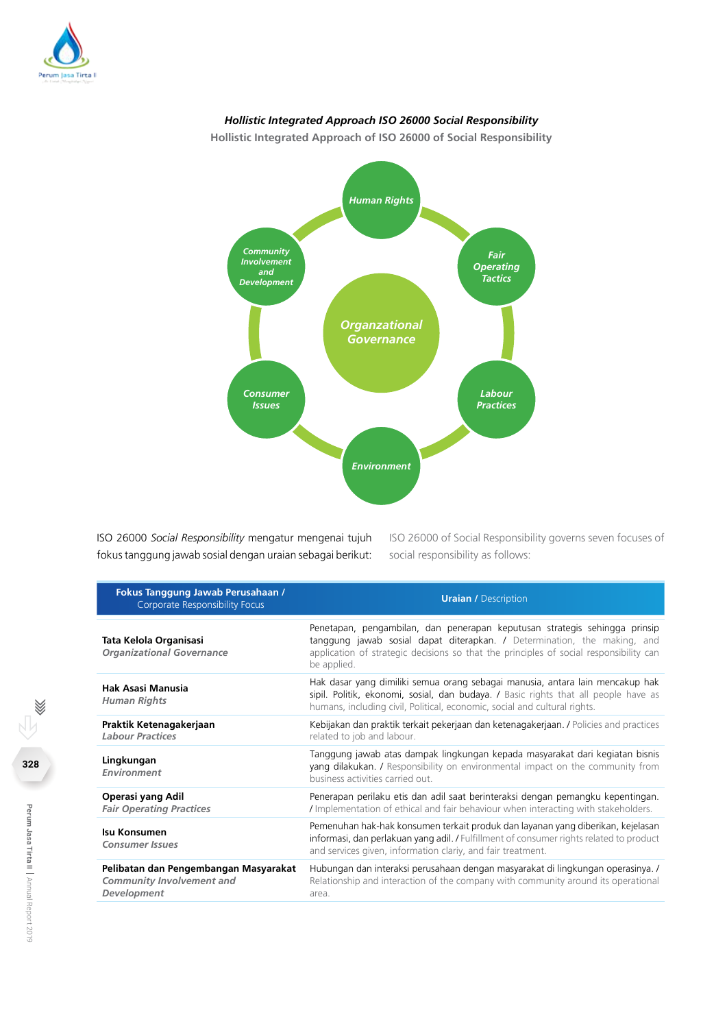

## *Hollistic Integrated Approach ISO 26000 Social Responsibility*

**Hollistic Integrated Approach of ISO 26000 of Social Responsibility**



ISO 26000 *Social Responsibility* mengatur mengenai tujuh fokus tanggung jawab sosial dengan uraian sebagai berikut: ISO 26000 of Social Responsibility governs seven focuses of social responsibility as follows:

| Fokus Tanggung Jawab Perusahaan /<br><b>Corporate Responsibility Focus</b>               | <b>Uraian / Description</b>                                                                                                                                                                                                                                     |
|------------------------------------------------------------------------------------------|-----------------------------------------------------------------------------------------------------------------------------------------------------------------------------------------------------------------------------------------------------------------|
| Tata Kelola Organisasi<br><b>Organizational Governance</b>                               | Penetapan, pengambilan, dan penerapan keputusan strategis sehingga prinsip<br>tanggung jawab sosial dapat diterapkan. / Determination, the making, and<br>application of strategic decisions so that the principles of social responsibility can<br>be applied. |
| Hak Asasi Manusia<br><b>Human Rights</b>                                                 | Hak dasar yang dimiliki semua orang sebagai manusia, antara lain mencakup hak<br>sipil. Politik, ekonomi, sosial, dan budaya. / Basic rights that all people have as<br>humans, including civil, Political, economic, social and cultural rights.               |
| Praktik Ketenagakerjaan<br><b>Labour Practices</b>                                       | Kebijakan dan praktik terkait pekerjaan dan ketenagakerjaan. / Policies and practices<br>related to job and labour.                                                                                                                                             |
| Lingkungan<br>Environment                                                                | Tanggung jawab atas dampak lingkungan kepada masyarakat dari kegiatan bisnis<br>yang dilakukan. / Responsibility on environmental impact on the community from<br>business activities carried out.                                                              |
| Operasi yang Adil<br><b>Fair Operating Practices</b>                                     | Penerapan perilaku etis dan adil saat berinteraksi dengan pemangku kepentingan.<br>/ Implementation of ethical and fair behaviour when interacting with stakeholders.                                                                                           |
| Isu Konsumen<br><b>Consumer Issues</b>                                                   | Pemenuhan hak-hak konsumen terkait produk dan layanan yang diberikan, kejelasan<br>informasi, dan perlakuan yang adil. / Fulfillment of consumer rights related to product<br>and services given, information clariy, and fair treatment.                       |
| Pelibatan dan Pengembangan Masyarakat<br><b>Community Involvement and</b><br>Development | Hubungan dan interaksi perusahaan dengan masyarakat di lingkungan operasinya. /<br>Relationship and interaction of the company with community around its operational<br>area.                                                                                   |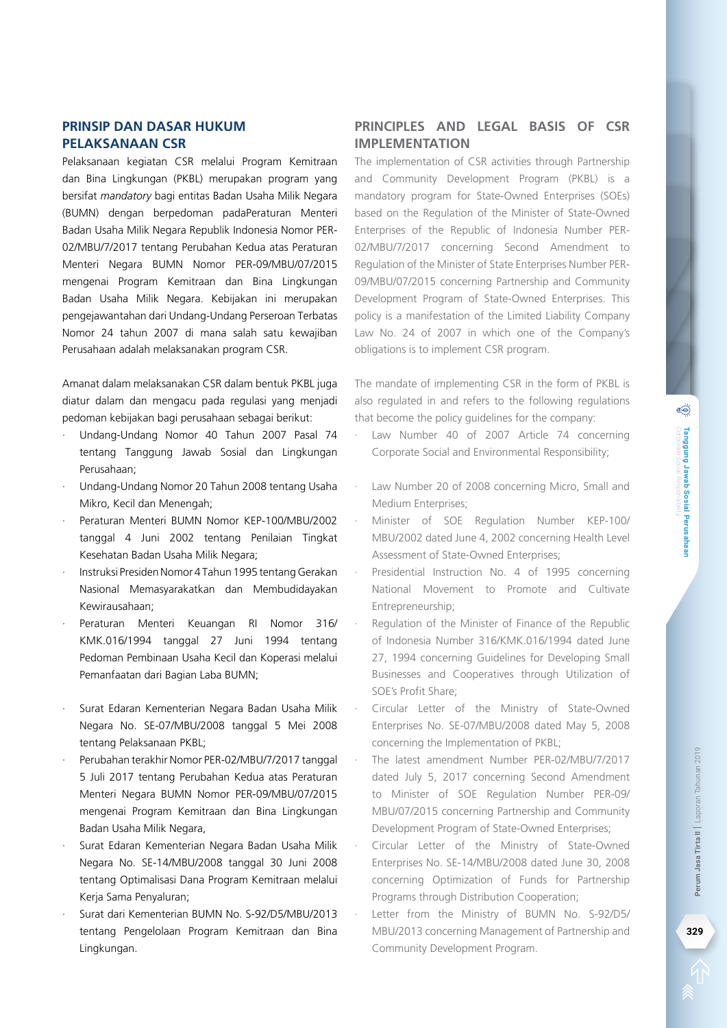## **Prinsip dan Dasar Hukum Pelaksanaan CSR**

Pelaksanaan kegiatan CSR melalui Program Kemitraan dan Bina Lingkungan (PKBL) merupakan program yang bersifat *mandatory* bagi entitas Badan Usaha Milik Negara (BUMN) dengan berpedoman padaPeraturan Menteri Badan Usaha Milik Negara Republik Indonesia Nomor PER-02/MBU/7/2017 tentang Perubahan Kedua atas Peraturan Menteri Negara BUMN Nomor PER-09/MBU/07/2015 mengenai Program Kemitraan dan Bina Lingkungan Badan Usaha Milik Negara. Kebijakan ini merupakan pengejawantahan dari Undang-Undang Perseroan Terbatas Nomor 24 tahun 2007 di mana salah satu kewajiban Perusahaan adalah melaksanakan program CSR.

Amanat dalam melaksanakan CSR dalam bentuk PKBL juga diatur dalam dan mengacu pada regulasi yang menjadi pedoman kebijakan bagi perusahaan sebagai berikut:

- · Undang-Undang Nomor 40 Tahun 2007 Pasal 74 tentang Tanggung Jawab Sosial dan Lingkungan Perusahaan;
- · Undang-Undang Nomor 20 Tahun 2008 tentang Usaha Mikro, Kecil dan Menengah;
- · Peraturan Menteri BUMN Nomor KEP-100/MBU/2002 tanggal 4 Juni 2002 tentang Penilaian Tingkat Kesehatan Badan Usaha Milik Negara;
- · Instruksi Presiden Nomor 4 Tahun 1995 tentang Gerakan Nasional Memasyarakatkan dan Membudidayakan Kewirausahaan;
- · Peraturan Menteri Keuangan RI Nomor 316/ KMK.016/1994 tanggal 27 Juni 1994 tentang Pedoman Pembinaan Usaha Kecil dan Koperasi melalui Pemanfaatan dari Bagian Laba BUMN;
- Surat Edaran Kementerian Negara Badan Usaha Milik Negara No. SE-07/MBU/2008 tanggal 5 Mei 2008 tentang Pelaksanaan PKBL;
- · Perubahan terakhir Nomor PER-02/MBU/7/2017 tanggal 5 Juli 2017 tentang Perubahan Kedua atas Peraturan Menteri Negara BUMN Nomor PER-09/MBU/07/2015 mengenai Program Kemitraan dan Bina Lingkungan Badan Usaha Milik Negara,
- Surat Edaran Kementerian Negara Badan Usaha Milik Negara No. SE-14/MBU/2008 tanggal 30 Juni 2008 tentang Optimalisasi Dana Program Kemitraan melalui Kerja Sama Penyaluran;
- Surat dari Kementerian BUMN No. S-92/D5/MBU/2013 tentang Pengelolaan Program Kemitraan dan Bina Lingkungan.

## **Principles and Legal Basis of CSR Implementation**

The implementation of CSR activities through Partnership and Community Development Program (PKBL) is a mandatory program for State-Owned Enterprises (SOEs) based on the Regulation of the Minister of State-Owned Enterprises of the Republic of Indonesia Number PER-02/MBU/7/2017 concerning Second Amendment to Regulation of the Minister of State Enterprises Number PER-09/MBU/07/2015 concerning Partnership and Community Development Program of State-Owned Enterprises. This policy is a manifestation of the Limited Liability Company Law No. 24 of 2007 in which one of the Company's obligations is to implement CSR program.

The mandate of implementing CSR in the form of PKBL is also regulated in and refers to the following regulations that become the policy guidelines for the company:

- Law Number 40 of 2007 Article 74 concerning Corporate Social and Environmental Responsibility;
- Law Number 20 of 2008 concerning Micro, Small and Medium Enterprises;
- Minister of SOE Regulation Number KEP-100/ MBU/2002 dated June 4, 2002 concerning Health Level Assessment of State-Owned Enterprises;
- Presidential Instruction No. 4 of 1995 concerning National Movement to Promote and Cultivate Entrepreneurship;
- Regulation of the Minister of Finance of the Republic of Indonesia Number 316/KMK.016/1994 dated June 27, 1994 concerning Guidelines for Developing Small Businesses and Cooperatives through Utilization of SOE's Profit Share;
- Circular Letter of the Ministry of State-Owned Enterprises No. SE-07/MBU/2008 dated May 5, 2008 concerning the Implementation of PKBL;
- The latest amendment Number PER-02/MBU/7/2017 dated July 5, 2017 concerning Second Amendment to Minister of SOE Regulation Number PER-09/ MBU/07/2015 concerning Partnership and Community Development Program of State-Owned Enterprises;
- Circular Letter of the Ministry of State-Owned Enterprises No. SE-14/MBU/2008 dated June 30, 2008 concerning Optimization of Funds for Partnership Programs through Distribution Cooperation;
- Letter from the Ministry of BUMN No. S-92/D5/ MBU/2013 concerning Management of Partnership and Community Development Program.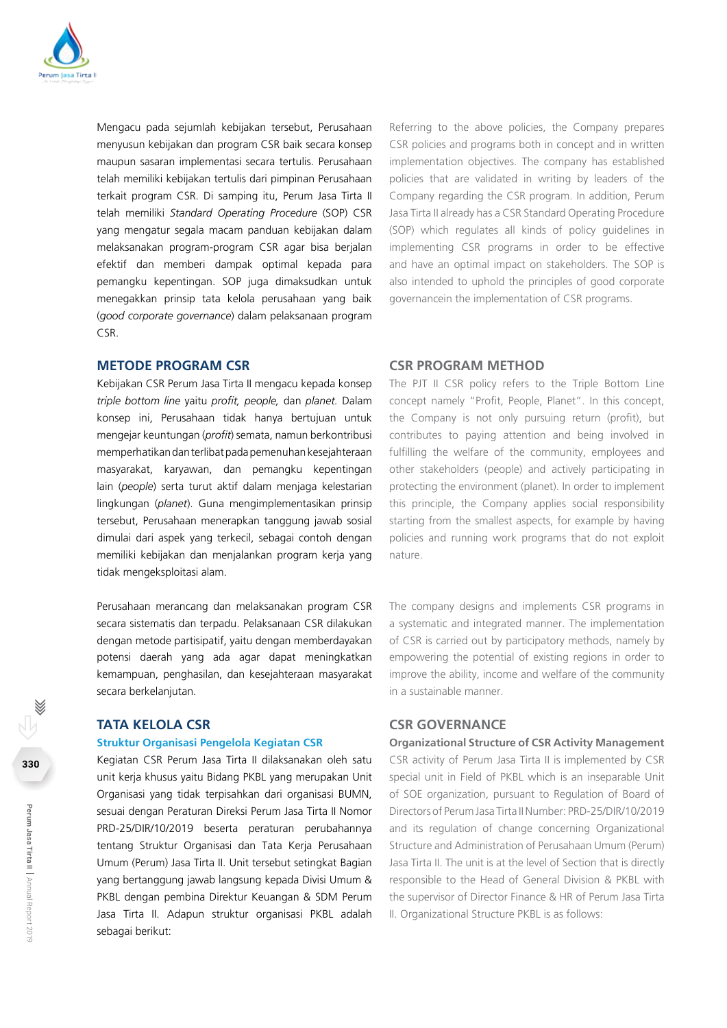

Mengacu pada sejumlah kebijakan tersebut, Perusahaan menyusun kebijakan dan program CSR baik secara konsep maupun sasaran implementasi secara tertulis. Perusahaan telah memiliki kebijakan tertulis dari pimpinan Perusahaan terkait program CSR. Di samping itu, Perum Jasa Tirta II telah memiliki *Standard Operating Procedure* (SOP) CSR yang mengatur segala macam panduan kebijakan dalam melaksanakan program-program CSR agar bisa berjalan efektif dan memberi dampak optimal kepada para pemangku kepentingan. SOP juga dimaksudkan untuk menegakkan prinsip tata kelola perusahaan yang baik (*good corporate governance*) dalam pelaksanaan program CSR.

#### **Metode Program CSR**

Kebijakan CSR Perum Jasa Tirta II mengacu kepada konsep *triple bottom line* yaitu *profit, people,* dan *planet.* Dalam konsep ini, Perusahaan tidak hanya bertujuan untuk mengejar keuntungan (*profit*) semata, namun berkontribusi memperhatikan dan terlibat pada pemenuhan kesejahteraan masyarakat, karyawan, dan pemangku kepentingan lain (*people*) serta turut aktif dalam menjaga kelestarian lingkungan (*planet*). Guna mengimplementasikan prinsip tersebut, Perusahaan menerapkan tanggung jawab sosial dimulai dari aspek yang terkecil, sebagai contoh dengan memiliki kebijakan dan menjalankan program kerja yang tidak mengeksploitasi alam.

Perusahaan merancang dan melaksanakan program CSR secara sistematis dan terpadu. Pelaksanaan CSR dilakukan dengan metode partisipatif, yaitu dengan memberdayakan potensi daerah yang ada agar dapat meningkatkan kemampuan, penghasilan, dan kesejahteraan masyarakat secara berkelanjutan.

#### **Tata Kelola CSR**

#### **Struktur Organisasi Pengelola Kegiatan CSR**

Kegiatan CSR Perum Jasa Tirta II dilaksanakan oleh satu unit kerja khusus yaitu Bidang PKBL yang merupakan Unit Organisasi yang tidak terpisahkan dari organisasi BUMN, sesuai dengan Peraturan Direksi Perum Jasa Tirta II Nomor PRD-25/DIR/10/2019 beserta peraturan perubahannya tentang Struktur Organisasi dan Tata Kerja Perusahaan Umum (Perum) Jasa Tirta II. Unit tersebut setingkat Bagian yang bertanggung jawab langsung kepada Divisi Umum & PKBL dengan pembina Direktur Keuangan & SDM Perum Jasa Tirta II. Adapun struktur organisasi PKBL adalah sebagai berikut:

Referring to the above policies, the Company prepares CSR policies and programs both in concept and in written implementation objectives. The company has established policies that are validated in writing by leaders of the Company regarding the CSR program. In addition, Perum Jasa Tirta II already has a CSR Standard Operating Procedure (SOP) which regulates all kinds of policy guidelines in implementing CSR programs in order to be effective and have an optimal impact on stakeholders. The SOP is also intended to uphold the principles of good corporate governancein the implementation of CSR programs.

#### **CSR Program Method**

The PJT II CSR policy refers to the Triple Bottom Line concept namely "Profit, People, Planet". In this concept, the Company is not only pursuing return (profit), but contributes to paying attention and being involved in fulfilling the welfare of the community, employees and other stakeholders (people) and actively participating in protecting the environment (planet). In order to implement this principle, the Company applies social responsibility starting from the smallest aspects, for example by having policies and running work programs that do not exploit nature.

The company designs and implements CSR programs in a systematic and integrated manner. The implementation of CSR is carried out by participatory methods, namely by empowering the potential of existing regions in order to improve the ability, income and welfare of the community in a sustainable manner.

#### **CSR GOVERNANCE**

**Organizational Structure of CSR Activity Management** CSR activity of Perum Jasa Tirta II is implemented by CSR special unit in Field of PKBL which is an inseparable Unit of SOE organization, pursuant to Regulation of Board of Directors of Perum Jasa Tirta II Number: PRD-25/DIR/10/2019 and its regulation of change concerning Organizational Structure and Administration of Perusahaan Umum (Perum) Jasa Tirta II. The unit is at the level of Section that is directly responsible to the Head of General Division & PKBL with the supervisor of Director Finance & HR of Perum Jasa Tirta II. Organizational Structure PKBL is as follows: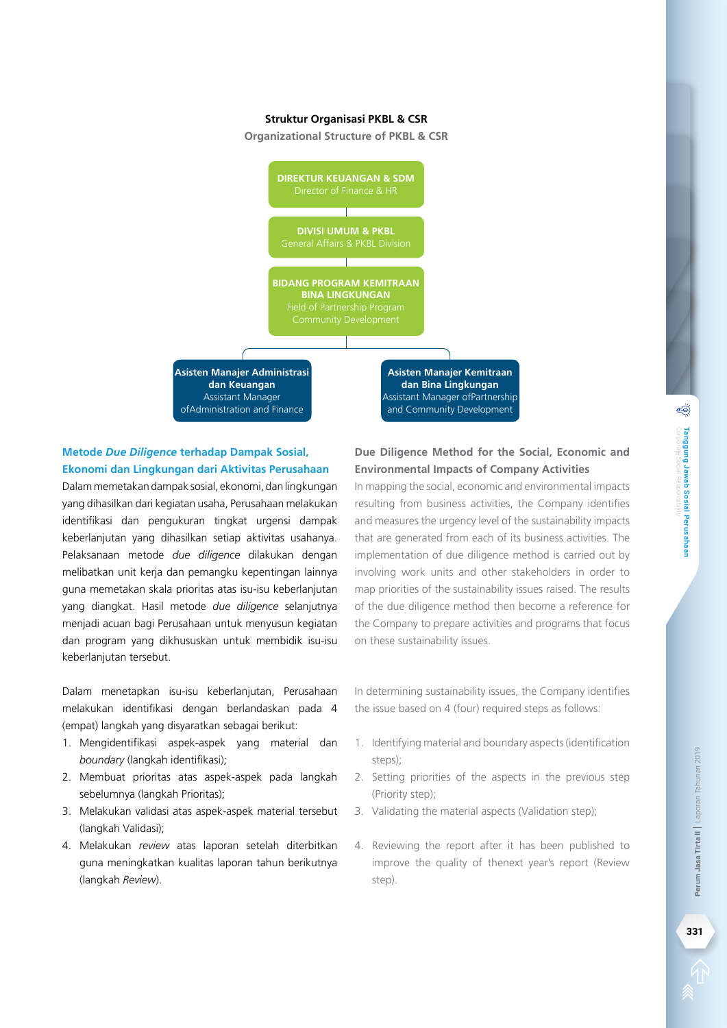#### **Struktur Organisasi PKBL & CSR**

**Organizational Structure of PKBL & CSR**



## **Metode** *Due Diligence* **terhadap Dampak Sosial, Ekonomi dan Lingkungan dari Aktivitas Perusahaan**

Dalam memetakan dampak sosial, ekonomi, dan lingkungan yang dihasilkan dari kegiatan usaha, Perusahaan melakukan identifikasi dan pengukuran tingkat urgensi dampak keberlanjutan yang dihasilkan setiap aktivitas usahanya. Pelaksanaan metode *due diligence* dilakukan dengan melibatkan unit kerja dan pemangku kepentingan lainnya guna memetakan skala prioritas atas isu-isu keberlanjutan yang diangkat. Hasil metode *due diligence* selanjutnya menjadi acuan bagi Perusahaan untuk menyusun kegiatan dan program yang dikhususkan untuk membidik isu-isu keberlanjutan tersebut.

Dalam menetapkan isu-isu keberlanjutan, Perusahaan melakukan identifikasi dengan berlandaskan pada 4 (empat) langkah yang disyaratkan sebagai berikut:

- 1. Mengidentifikasi aspek-aspek yang material dan *boundary* (langkah identifikasi);
- 2. Membuat prioritas atas aspek-aspek pada langkah sebelumnya (langkah Prioritas);
- 3. Melakukan validasi atas aspek-aspek material tersebut (langkah Validasi);
- 4. Melakukan *review* atas laporan setelah diterbitkan guna meningkatkan kualitas laporan tahun berikutnya (langkah *Review*).

## **Due Diligence Method for the Social, Economic and Environmental Impacts of Company Activities**

In mapping the social, economic and environmental impacts resulting from business activities, the Company identifies and measures the urgency level of the sustainability impacts that are generated from each of its business activities. The implementation of due diligence method is carried out by involving work units and other stakeholders in order to map priorities of the sustainability issues raised. The results of the due diligence method then become a reference for the Company to prepare activities and programs that focus on these sustainability issues.

In determining sustainability issues, the Company identifies the issue based on 4 (four) required steps as follows:

- 1. Identifying material and boundary aspects (identification steps);
- 2. Setting priorities of the aspects in the previous step (Priority step);
- 3. Validating the material aspects (Validation step);
- 4. Reviewing the report after it has been published to improve the quality of thenext year's report (Review step).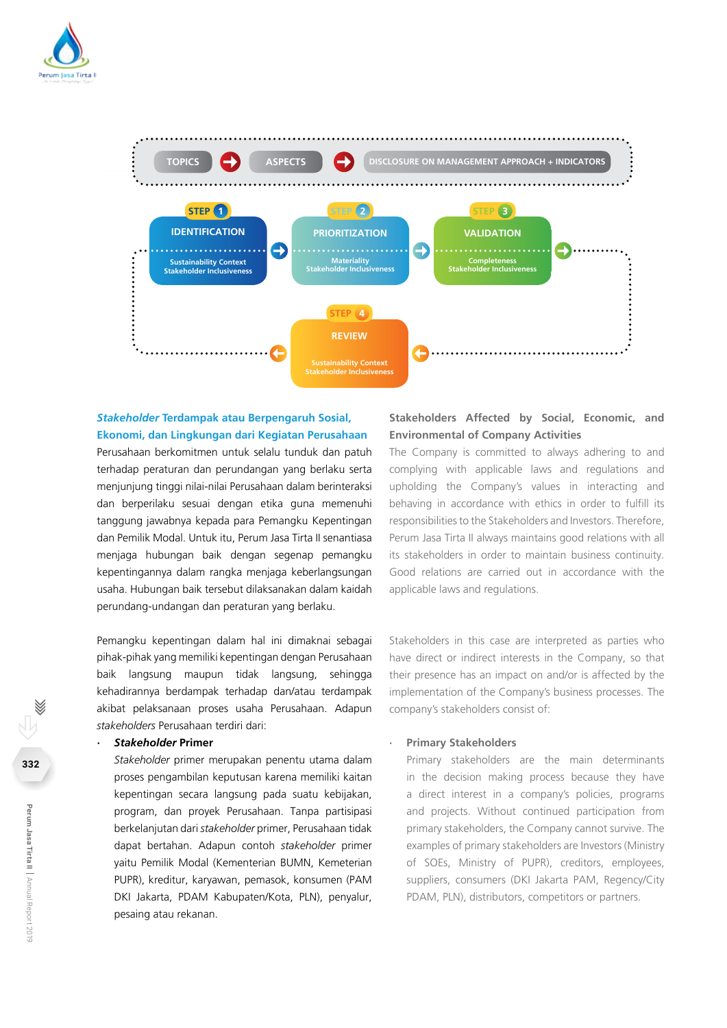



### *Stakeholder* **Terdampak atau Berpengaruh Sosial, Ekonomi, dan Lingkungan dari Kegiatan Perusahaan**

Perusahaan berkomitmen untuk selalu tunduk dan patuh terhadap peraturan dan perundangan yang berlaku serta menjunjung tinggi nilai-nilai Perusahaan dalam berinteraksi dan berperilaku sesuai dengan etika guna memenuhi tanggung jawabnya kepada para Pemangku Kepentingan dan Pemilik Modal. Untuk itu, Perum Jasa Tirta II senantiasa menjaga hubungan baik dengan segenap pemangku kepentingannya dalam rangka menjaga keberlangsungan usaha. Hubungan baik tersebut dilaksanakan dalam kaidah perundang-undangan dan peraturan yang berlaku.

Pemangku kepentingan dalam hal ini dimaknai sebagai pihak-pihak yang memiliki kepentingan dengan Perusahaan baik langsung maupun tidak langsung, sehingga kehadirannya berdampak terhadap dan/atau terdampak akibat pelaksanaan proses usaha Perusahaan. Adapun *stakeholders* Perusahaan terdiri dari:

#### *· Stakeholder* **Primer**

*Stakeholder* primer merupakan penentu utama dalam proses pengambilan keputusan karena memiliki kaitan kepentingan secara langsung pada suatu kebijakan, program, dan proyek Perusahaan. Tanpa partisipasi berkelanjutan dari *stakeholder* primer, Perusahaan tidak dapat bertahan. Adapun contoh *stakeholder* primer yaitu Pemilik Modal (Kementerian BUMN, Kemeterian PUPR), kreditur, karyawan, pemasok, konsumen (PAM DKI Jakarta, PDAM Kabupaten/Kota, PLN), penyalur, pesaing atau rekanan.

## **Stakeholders Affected by Social, Economic, and Environmental of Company Activities**

The Company is committed to always adhering to and complying with applicable laws and regulations and upholding the Company's values in interacting and behaving in accordance with ethics in order to fulfill its responsibilities to the Stakeholders and Investors. Therefore, Perum Jasa Tirta II always maintains good relations with all its stakeholders in order to maintain business continuity. Good relations are carried out in accordance with the applicable laws and regulations.

Stakeholders in this case are interpreted as parties who have direct or indirect interests in the Company, so that their presence has an impact on and/or is affected by the implementation of the Company's business processes. The company's stakeholders consist of:

#### **· Primary Stakeholders**

Primary stakeholders are the main determinants in the decision making process because they have a direct interest in a company's policies, programs and projects. Without continued participation from primary stakeholders, the Company cannot survive. The examples of primary stakeholders are Investors (Ministry of SOEs, Ministry of PUPR), creditors, employees, suppliers, consumers (DKI Jakarta PAM, Regency/City PDAM, PLN), distributors, competitors or partners.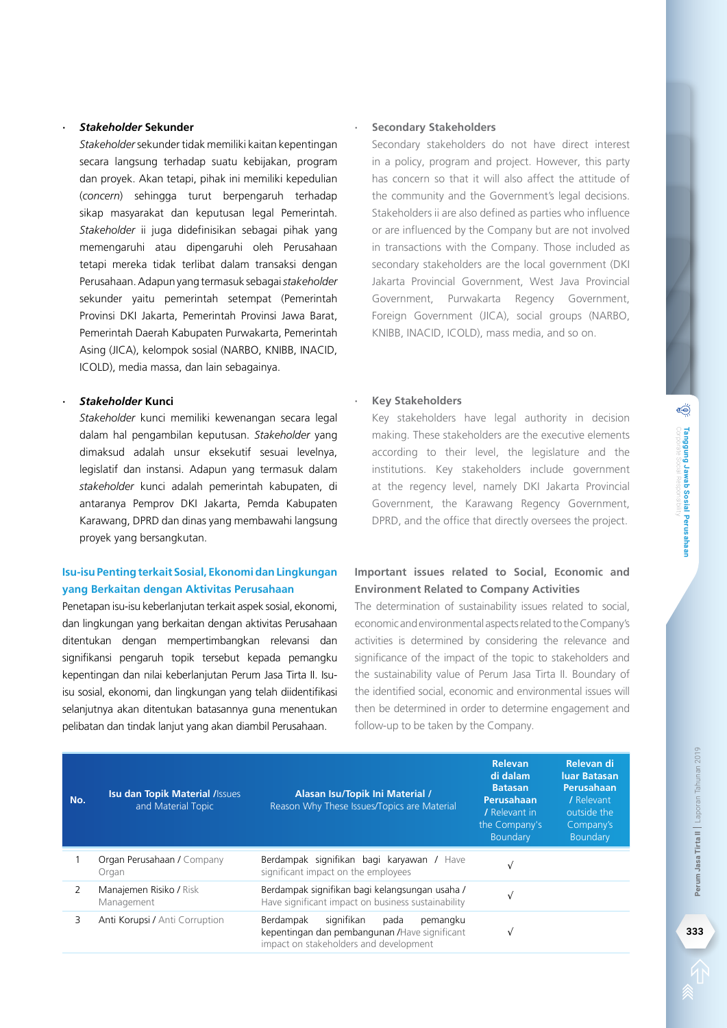#### *· Stakeholder* **Sekunder**

*Stakeholder* sekunder tidak memiliki kaitan kepentingan secara langsung terhadap suatu kebijakan, program dan proyek. Akan tetapi, pihak ini memiliki kepedulian (*concern*) sehingga turut berpengaruh terhadap sikap masyarakat dan keputusan legal Pemerintah. *Stakeholder* ii juga didefinisikan sebagai pihak yang memengaruhi atau dipengaruhi oleh Perusahaan tetapi mereka tidak terlibat dalam transaksi dengan Perusahaan. Adapun yang termasuk sebagai *stakeholder*  sekunder yaitu pemerintah setempat (Pemerintah Provinsi DKI Jakarta, Pemerintah Provinsi Jawa Barat, Pemerintah Daerah Kabupaten Purwakarta, Pemerintah Asing (JICA), kelompok sosial (NARBO, KNIBB, INACID, ICOLD), media massa, dan lain sebagainya.

#### *· Stakeholder* **Kunci**

*Stakeholder* kunci memiliki kewenangan secara legal dalam hal pengambilan keputusan. *Stakeholder* yang dimaksud adalah unsur eksekutif sesuai levelnya, legislatif dan instansi. Adapun yang termasuk dalam *stakeholder* kunci adalah pemerintah kabupaten, di antaranya Pemprov DKI Jakarta, Pemda Kabupaten Karawang, DPRD dan dinas yang membawahi langsung proyek yang bersangkutan.

## **Isu-isu Penting terkait Sosial, Ekonomi dan Lingkungan yang Berkaitan dengan Aktivitas Perusahaan**

Penetapan isu-isu keberlanjutan terkait aspek sosial, ekonomi, dan lingkungan yang berkaitan dengan aktivitas Perusahaan ditentukan dengan mempertimbangkan relevansi dan signifikansi pengaruh topik tersebut kepada pemangku kepentingan dan nilai keberlanjutan Perum Jasa Tirta II. Isuisu sosial, ekonomi, dan lingkungan yang telah diidentifikasi selanjutnya akan ditentukan batasannya guna menentukan pelibatan dan tindak lanjut yang akan diambil Perusahaan.

#### **· Secondary Stakeholders**

Secondary stakeholders do not have direct interest in a policy, program and project. However, this party has concern so that it will also affect the attitude of the community and the Government's legal decisions. Stakeholders ii are also defined as parties who influence or are influenced by the Company but are not involved in transactions with the Company. Those included as secondary stakeholders are the local government (DKI Jakarta Provincial Government, West Java Provincial Government, Purwakarta Regency Government, Foreign Government (JICA), social groups (NARBO, KNIBB, INACID, ICOLD), mass media, and so on.

#### **· Key Stakeholders**

Key stakeholders have legal authority in decision making. These stakeholders are the executive elements according to their level, the legislature and the institutions. Key stakeholders include government at the regency level, namely DKI Jakarta Provincial Government, the Karawang Regency Government, DPRD, and the office that directly oversees the project.

## **Important issues related to Social, Economic and Environment Related to Company Activities**

The determination of sustainability issues related to social, economic and environmental aspects related to the Company's activities is determined by considering the relevance and significance of the impact of the topic to stakeholders and the sustainability value of Perum Jasa Tirta II. Boundary of the identified social, economic and environmental issues will then be determined in order to determine engagement and follow-up to be taken by the Company.

| No. | <b>Isu dan Topik Material / Issues</b><br>and Material Topic | Alasan Isu/Topik Ini Material /<br>Reason Why These Issues/Topics are Material                                                          | Relevan<br>di dalam<br><b>Batasan</b><br>Perusahaan<br>/ Relevant in<br>the Company's<br>Boundary | Relevan di<br>luar Batasan<br>Perusahaan<br>/ Relevant<br>outside the<br>Company's<br>Boundary |
|-----|--------------------------------------------------------------|-----------------------------------------------------------------------------------------------------------------------------------------|---------------------------------------------------------------------------------------------------|------------------------------------------------------------------------------------------------|
|     | Organ Perusahaan / Company<br>Organ                          | Berdampak signifikan bagi karyawan / Have<br>significant impact on the employees                                                        |                                                                                                   |                                                                                                |
|     | Manajemen Risiko / Risk<br>Management                        | Berdampak signifikan bagi kelangsungan usaha /<br>Have significant impact on business sustainability                                    |                                                                                                   |                                                                                                |
|     | Anti Korupsi / Anti Corruption                               | signifikan<br>Berdampak<br>pada<br>pemangku<br>kepentingan dan pembangunan / Have significant<br>impact on stakeholders and development | $\sqrt{ }$                                                                                        |                                                                                                |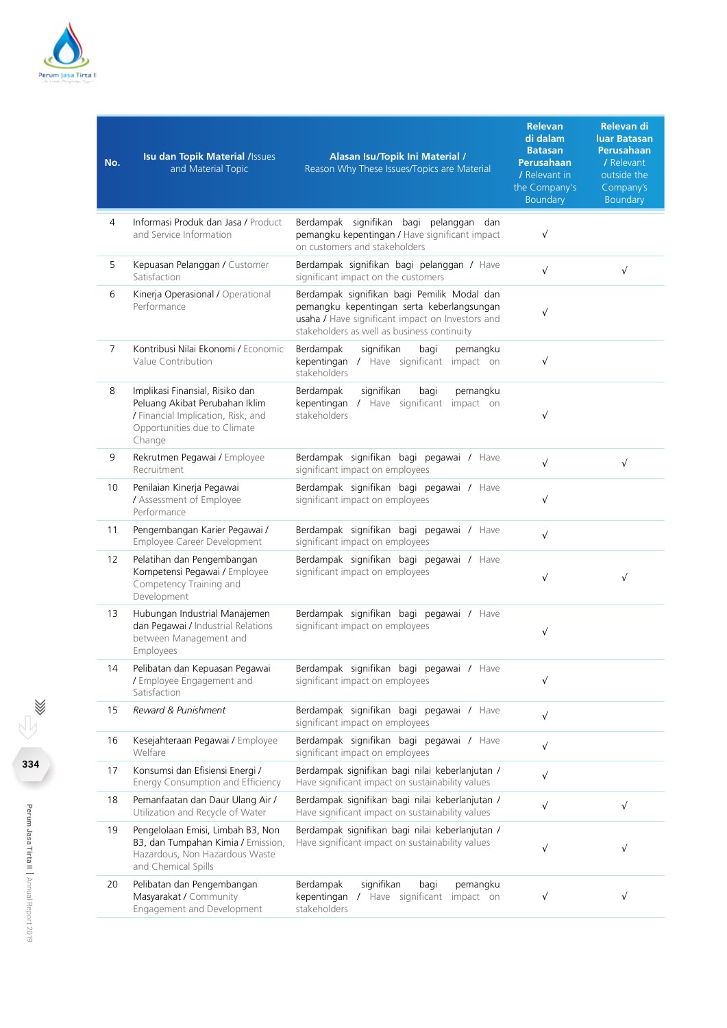

| No.            | Isu dan Topik Material /Issues<br>and Material Topic                                                                                              | Alasan Isu/Topik Ini Material /<br>Reason Why These Issues/Topics are Material                                                                                                               | <b>Relevan</b><br>di dalam<br><b>Batasan</b><br><b>Perusahaan</b><br>/ Relevant in<br>the Company's<br>Boundary | Relevan di<br>luar Batasan<br>Perusahaan<br>/ Relevant<br>outside the<br>Company's<br><b>Boundary</b> |
|----------------|---------------------------------------------------------------------------------------------------------------------------------------------------|----------------------------------------------------------------------------------------------------------------------------------------------------------------------------------------------|-----------------------------------------------------------------------------------------------------------------|-------------------------------------------------------------------------------------------------------|
| 4              | Informasi Produk dan Jasa / Product<br>and Service Information                                                                                    | Berdampak signifikan bagi pelanggan dan<br>pemangku kepentingan / Have significant impact<br>on customers and stakeholders                                                                   | $\sqrt{}$                                                                                                       |                                                                                                       |
| 5              | Kepuasan Pelanggan / Customer<br>Satisfaction                                                                                                     | Berdampak signifikan bagi pelanggan / Have<br>significant impact on the customers                                                                                                            | $\sqrt{}$                                                                                                       | $\sqrt{ }$                                                                                            |
| 6              | Kinerja Operasional / Operational<br>Performance                                                                                                  | Berdampak signifikan bagi Pemilik Modal dan<br>pemangku kepentingan serta keberlangsungan<br>usaha / Have significant impact on Investors and<br>stakeholders as well as business continuity | $\sqrt{}$                                                                                                       |                                                                                                       |
| $\overline{7}$ | Kontribusi Nilai Ekonomi / Economic<br>Value Contribution                                                                                         | Berdampak<br>signifikan<br>bagi<br>pemangku<br>kepentingan / Have significant impact on<br>stakeholders                                                                                      | $\sqrt{}$                                                                                                       |                                                                                                       |
| 8              | Implikasi Finansial, Risiko dan<br>Peluang Akibat Perubahan Iklim<br>/ Financial Implication, Risk, and<br>Opportunities due to Climate<br>Change | Berdampak<br>signifikan<br>bagi<br>pemangku<br>kepentingan / Have significant<br>impact on<br>stakeholders                                                                                   | $\sqrt{}$                                                                                                       |                                                                                                       |
| 9              | Rekrutmen Pegawai / Employee<br>Recruitment                                                                                                       | Berdampak signifikan bagi pegawai / Have<br>significant impact on employees                                                                                                                  | $\sqrt{ }$                                                                                                      | $\sqrt{ }$                                                                                            |
| 10             | Penilaian Kinerja Pegawai<br>/ Assessment of Employee<br>Performance                                                                              | Berdampak signifikan bagi pegawai / Have<br>significant impact on employees                                                                                                                  | $\sqrt{}$                                                                                                       |                                                                                                       |
| 11             | Pengembangan Karier Pegawai /<br>Employee Career Development                                                                                      | Berdampak signifikan bagi pegawai / Have<br>significant impact on employees                                                                                                                  | $\sqrt{ }$                                                                                                      |                                                                                                       |
| 12             | Pelatihan dan Pengembangan<br>Kompetensi Pegawai / Employee<br>Competency Training and<br>Development                                             | Berdampak signifikan bagi pegawai / Have<br>significant impact on employees                                                                                                                  | $\sqrt{}$                                                                                                       | $\sqrt{}$                                                                                             |
| 13             | Hubungan Industrial Manajemen<br>dan Pegawai / Industrial Relations<br>between Management and<br>Employees                                        | Berdampak signifikan bagi pegawai / Have<br>significant impact on employees                                                                                                                  | $\sqrt{}$                                                                                                       |                                                                                                       |
| 14             | Pelibatan dan Kepuasan Pegawai<br>/ Employee Engagement and<br>Satisfaction                                                                       | Berdampak signifikan bagi pegawai / Have<br>significant impact on employees                                                                                                                  | $\sqrt{}$                                                                                                       |                                                                                                       |
| 15             | Reward & Punishment                                                                                                                               | Berdampak signifikan bagi pegawai / Have<br>significant impact on employees                                                                                                                  | $\sqrt{ }$                                                                                                      |                                                                                                       |
| 16             | Kesejahteraan Pegawai / Employee<br>Welfare                                                                                                       | Berdampak signifikan bagi pegawai / Have<br>significant impact on employees                                                                                                                  | $\sqrt{}$                                                                                                       |                                                                                                       |
| 17             | Konsumsi dan Efisiensi Energi /<br>Energy Consumption and Efficiency                                                                              | Berdampak signifikan bagi nilai keberlanjutan /<br>Have significant impact on sustainability values                                                                                          | $\sqrt{ }$                                                                                                      |                                                                                                       |
| 18             | Pemanfaatan dan Daur Ulang Air /<br>Utilization and Recycle of Water                                                                              | Berdampak signifikan bagi nilai keberlanjutan /<br>Have significant impact on sustainability values                                                                                          | $\sqrt{}$                                                                                                       | $\sqrt{ }$                                                                                            |
| 19             | Pengelolaan Emisi, Limbah B3, Non<br>B3, dan Tumpahan Kimia / Emission,<br>Hazardous, Non Hazardous Waste<br>and Chemical Spills                  | Berdampak signifikan bagi nilai keberlanjutan /<br>Have significant impact on sustainability values                                                                                          | $\sqrt{}$                                                                                                       | $\sqrt{ }$                                                                                            |
| 20             | Pelibatan dan Pengembangan<br>Masyarakat / Community<br>Engagement and Development                                                                | Berdampak<br>signifikan<br>bagi<br>pemangku<br>kepentingan<br>/ Have significant impact on<br>stakeholders                                                                                   | $\sqrt{}$                                                                                                       | $\sqrt{}$                                                                                             |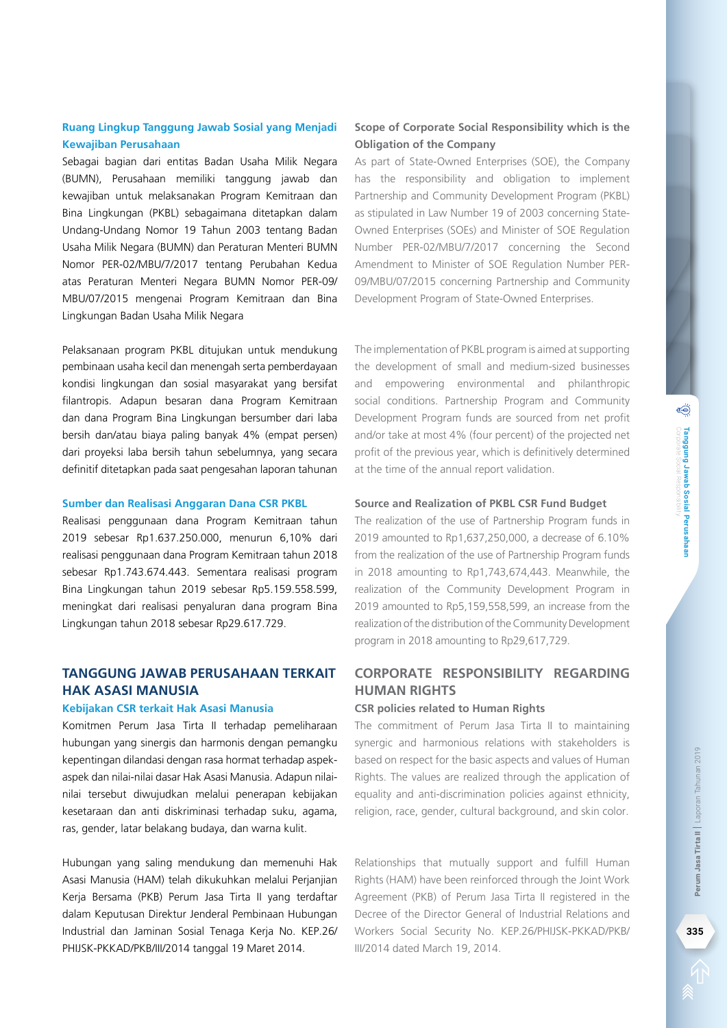Sebagai bagian dari entitas Badan Usaha Milik Negara (BUMN), Perusahaan memiliki tanggung jawab dan kewajiban untuk melaksanakan Program Kemitraan dan Bina Lingkungan (PKBL) sebagaimana ditetapkan dalam Undang-Undang Nomor 19 Tahun 2003 tentang Badan Usaha Milik Negara (BUMN) dan Peraturan Menteri BUMN Nomor PER-02/MBU/7/2017 tentang Perubahan Kedua atas Peraturan Menteri Negara BUMN Nomor PER-09/ MBU/07/2015 mengenai Program Kemitraan dan Bina Lingkungan Badan Usaha Milik Negara

Pelaksanaan program PKBL ditujukan untuk mendukung pembinaan usaha kecil dan menengah serta pemberdayaan kondisi lingkungan dan sosial masyarakat yang bersifat filantropis. Adapun besaran dana Program Kemitraan dan dana Program Bina Lingkungan bersumber dari laba bersih dan/atau biaya paling banyak 4% (empat persen) dari proyeksi laba bersih tahun sebelumnya, yang secara definitif ditetapkan pada saat pengesahan laporan tahunan

#### **Sumber dan Realisasi Anggaran Dana CSR PKBL**

Realisasi penggunaan dana Program Kemitraan tahun 2019 sebesar Rp1.637.250.000, menurun 6,10% dari realisasi penggunaan dana Program Kemitraan tahun 2018 sebesar Rp1.743.674.443. Sementara realisasi program Bina Lingkungan tahun 2019 sebesar Rp5.159.558.599, meningkat dari realisasi penyaluran dana program Bina Lingkungan tahun 2018 sebesar Rp29.617.729.

## **Tanggung Jawab Perusahaan terkait Hak Asasi Manusia**

#### **Kebijakan CSR terkait Hak Asasi Manusia**

Komitmen Perum Jasa Tirta II terhadap pemeliharaan hubungan yang sinergis dan harmonis dengan pemangku kepentingan dilandasi dengan rasa hormat terhadap aspekaspek dan nilai-nilai dasar Hak Asasi Manusia. Adapun nilainilai tersebut diwujudkan melalui penerapan kebijakan kesetaraan dan anti diskriminasi terhadap suku, agama, ras, gender, latar belakang budaya, dan warna kulit.

Hubungan yang saling mendukung dan memenuhi Hak Asasi Manusia (HAM) telah dikukuhkan melalui Perjanjian Kerja Bersama (PKB) Perum Jasa Tirta II yang terdaftar dalam Keputusan Direktur Jenderal Pembinaan Hubungan Industrial dan Jaminan Sosial Tenaga Kerja No. KEP.26/ PHIJSK-PKKAD/PKB/III/2014 tanggal 19 Maret 2014.

## **Scope of Corporate Social Responsibility which is the Obligation of the Company**

As part of State-Owned Enterprises (SOE), the Company has the responsibility and obligation to implement Partnership and Community Development Program (PKBL) as stipulated in Law Number 19 of 2003 concerning State-Owned Enterprises (SOEs) and Minister of SOE Regulation Number PER-02/MBU/7/2017 concerning the Second Amendment to Minister of SOE Regulation Number PER-09/MBU/07/2015 concerning Partnership and Community Development Program of State-Owned Enterprises.

The implementation of PKBL program is aimed at supporting the development of small and medium-sized businesses and empowering environmental and philanthropic social conditions. Partnership Program and Community Development Program funds are sourced from net profit and/or take at most 4% (four percent) of the projected net profit of the previous year, which is definitively determined at the time of the annual report validation.

#### **Source and Realization of PKBL CSR Fund Budget**

The realization of the use of Partnership Program funds in 2019 amounted to Rp1,637,250,000, a decrease of 6.10% from the realization of the use of Partnership Program funds in 2018 amounting to Rp1,743,674,443. Meanwhile, the realization of the Community Development Program in 2019 amounted to Rp5,159,558,599, an increase from the realization of the distribution of the Community Development program in 2018 amounting to Rp29,617,729.

## **Corporate Responsibility regarding Human Rights**

#### **CSR policies related to Human Rights**

The commitment of Perum Jasa Tirta II to maintaining synergic and harmonious relations with stakeholders is based on respect for the basic aspects and values of Human Rights. The values are realized through the application of equality and anti-discrimination policies against ethnicity, religion, race, gender, cultural background, and skin color.

Relationships that mutually support and fulfill Human Rights (HAM) have been reinforced through the Joint Work Agreement (PKB) of Perum Jasa Tirta II registered in the Decree of the Director General of Industrial Relations and Workers Social Security No. KEP.26/PHIJSK-PKKAD/PKB/ III/2014 dated March 19, 2014.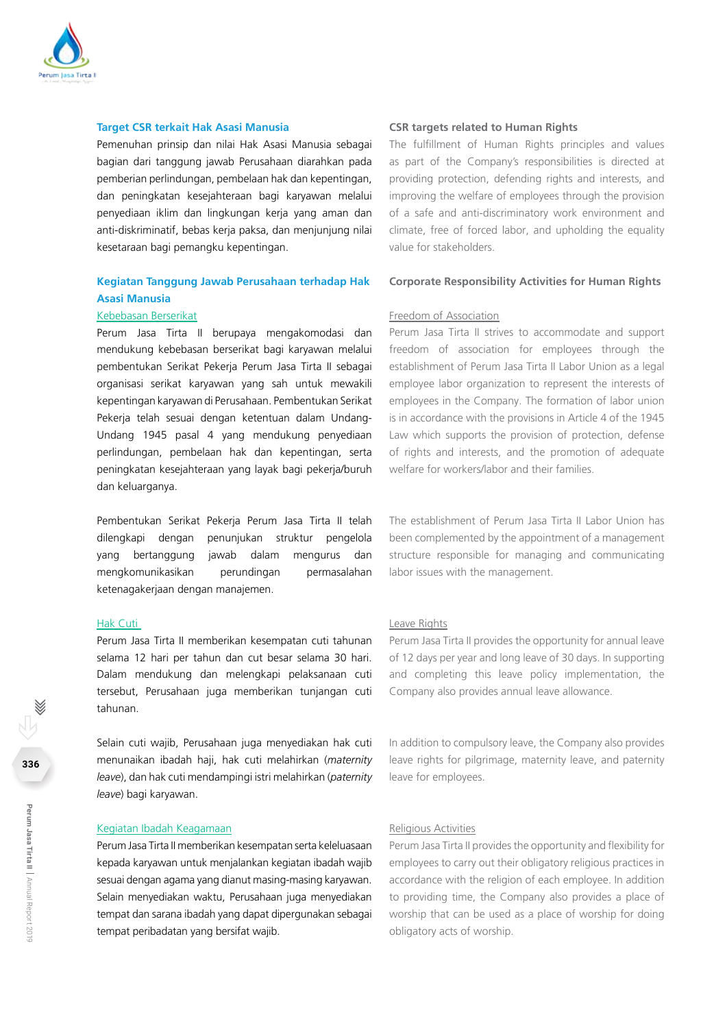

#### **Target CSR terkait Hak Asasi Manusia**

Pemenuhan prinsip dan nilai Hak Asasi Manusia sebagai bagian dari tanggung jawab Perusahaan diarahkan pada pemberian perlindungan, pembelaan hak dan kepentingan, dan peningkatan kesejahteraan bagi karyawan melalui penyediaan iklim dan lingkungan kerja yang aman dan anti-diskriminatif, bebas kerja paksa, dan menjunjung nilai kesetaraan bagi pemangku kepentingan.

#### **Kegiatan Tanggung Jawab Perusahaan terhadap Hak Asasi Manusia**

#### Kebebasan Berserikat

Perum Jasa Tirta II berupaya mengakomodasi dan mendukung kebebasan berserikat bagi karyawan melalui pembentukan Serikat Pekerja Perum Jasa Tirta II sebagai organisasi serikat karyawan yang sah untuk mewakili kepentingan karyawan di Perusahaan. Pembentukan Serikat Pekerja telah sesuai dengan ketentuan dalam Undang-Undang 1945 pasal 4 yang mendukung penyediaan perlindungan, pembelaan hak dan kepentingan, serta peningkatan kesejahteraan yang layak bagi pekerja/buruh dan keluarganya.

Pembentukan Serikat Pekerja Perum Jasa Tirta II telah dilengkapi dengan penunjukan struktur pengelola yang bertanggung jawab dalam mengurus dan mengkomunikasikan perundingan permasalahan ketenagakerjaan dengan manajemen.

#### Hak Cuti

Perum Jasa Tirta II memberikan kesempatan cuti tahunan selama 12 hari per tahun dan cut besar selama 30 hari. Dalam mendukung dan melengkapi pelaksanaan cuti tersebut, Perusahaan juga memberikan tunjangan cuti tahunan.

Selain cuti wajib, Perusahaan juga menyediakan hak cuti menunaikan ibadah haji, hak cuti melahirkan (*maternity leave*), dan hak cuti mendampingi istri melahirkan (*paternity leave*) bagi karyawan.

#### Kegiatan Ibadah Keagamaan

Perum Jasa Tirta II memberikan kesempatan serta keleluasaan kepada karyawan untuk menjalankan kegiatan ibadah wajib sesuai dengan agama yang dianut masing-masing karyawan. Selain menyediakan waktu, Perusahaan juga menyediakan tempat dan sarana ibadah yang dapat dipergunakan sebagai tempat peribadatan yang bersifat wajib.

#### **CSR targets related to Human Rights**

The fulfillment of Human Rights principles and values as part of the Company's responsibilities is directed at providing protection, defending rights and interests, and improving the welfare of employees through the provision of a safe and anti-discriminatory work environment and climate, free of forced labor, and upholding the equality value for stakeholders.

#### **Corporate Responsibility Activities for Human Rights**

#### Freedom of Association

Perum Jasa Tirta II strives to accommodate and support freedom of association for employees through the establishment of Perum Jasa Tirta II Labor Union as a legal employee labor organization to represent the interests of employees in the Company. The formation of labor union is in accordance with the provisions in Article 4 of the 1945 Law which supports the provision of protection, defense of rights and interests, and the promotion of adequate welfare for workers/labor and their families.

The establishment of Perum Jasa Tirta II Labor Union has been complemented by the appointment of a management structure responsible for managing and communicating labor issues with the management.

#### Leave Rights

Perum Jasa Tirta II provides the opportunity for annual leave of 12 days per year and long leave of 30 days. In supporting and completing this leave policy implementation, the Company also provides annual leave allowance.

In addition to compulsory leave, the Company also provides leave rights for pilgrimage, maternity leave, and paternity leave for employees.

#### Religious Activities

Perum Jasa Tirta II provides the opportunity and flexibility for employees to carry out their obligatory religious practices in accordance with the religion of each employee. In addition to providing time, the Company also provides a place of worship that can be used as a place of worship for doing obligatory acts of worship.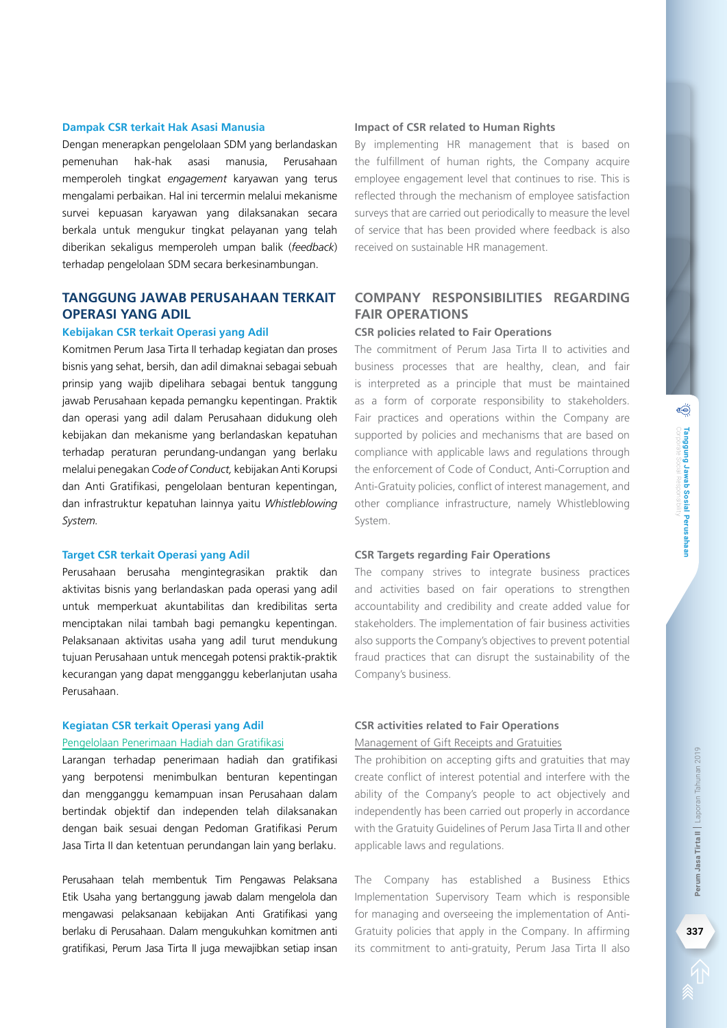Dengan menerapkan pengelolaan SDM yang berlandaskan pemenuhan hak-hak asasi manusia, Perusahaan memperoleh tingkat *engagement* karyawan yang terus mengalami perbaikan. Hal ini tercermin melalui mekanisme survei kepuasan karyawan yang dilaksanakan secara berkala untuk mengukur tingkat pelayanan yang telah diberikan sekaligus memperoleh umpan balik (*feedback*) terhadap pengelolaan SDM secara berkesinambungan.

## **Tanggung Jawab Perusahaan terkait Operasi yang Adil**

#### **Kebijakan CSR terkait Operasi yang Adil**

Komitmen Perum Jasa Tirta II terhadap kegiatan dan proses bisnis yang sehat, bersih, dan adil dimaknai sebagai sebuah prinsip yang wajib dipelihara sebagai bentuk tanggung jawab Perusahaan kepada pemangku kepentingan. Praktik dan operasi yang adil dalam Perusahaan didukung oleh kebijakan dan mekanisme yang berlandaskan kepatuhan terhadap peraturan perundang-undangan yang berlaku melalui penegakan *Code of Conduct,* kebijakan Anti Korupsi dan Anti Gratifikasi, pengelolaan benturan kepentingan, dan infrastruktur kepatuhan lainnya yaitu *Whistleblowing System.* 

#### **Target CSR terkait Operasi yang Adil**

Perusahaan berusaha mengintegrasikan praktik dan aktivitas bisnis yang berlandaskan pada operasi yang adil untuk memperkuat akuntabilitas dan kredibilitas serta menciptakan nilai tambah bagi pemangku kepentingan. Pelaksanaan aktivitas usaha yang adil turut mendukung tujuan Perusahaan untuk mencegah potensi praktik-praktik kecurangan yang dapat mengganggu keberlanjutan usaha Perusahaan.

#### **Kegiatan CSR terkait Operasi yang Adil**

#### Pengelolaan Penerimaan Hadiah dan Gratifikasi

Larangan terhadap penerimaan hadiah dan gratifikasi yang berpotensi menimbulkan benturan kepentingan dan mengganggu kemampuan insan Perusahaan dalam bertindak objektif dan independen telah dilaksanakan dengan baik sesuai dengan Pedoman Gratifikasi Perum Jasa Tirta II dan ketentuan perundangan lain yang berlaku.

Perusahaan telah membentuk Tim Pengawas Pelaksana Etik Usaha yang bertanggung jawab dalam mengelola dan mengawasi pelaksanaan kebijakan Anti Gratifikasi yang berlaku di Perusahaan. Dalam mengukuhkan komitmen anti gratifikasi, Perum Jasa Tirta II juga mewajibkan setiap insan

#### **Impact of CSR related to Human Rights**

By implementing HR management that is based on the fulfillment of human rights, the Company acquire employee engagement level that continues to rise. This is reflected through the mechanism of employee satisfaction surveys that are carried out periodically to measure the level of service that has been provided where feedback is also received on sustainable HR management.

## **Company Responsibilities regarding Fair Operations**

#### **CSR policies related to Fair Operations**

The commitment of Perum Jasa Tirta II to activities and business processes that are healthy, clean, and fair is interpreted as a principle that must be maintained as a form of corporate responsibility to stakeholders. Fair practices and operations within the Company are supported by policies and mechanisms that are based on compliance with applicable laws and regulations through the enforcement of Code of Conduct, Anti-Corruption and Anti-Gratuity policies, conflict of interest management, and other compliance infrastructure, namely Whistleblowing System.

#### **CSR Targets regarding Fair Operations**

The company strives to integrate business practices and activities based on fair operations to strengthen accountability and credibility and create added value for stakeholders. The implementation of fair business activities also supports the Company's objectives to prevent potential fraud practices that can disrupt the sustainability of the Company's business.

#### **CSR activities related to Fair Operations**

Management of Gift Receipts and Gratuities

The prohibition on accepting gifts and gratuities that may create conflict of interest potential and interfere with the ability of the Company's people to act objectively and independently has been carried out properly in accordance with the Gratuity Guidelines of Perum Jasa Tirta II and other applicable laws and regulations.

The Company has established a Business Ethics Implementation Supervisory Team which is responsible for managing and overseeing the implementation of Anti-Gratuity policies that apply in the Company. In affirming its commitment to anti-gratuity, Perum Jasa Tirta II also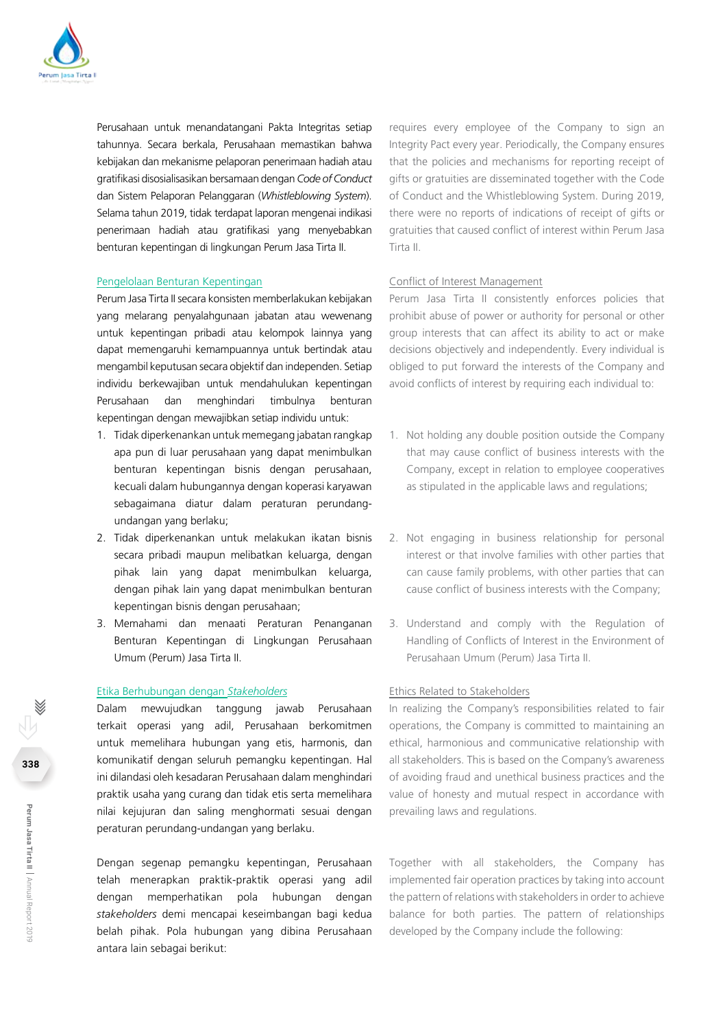

Perusahaan untuk menandatangani Pakta Integritas setiap tahunnya. Secara berkala, Perusahaan memastikan bahwa kebijakan dan mekanisme pelaporan penerimaan hadiah atau gratifikasi disosialisasikan bersamaan dengan *Code of Conduct*  dan Sistem Pelaporan Pelanggaran (*Whistleblowing System*). Selama tahun 2019, tidak terdapat laporan mengenai indikasi penerimaan hadiah atau gratifikasi yang menyebabkan benturan kepentingan di lingkungan Perum Jasa Tirta II.

#### Pengelolaan Benturan Kepentingan

Perum Jasa Tirta II secara konsisten memberlakukan kebijakan yang melarang penyalahgunaan jabatan atau wewenang untuk kepentingan pribadi atau kelompok lainnya yang dapat memengaruhi kemampuannya untuk bertindak atau mengambil keputusan secara objektif dan independen. Setiap individu berkewajiban untuk mendahulukan kepentingan Perusahaan dan menghindari timbulnya benturan kepentingan dengan mewajibkan setiap individu untuk:

- 1. Tidak diperkenankan untuk memegang jabatan rangkap apa pun di luar perusahaan yang dapat menimbulkan benturan kepentingan bisnis dengan perusahaan, kecuali dalam hubungannya dengan koperasi karyawan sebagaimana diatur dalam peraturan perundangundangan yang berlaku;
- 2. Tidak diperkenankan untuk melakukan ikatan bisnis secara pribadi maupun melibatkan keluarga, dengan pihak lain yang dapat menimbulkan keluarga, dengan pihak lain yang dapat menimbulkan benturan kepentingan bisnis dengan perusahaan;
- 3. Memahami dan menaati Peraturan Penanganan Benturan Kepentingan di Lingkungan Perusahaan Umum (Perum) Jasa Tirta II.

#### Etika Berhubungan dengan *Stakeholders*

Dalam mewujudkan tanggung jawab Perusahaan terkait operasi yang adil, Perusahaan berkomitmen untuk memelihara hubungan yang etis, harmonis, dan komunikatif dengan seluruh pemangku kepentingan. Hal ini dilandasi oleh kesadaran Perusahaan dalam menghindari praktik usaha yang curang dan tidak etis serta memelihara nilai kejujuran dan saling menghormati sesuai dengan peraturan perundang-undangan yang berlaku.

Dengan segenap pemangku kepentingan, Perusahaan telah menerapkan praktik-praktik operasi yang adil dengan memperhatikan pola hubungan dengan *stakeholders* demi mencapai keseimbangan bagi kedua belah pihak. Pola hubungan yang dibina Perusahaan antara lain sebagai berikut:

requires every employee of the Company to sign an Integrity Pact every year. Periodically, the Company ensures that the policies and mechanisms for reporting receipt of gifts or gratuities are disseminated together with the Code of Conduct and the Whistleblowing System. During 2019, there were no reports of indications of receipt of gifts or gratuities that caused conflict of interest within Perum Jasa Tirta II.

#### Conflict of Interest Management

Perum Jasa Tirta II consistently enforces policies that prohibit abuse of power or authority for personal or other group interests that can affect its ability to act or make decisions objectively and independently. Every individual is obliged to put forward the interests of the Company and avoid conflicts of interest by requiring each individual to:

- 1. Not holding any double position outside the Company that may cause conflict of business interests with the Company, except in relation to employee cooperatives as stipulated in the applicable laws and regulations;
- 2. Not engaging in business relationship for personal interest or that involve families with other parties that can cause family problems, with other parties that can cause conflict of business interests with the Company;
- 3. Understand and comply with the Regulation of Handling of Conflicts of Interest in the Environment of Perusahaan Umum (Perum) Jasa Tirta II.

#### Ethics Related to Stakeholders

In realizing the Company's responsibilities related to fair operations, the Company is committed to maintaining an ethical, harmonious and communicative relationship with all stakeholders. This is based on the Company's awareness of avoiding fraud and unethical business practices and the value of honesty and mutual respect in accordance with prevailing laws and regulations.

Together with all stakeholders, the Company has implemented fair operation practices by taking into account the pattern of relations with stakeholders in order to achieve balance for both parties. The pattern of relationships developed by the Company include the following: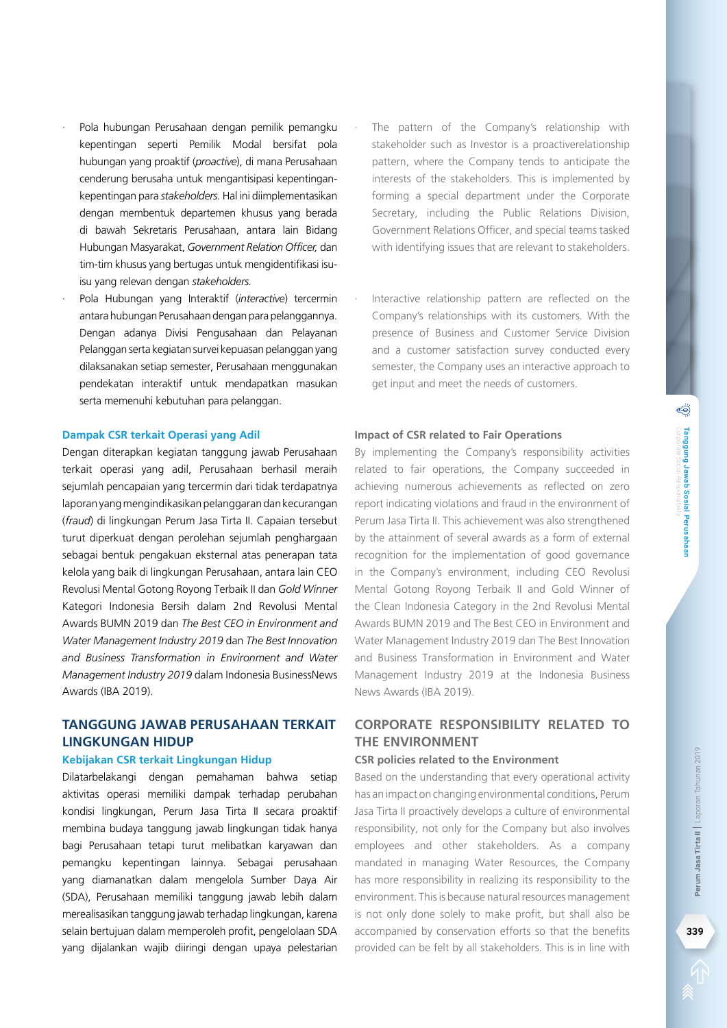- · Pola hubungan Perusahaan dengan pemilik pemangku kepentingan seperti Pemilik Modal bersifat pola hubungan yang proaktif (*proactive*), di mana Perusahaan cenderung berusaha untuk mengantisipasi kepentingankepentingan para *stakeholders.* Hal ini diimplementasikan dengan membentuk departemen khusus yang berada di bawah Sekretaris Perusahaan, antara lain Bidang Hubungan Masyarakat, *Government Relation Officer,* dan tim-tim khusus yang bertugas untuk mengidentifikasi isuisu yang relevan dengan *stakeholders.*
- · Pola Hubungan yang Interaktif (*interactive*) tercermin antara hubungan Perusahaan dengan para pelanggannya. Dengan adanya Divisi Pengusahaan dan Pelayanan Pelanggan serta kegiatan survei kepuasan pelanggan yang dilaksanakan setiap semester, Perusahaan menggunakan pendekatan interaktif untuk mendapatkan masukan serta memenuhi kebutuhan para pelanggan.

#### **Dampak CSR terkait Operasi yang Adil**

Dengan diterapkan kegiatan tanggung jawab Perusahaan terkait operasi yang adil, Perusahaan berhasil meraih sejumlah pencapaian yang tercermin dari tidak terdapatnya laporan yang mengindikasikan pelanggaran dan kecurangan (*fraud*) di lingkungan Perum Jasa Tirta II. Capaian tersebut turut diperkuat dengan perolehan sejumlah penghargaan sebagai bentuk pengakuan eksternal atas penerapan tata kelola yang baik di lingkungan Perusahaan, antara lain CEO Revolusi Mental Gotong Royong Terbaik II dan *Gold Winner*  Kategori Indonesia Bersih dalam 2nd Revolusi Mental Awards BUMN 2019 dan *The Best CEO in Environment and Water Management Industry 2019* dan *The Best Innovation and Business Transformation in Environment and Water Management Industry 2019* dalam Indonesia BusinessNews Awards (IBA 2019).

## **Tanggung Jawab Perusahaan terkait Lingkungan Hidup**

#### **Kebijakan CSR terkait Lingkungan Hidup**

Dilatarbelakangi dengan pemahaman bahwa setiap aktivitas operasi memiliki dampak terhadap perubahan kondisi lingkungan, Perum Jasa Tirta II secara proaktif membina budaya tanggung jawab lingkungan tidak hanya bagi Perusahaan tetapi turut melibatkan karyawan dan pemangku kepentingan lainnya. Sebagai perusahaan yang diamanatkan dalam mengelola Sumber Daya Air (SDA), Perusahaan memiliki tanggung jawab lebih dalam merealisasikan tanggung jawab terhadap lingkungan, karena selain bertujuan dalam memperoleh profit, pengelolaan SDA yang dijalankan wajib diiringi dengan upaya pelestarian

- The pattern of the Company's relationship with stakeholder such as Investor is a proactiverelationship pattern, where the Company tends to anticipate the interests of the stakeholders. This is implemented by forming a special department under the Corporate Secretary, including the Public Relations Division, Government Relations Officer, and special teams tasked with identifying issues that are relevant to stakeholders.
- Interactive relationship pattern are reflected on the Company's relationships with its customers. With the presence of Business and Customer Service Division and a customer satisfaction survey conducted every semester, the Company uses an interactive approach to get input and meet the needs of customers.

#### **Impact of CSR related to Fair Operations**

By implementing the Company's responsibility activities related to fair operations, the Company succeeded in achieving numerous achievements as reflected on zero report indicating violations and fraud in the environment of Perum Jasa Tirta II. This achievement was also strengthened by the attainment of several awards as a form of external recognition for the implementation of good governance in the Company's environment, including CEO Revolusi Mental Gotong Royong Terbaik II and Gold Winner of the Clean Indonesia Category in the 2nd Revolusi Mental Awards BUMN 2019 and The Best CEO in Environment and Water Management Industry 2019 dan The Best Innovation and Business Transformation in Environment and Water Management Industry 2019 at the Indonesia Business News Awards (IBA 2019).

## **Corporate Responsibility related to the Environment**

#### **CSR policies related to the Environment**

Based on the understanding that every operational activity has an impact on changing environmental conditions, Perum Jasa Tirta II proactively develops a culture of environmental responsibility, not only for the Company but also involves employees and other stakeholders. As a company mandated in managing Water Resources, the Company has more responsibility in realizing its responsibility to the environment. This is because natural resources management is not only done solely to make profit, but shall also be accompanied by conservation efforts so that the benefits provided can be felt by all stakeholders. This is in line with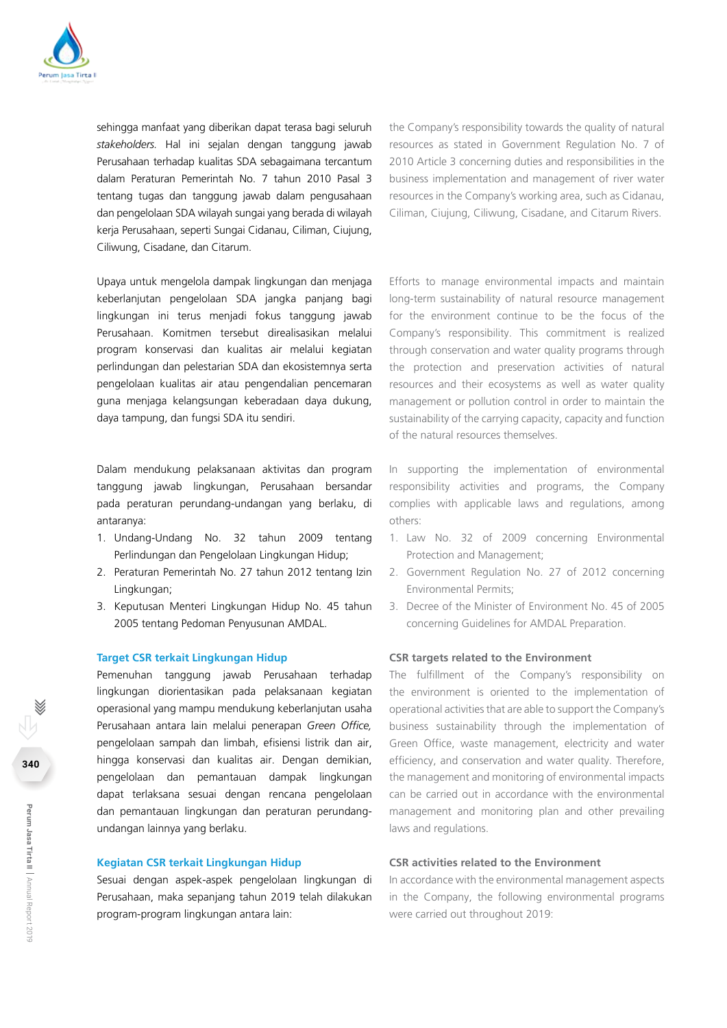

sehingga manfaat yang diberikan dapat terasa bagi seluruh *stakeholders.* Hal ini sejalan dengan tanggung jawab Perusahaan terhadap kualitas SDA sebagaimana tercantum dalam Peraturan Pemerintah No. 7 tahun 2010 Pasal 3 tentang tugas dan tanggung jawab dalam pengusahaan dan pengelolaan SDA wilayah sungai yang berada di wilayah kerja Perusahaan, seperti Sungai Cidanau, Ciliman, Ciujung, Ciliwung, Cisadane, dan Citarum.

Upaya untuk mengelola dampak lingkungan dan menjaga keberlanjutan pengelolaan SDA jangka panjang bagi lingkungan ini terus menjadi fokus tanggung jawab Perusahaan. Komitmen tersebut direalisasikan melalui program konservasi dan kualitas air melalui kegiatan perlindungan dan pelestarian SDA dan ekosistemnya serta pengelolaan kualitas air atau pengendalian pencemaran guna menjaga kelangsungan keberadaan daya dukung, daya tampung, dan fungsi SDA itu sendiri.

Dalam mendukung pelaksanaan aktivitas dan program tanggung jawab lingkungan, Perusahaan bersandar pada peraturan perundang-undangan yang berlaku, di antaranya:

- 1. Undang-Undang No. 32 tahun 2009 tentang Perlindungan dan Pengelolaan Lingkungan Hidup;
- 2. Peraturan Pemerintah No. 27 tahun 2012 tentang Izin Lingkungan;
- 3. Keputusan Menteri Lingkungan Hidup No. 45 tahun 2005 tentang Pedoman Penyusunan AMDAL.

#### **Target CSR terkait Lingkungan Hidup**

Pemenuhan tanggung jawab Perusahaan terhadap lingkungan diorientasikan pada pelaksanaan kegiatan operasional yang mampu mendukung keberlanjutan usaha Perusahaan antara lain melalui penerapan *Green Office,*  pengelolaan sampah dan limbah, efisiensi listrik dan air, hingga konservasi dan kualitas air. Dengan demikian, pengelolaan dan pemantauan dampak lingkungan dapat terlaksana sesuai dengan rencana pengelolaan dan pemantauan lingkungan dan peraturan perundangundangan lainnya yang berlaku.

#### **Kegiatan CSR terkait Lingkungan Hidup**

Sesuai dengan aspek-aspek pengelolaan lingkungan di Perusahaan, maka sepanjang tahun 2019 telah dilakukan program-program lingkungan antara lain:

the Company's responsibility towards the quality of natural resources as stated in Government Regulation No. 7 of 2010 Article 3 concerning duties and responsibilities in the business implementation and management of river water resources in the Company's working area, such as Cidanau, Ciliman, Ciujung, Ciliwung, Cisadane, and Citarum Rivers.

Efforts to manage environmental impacts and maintain long-term sustainability of natural resource management for the environment continue to be the focus of the Company's responsibility. This commitment is realized through conservation and water quality programs through the protection and preservation activities of natural resources and their ecosystems as well as water quality management or pollution control in order to maintain the sustainability of the carrying capacity, capacity and function of the natural resources themselves.

In supporting the implementation of environmental responsibility activities and programs, the Company complies with applicable laws and regulations, among others:

- 1. Law No. 32 of 2009 concerning Environmental Protection and Management;
- 2. Government Regulation No. 27 of 2012 concerning Environmental Permits;
- 3. Decree of the Minister of Environment No. 45 of 2005 concerning Guidelines for AMDAL Preparation.

#### **CSR targets related to the Environment**

The fulfillment of the Company's responsibility on the environment is oriented to the implementation of operational activities that are able to support the Company's business sustainability through the implementation of Green Office, waste management, electricity and water efficiency, and conservation and water quality. Therefore, the management and monitoring of environmental impacts can be carried out in accordance with the environmental management and monitoring plan and other prevailing laws and regulations.

#### **CSR activities related to the Environment**

In accordance with the environmental management aspects in the Company, the following environmental programs were carried out throughout 2019: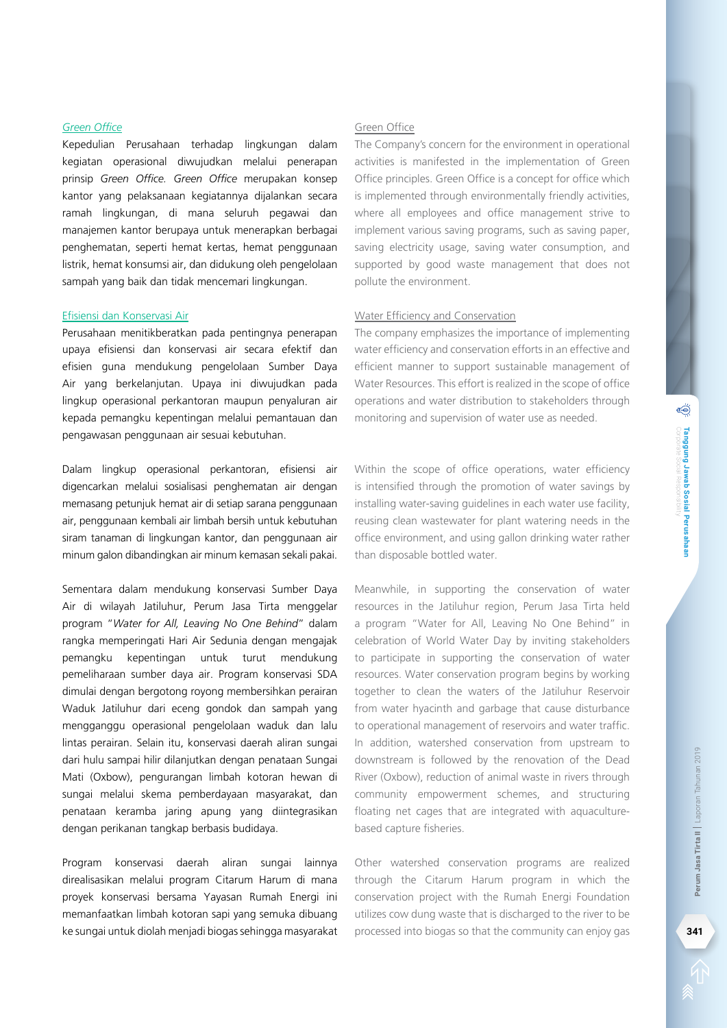#### *Green Office*

Kepedulian Perusahaan terhadap lingkungan dalam kegiatan operasional diwujudkan melalui penerapan prinsip *Green Office. Green Office* merupakan konsep kantor yang pelaksanaan kegiatannya dijalankan secara ramah lingkungan, di mana seluruh pegawai dan manajemen kantor berupaya untuk menerapkan berbagai penghematan, seperti hemat kertas, hemat penggunaan listrik, hemat konsumsi air, dan didukung oleh pengelolaan sampah yang baik dan tidak mencemari lingkungan.

#### Efisiensi dan Konservasi Air

Perusahaan menitikberatkan pada pentingnya penerapan upaya efisiensi dan konservasi air secara efektif dan efisien guna mendukung pengelolaan Sumber Daya Air yang berkelanjutan. Upaya ini diwujudkan pada lingkup operasional perkantoran maupun penyaluran air kepada pemangku kepentingan melalui pemantauan dan pengawasan penggunaan air sesuai kebutuhan.

Dalam lingkup operasional perkantoran, efisiensi air digencarkan melalui sosialisasi penghematan air dengan memasang petunjuk hemat air di setiap sarana penggunaan air, penggunaan kembali air limbah bersih untuk kebutuhan siram tanaman di lingkungan kantor, dan penggunaan air minum galon dibandingkan air minum kemasan sekali pakai.

Sementara dalam mendukung konservasi Sumber Daya Air di wilayah Jatiluhur, Perum Jasa Tirta menggelar program "*Water for All, Leaving No One Behind*" dalam rangka memperingati Hari Air Sedunia dengan mengajak pemangku kepentingan untuk turut mendukung pemeliharaan sumber daya air. Program konservasi SDA dimulai dengan bergotong royong membersihkan perairan Waduk Jatiluhur dari eceng gondok dan sampah yang mengganggu operasional pengelolaan waduk dan lalu lintas perairan. Selain itu, konservasi daerah aliran sungai dari hulu sampai hilir dilanjutkan dengan penataan Sungai Mati (Oxbow), pengurangan limbah kotoran hewan di sungai melalui skema pemberdayaan masyarakat, dan penataan keramba jaring apung yang diintegrasikan dengan perikanan tangkap berbasis budidaya.

Program konservasi daerah aliran sungai lainnya direalisasikan melalui program Citarum Harum di mana proyek konservasi bersama Yayasan Rumah Energi ini memanfaatkan limbah kotoran sapi yang semuka dibuang ke sungai untuk diolah menjadi biogas sehingga masyarakat

## Green Office

The Company's concern for the environment in operational activities is manifested in the implementation of Green Office principles. Green Office is a concept for office which is implemented through environmentally friendly activities, where all employees and office management strive to implement various saving programs, such as saving paper, saving electricity usage, saving water consumption, and supported by good waste management that does not pollute the environment.

#### Water Efficiency and Conservation

The company emphasizes the importance of implementing water efficiency and conservation efforts in an effective and efficient manner to support sustainable management of Water Resources. This effort is realized in the scope of office operations and water distribution to stakeholders through monitoring and supervision of water use as needed.

Within the scope of office operations, water efficiency is intensified through the promotion of water savings by installing water-saving guidelines in each water use facility, reusing clean wastewater for plant watering needs in the office environment, and using gallon drinking water rather than disposable bottled water.

Meanwhile, in supporting the conservation of water resources in the Jatiluhur region, Perum Jasa Tirta held a program "Water for All, Leaving No One Behind" in celebration of World Water Day by inviting stakeholders to participate in supporting the conservation of water resources. Water conservation program begins by working together to clean the waters of the Jatiluhur Reservoir from water hyacinth and garbage that cause disturbance to operational management of reservoirs and water traffic. In addition, watershed conservation from upstream to downstream is followed by the renovation of the Dead River (Oxbow), reduction of animal waste in rivers through community empowerment schemes, and structuring floating net cages that are integrated with aquaculturebased capture fisheries. **processed into biogas so that the community can enjoy gas so that the community** empowerment schemes, and structuring floating net cages that are integrated with aquaculture-<br>based capture fisheries.<br>
Other watershed cons

Other watershed conservation programs are realized through the Citarum Harum program in which the conservation project with the Rumah Energi Foundation utilizes cow dung waste that is discharged to the river to be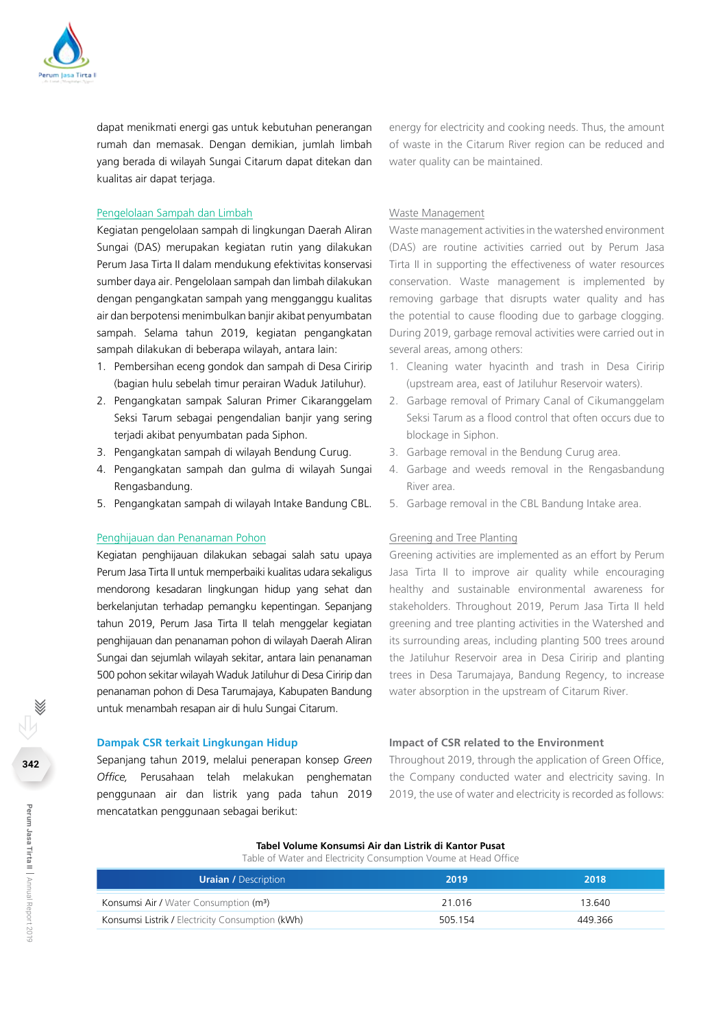

dapat menikmati energi gas untuk kebutuhan penerangan rumah dan memasak. Dengan demikian, jumlah limbah yang berada di wilayah Sungai Citarum dapat ditekan dan kualitas air dapat terjaga.

#### Pengelolaan Sampah dan Limbah

Kegiatan pengelolaan sampah di lingkungan Daerah Aliran Sungai (DAS) merupakan kegiatan rutin yang dilakukan Perum Jasa Tirta II dalam mendukung efektivitas konservasi sumber daya air. Pengelolaan sampah dan limbah dilakukan dengan pengangkatan sampah yang mengganggu kualitas air dan berpotensi menimbulkan banjir akibat penyumbatan sampah. Selama tahun 2019, kegiatan pengangkatan sampah dilakukan di beberapa wilayah, antara lain:

- 1. Pembersihan eceng gondok dan sampah di Desa Ciririp (bagian hulu sebelah timur perairan Waduk Jatiluhur).
- 2. Pengangkatan sampak Saluran Primer Cikaranggelam Seksi Tarum sebagai pengendalian banjir yang sering terjadi akibat penyumbatan pada Siphon.
- 3. Pengangkatan sampah di wilayah Bendung Curug.
- 4. Pengangkatan sampah dan gulma di wilayah Sungai Rengasbandung.
- 5. Pengangkatan sampah di wilayah Intake Bandung CBL.

#### Penghijauan dan Penanaman Pohon

Kegiatan penghijauan dilakukan sebagai salah satu upaya Perum Jasa Tirta II untuk memperbaiki kualitas udara sekaligus mendorong kesadaran lingkungan hidup yang sehat dan berkelanjutan terhadap pemangku kepentingan. Sepanjang tahun 2019, Perum Jasa Tirta II telah menggelar kegiatan penghijauan dan penanaman pohon di wilayah Daerah Aliran Sungai dan sejumlah wilayah sekitar, antara lain penanaman 500 pohon sekitar wilayah Waduk Jatiluhur di Desa Ciririp dan penanaman pohon di Desa Tarumajaya, Kabupaten Bandung untuk menambah resapan air di hulu Sungai Citarum.

#### **Dampak CSR terkait Lingkungan Hidup**

Sepanjang tahun 2019, melalui penerapan konsep *Green Office,* Perusahaan telah melakukan penghematan penggunaan air dan listrik yang pada tahun 2019 mencatatkan penggunaan sebagai berikut:

energy for electricity and cooking needs. Thus, the amount of waste in the Citarum River region can be reduced and water quality can be maintained.

#### Waste Management

Waste management activities in the watershed environment (DAS) are routine activities carried out by Perum Jasa Tirta II in supporting the effectiveness of water resources conservation. Waste management is implemented by removing garbage that disrupts water quality and has the potential to cause flooding due to garbage clogging. During 2019, garbage removal activities were carried out in several areas, among others:

- 1. Cleaning water hyacinth and trash in Desa Ciririp (upstream area, east of Jatiluhur Reservoir waters).
- 2. Garbage removal of Primary Canal of Cikumanggelam Seksi Tarum as a flood control that often occurs due to blockage in Siphon.
- 3. Garbage removal in the Bendung Curug area.
- 4. Garbage and weeds removal in the Rengasbandung River area.
- 5. Garbage removal in the CBL Bandung Intake area.

#### Greening and Tree Planting

Greening activities are implemented as an effort by Perum Jasa Tirta II to improve air quality while encouraging healthy and sustainable environmental awareness for stakeholders. Throughout 2019, Perum Jasa Tirta II held greening and tree planting activities in the Watershed and its surrounding areas, including planting 500 trees around the Jatiluhur Reservoir area in Desa Ciririp and planting trees in Desa Tarumajaya, Bandung Regency, to increase water absorption in the upstream of Citarum River.

#### **Impact of CSR related to the Environment**

Throughout 2019, through the application of Green Office, the Company conducted water and electricity saving. In 2019, the use of water and electricity is recorded as follows:

## **Tabel Volume Konsumsi Air dan Listrik di Kantor Pusat**

Table of Water and Electricity Consumption Voume at Head Office

| <b>Uraian / Description</b>                        | 2019    | 2018    |
|----------------------------------------------------|---------|---------|
| Konsumsi Air / Water Consumption (m <sup>3</sup> ) | 21.016  | 13.640  |
| Konsumsi Listrik / Electricity Consumption (kWh)   | 505.154 | 449.366 |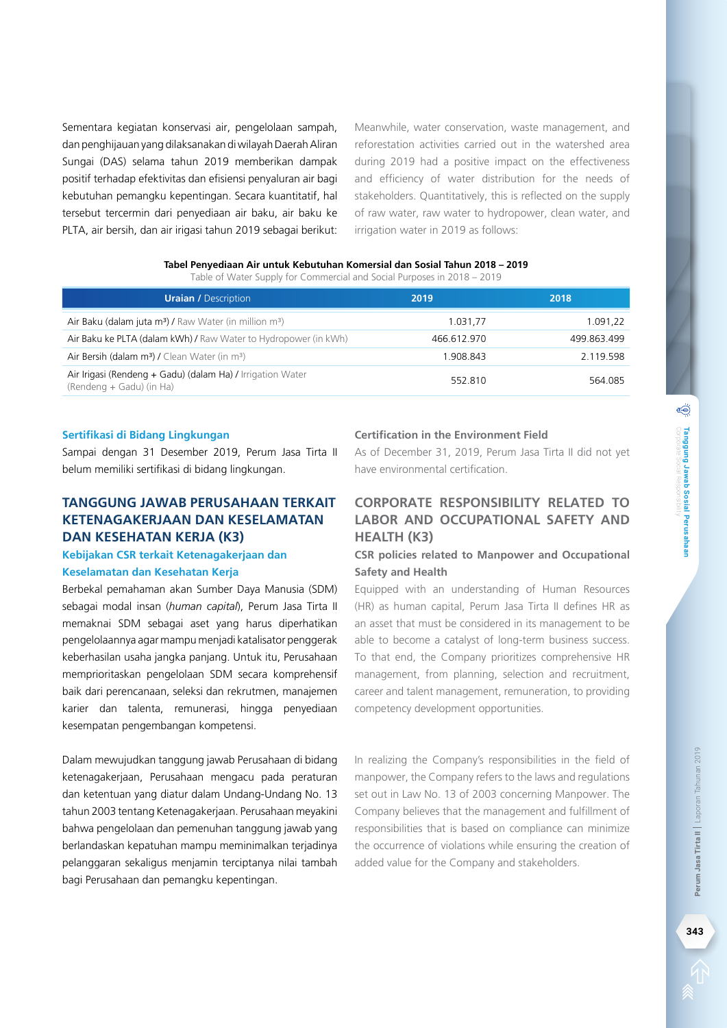Sementara kegiatan konservasi air, pengelolaan sampah, dan penghijauan yang dilaksanakan di wilayah Daerah Aliran Sungai (DAS) selama tahun 2019 memberikan dampak positif terhadap efektivitas dan efisiensi penyaluran air bagi kebutuhan pemangku kepentingan. Secara kuantitatif, hal tersebut tercermin dari penyediaan air baku, air baku ke PLTA, air bersih, dan air irigasi tahun 2019 sebagai berikut: Meanwhile, water conservation, waste management, and reforestation activities carried out in the watershed area during 2019 had a positive impact on the effectiveness and efficiency of water distribution for the needs of stakeholders. Quantitatively, this is reflected on the supply of raw water, raw water to hydropower, clean water, and irrigation water in 2019 as follows:

|  |  | Tabel Penyediaan Air untuk Kebutuhan Komersial dan Sosial Tahun 2018 – 2019 |  |  |
|--|--|-----------------------------------------------------------------------------|--|--|
|  |  |                                                                             |  |  |

Table of Water Supply for Commercial and Social Purposes in 2018 – 2019

| <b>Uraian / Description</b>                                                            | 2019        | 2018        |
|----------------------------------------------------------------------------------------|-------------|-------------|
| Air Baku (dalam juta m <sup>3</sup> ) / Raw Water (in million m <sup>3</sup> )         | 1.031.77    | 1.091.22    |
| Air Baku ke PLTA (dalam kWh) / Raw Water to Hydropower (in kWh)                        | 466.612.970 | 499.863.499 |
| Air Bersih (dalam m <sup>3</sup> ) / Clean Water (in m <sup>3</sup> )                  | 1.908.843   | 2.119.598   |
| Air Irigasi (Rendeng + Gadu) (dalam Ha) / Irrigation Water<br>(Rendeng + Gadu) (in Ha) | 552.810     | 564.085     |

#### **Sertifikasi di Bidang Lingkungan**

Sampai dengan 31 Desember 2019, Perum Jasa Tirta II belum memiliki sertifikasi di bidang lingkungan.

## **Tanggung Jawab Perusahaan terkait Ketenagakerjaan dan Keselamatan dan Kesehatan Kerja (K3)**

## **Kebijakan CSR terkait Ketenagakerjaan dan Keselamatan dan Kesehatan Kerja**

Berbekal pemahaman akan Sumber Daya Manusia (SDM) sebagai modal insan (*human capital*), Perum Jasa Tirta II memaknai SDM sebagai aset yang harus diperhatikan pengelolaannya agar mampu menjadi katalisator penggerak keberhasilan usaha jangka panjang. Untuk itu, Perusahaan memprioritaskan pengelolaan SDM secara komprehensif baik dari perencanaan, seleksi dan rekrutmen, manajemen karier dan talenta, remunerasi, hingga penyediaan kesempatan pengembangan kompetensi.

Dalam mewujudkan tanggung jawab Perusahaan di bidang ketenagakerjaan, Perusahaan mengacu pada peraturan dan ketentuan yang diatur dalam Undang-Undang No. 13 tahun 2003 tentang Ketenagakerjaan. Perusahaan meyakini bahwa pengelolaan dan pemenuhan tanggung jawab yang berlandaskan kepatuhan mampu meminimalkan terjadinya pelanggaran sekaligus menjamin terciptanya nilai tambah bagi Perusahaan dan pemangku kepentingan.

### **Certification in the Environment Field**

As of December 31, 2019, Perum Jasa Tirta II did not yet have environmental certification.

## **Corporate Responsibility related to Labor and Occupational Safety and Health (K3)**

## **CSR policies related to Manpower and Occupational Safety and Health**

Equipped with an understanding of Human Resources (HR) as human capital, Perum Jasa Tirta II defines HR as an asset that must be considered in its management to be able to become a catalyst of long-term business success. To that end, the Company prioritizes comprehensive HR management, from planning, selection and recruitment, career and talent management, remuneration, to providing competency development opportunities.

In realizing the Company's responsibilities in the field of manpower, the Company refers to the laws and regulations set out in Law No. 13 of 2003 concerning Manpower. The Company believes that the management and fulfillment of responsibilities that is based on compliance can minimize the occurrence of violations while ensuring the creation of added value for the Company and stakeholders.

Corporate Social Responsibility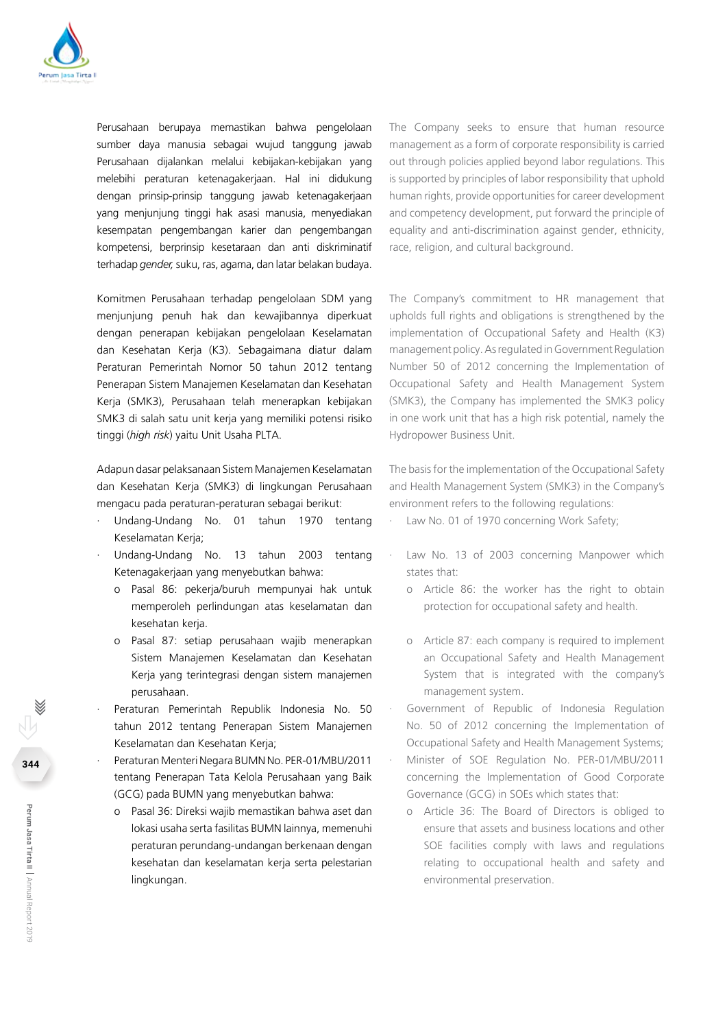

Perusahaan berupaya memastikan bahwa pengelolaan sumber daya manusia sebagai wujud tanggung jawab Perusahaan dijalankan melalui kebijakan-kebijakan yang melebihi peraturan ketenagakerjaan. Hal ini didukung dengan prinsip-prinsip tanggung jawab ketenagakerjaan yang menjunjung tinggi hak asasi manusia, menyediakan kesempatan pengembangan karier dan pengembangan kompetensi, berprinsip kesetaraan dan anti diskriminatif terhadap *gender,* suku, ras, agama, dan latar belakan budaya.

Komitmen Perusahaan terhadap pengelolaan SDM yang menjunjung penuh hak dan kewajibannya diperkuat dengan penerapan kebijakan pengelolaan Keselamatan dan Kesehatan Kerja (K3). Sebagaimana diatur dalam Peraturan Pemerintah Nomor 50 tahun 2012 tentang Penerapan Sistem Manajemen Keselamatan dan Kesehatan Kerja (SMK3), Perusahaan telah menerapkan kebijakan SMK3 di salah satu unit kerja yang memiliki potensi risiko tinggi (*high risk*) yaitu Unit Usaha PLTA.

Adapun dasar pelaksanaan Sistem Manajemen Keselamatan dan Kesehatan Kerja (SMK3) di lingkungan Perusahaan mengacu pada peraturan-peraturan sebagai berikut:

- · Undang-Undang No. 01 tahun 1970 tentang Keselamatan Kerja;
- · Undang-Undang No. 13 tahun 2003 tentang Ketenagakerjaan yang menyebutkan bahwa:
	- o Pasal 86: pekerja/buruh mempunyai hak untuk memperoleh perlindungan atas keselamatan dan kesehatan kerja.
	- o Pasal 87: setiap perusahaan wajib menerapkan Sistem Manajemen Keselamatan dan Kesehatan Kerja yang terintegrasi dengan sistem manajemen perusahaan.
- Peraturan Pemerintah Republik Indonesia No. 50 tahun 2012 tentang Penerapan Sistem Manajemen Keselamatan dan Kesehatan Kerja;
- · Peraturan Menteri Negara BUMN No. PER-01/MBU/2011 tentang Penerapan Tata Kelola Perusahaan yang Baik (GCG) pada BUMN yang menyebutkan bahwa:
	- o Pasal 36: Direksi wajib memastikan bahwa aset dan lokasi usaha serta fasilitas BUMN lainnya, memenuhi peraturan perundang-undangan berkenaan dengan kesehatan dan keselamatan kerja serta pelestarian lingkungan.

The Company seeks to ensure that human resource management as a form of corporate responsibility is carried out through policies applied beyond labor regulations. This is supported by principles of labor responsibility that uphold human rights, provide opportunities for career development and competency development, put forward the principle of equality and anti-discrimination against gender, ethnicity, race, religion, and cultural background.

The Company's commitment to HR management that upholds full rights and obligations is strengthened by the implementation of Occupational Safety and Health (K3) management policy. As regulated in Government Regulation Number 50 of 2012 concerning the Implementation of Occupational Safety and Health Management System (SMK3), the Company has implemented the SMK3 policy in one work unit that has a high risk potential, namely the Hydropower Business Unit.

The basis for the implementation of the Occupational Safety and Health Management System (SMK3) in the Company's environment refers to the following regulations:

- Law No. 01 of 1970 concerning Work Safety;
- Law No. 13 of 2003 concerning Manpower which states that:
	- o Article 86: the worker has the right to obtain protection for occupational safety and health.
	- o Article 87: each company is required to implement an Occupational Safety and Health Management System that is integrated with the company's management system.
- Government of Republic of Indonesia Regulation No. 50 of 2012 concerning the Implementation of Occupational Safety and Health Management Systems;
- Minister of SOE Regulation No. PER-01/MBU/2011 concerning the Implementation of Good Corporate Governance (GCG) in SOEs which states that:
	- o Article 36: The Board of Directors is obliged to ensure that assets and business locations and other SOE facilities comply with laws and regulations relating to occupational health and safety and environmental preservation.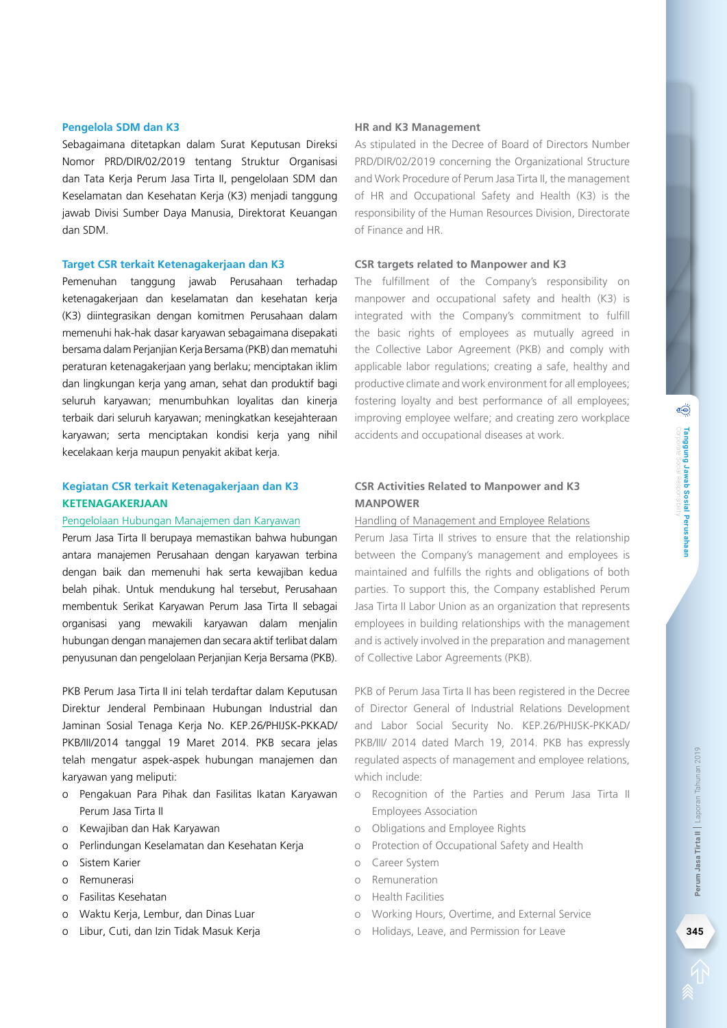#### **Pengelola SDM dan K3**

Sebagaimana ditetapkan dalam Surat Keputusan Direksi Nomor PRD/DIR/02/2019 tentang Struktur Organisasi dan Tata Kerja Perum Jasa Tirta II, pengelolaan SDM dan Keselamatan dan Kesehatan Kerja (K3) menjadi tanggung jawab Divisi Sumber Daya Manusia, Direktorat Keuangan dan SDM.

#### **Target CSR terkait Ketenagakerjaan dan K3**

Pemenuhan tanggung jawab Perusahaan terhadap ketenagakerjaan dan keselamatan dan kesehatan kerja (K3) diintegrasikan dengan komitmen Perusahaan dalam memenuhi hak-hak dasar karyawan sebagaimana disepakati bersama dalam Perjanjian Kerja Bersama (PKB) dan mematuhi peraturan ketenagakerjaan yang berlaku; menciptakan iklim dan lingkungan kerja yang aman, sehat dan produktif bagi seluruh karyawan; menumbuhkan loyalitas dan kinerja terbaik dari seluruh karyawan; meningkatkan kesejahteraan karyawan; serta menciptakan kondisi kerja yang nihil kecelakaan kerja maupun penyakit akibat kerja.

## **Kegiatan CSR terkait Ketenagakerjaan dan K3 KETENAGAKERJAAN**

#### Pengelolaan Hubungan Manajemen dan Karyawan

Perum Jasa Tirta II berupaya memastikan bahwa hubungan antara manajemen Perusahaan dengan karyawan terbina dengan baik dan memenuhi hak serta kewajiban kedua belah pihak. Untuk mendukung hal tersebut, Perusahaan membentuk Serikat Karyawan Perum Jasa Tirta II sebagai organisasi yang mewakili karyawan dalam menjalin hubungan dengan manajemen dan secara aktif terlibat dalam penyusunan dan pengelolaan Perjanjian Kerja Bersama (PKB).

PKB Perum Jasa Tirta II ini telah terdaftar dalam Keputusan Direktur Jenderal Pembinaan Hubungan Industrial dan Jaminan Sosial Tenaga Kerja No. KEP.26/PHIJSK-PKKAD/ PKB/III/2014 tanggal 19 Maret 2014. PKB secara jelas telah mengatur aspek-aspek hubungan manajemen dan karyawan yang meliputi:

- o Pengakuan Para Pihak dan Fasilitas Ikatan Karyawan Perum Jasa Tirta II
- o Kewajiban dan Hak Karyawan
- o Perlindungan Keselamatan dan Kesehatan Kerja
- o Sistem Karier
- o Remunerasi
- o Fasilitas Kesehatan
- o Waktu Kerja, Lembur, dan Dinas Luar
- o Libur, Cuti, dan Izin Tidak Masuk Kerja

#### **HR and K3 Management**

As stipulated in the Decree of Board of Directors Number PRD/DIR/02/2019 concerning the Organizational Structure and Work Procedure of Perum Jasa Tirta II, the management of HR and Occupational Safety and Health (K3) is the responsibility of the Human Resources Division, Directorate of Finance and HR.

#### **CSR targets related to Manpower and K3**

The fulfillment of the Company's responsibility on manpower and occupational safety and health (K3) is integrated with the Company's commitment to fulfill the basic rights of employees as mutually agreed in the Collective Labor Agreement (PKB) and comply with applicable labor regulations; creating a safe, healthy and productive climate and work environment for all employees; fostering loyalty and best performance of all employees; improving employee welfare; and creating zero workplace accidents and occupational diseases at work.

## **CSR Activities Related to Manpower and K3 MANPOWER**

#### Handling of Management and Employee Relations

Perum Jasa Tirta II strives to ensure that the relationship between the Company's management and employees is maintained and fulfills the rights and obligations of both parties. To support this, the Company established Perum Jasa Tirta II Labor Union as an organization that represents employees in building relationships with the management and is actively involved in the preparation and management of Collective Labor Agreements (PKB).

PKB of Perum Jasa Tirta II has been registered in the Decree of Director General of Industrial Relations Development and Labor Social Security No. KEP.26/PHIJSK-PKKAD/ PKB/III/ 2014 dated March 19, 2014. PKB has expressly regulated aspects of management and employee relations, which include: **Example 12** regulated aspects of management and employee relations,<br>
which include:<br> **O** Recognition of the Parties and Perum Jasa Tirta II<br>
Employees Association<br> **O** Obligations and Employee Rights<br> **Protection of Occup** 

- o Recognition of the Parties and Perum Jasa Tirta II Employees Association
- o Obligations and Employee Rights
- o Protection of Occupational Safety and Health
- o Career System
- o Remuneration
- o Health Facilities
- o Working Hours, Overtime, and External Service
-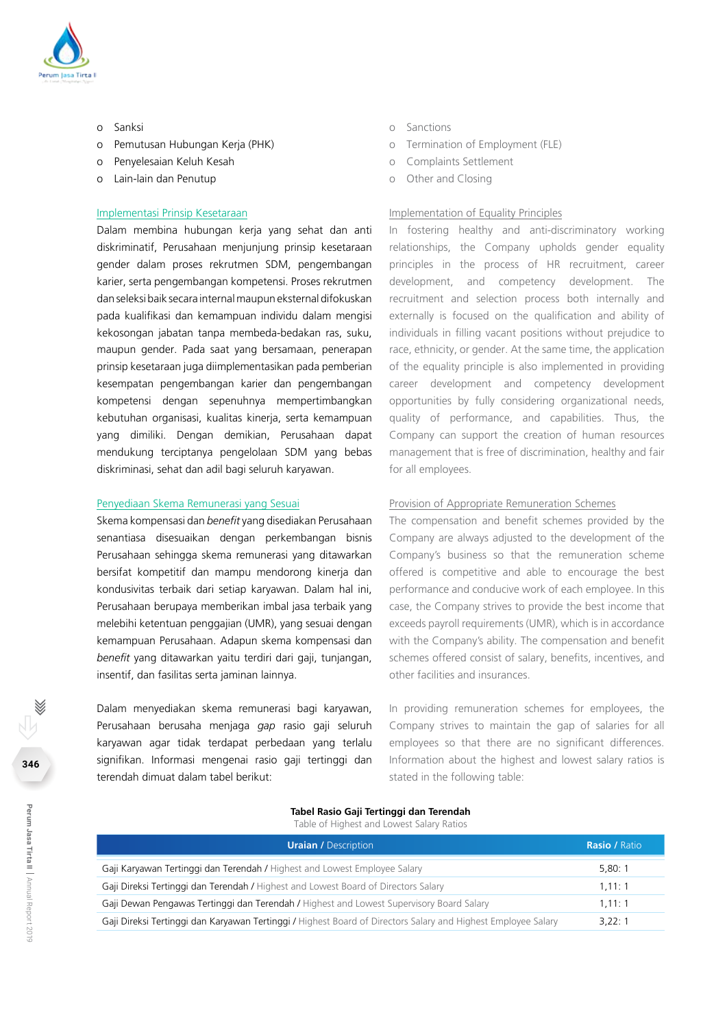

- o Sanksi
- o Pemutusan Hubungan Kerja (PHK)
- o Penyelesaian Keluh Kesah
- o Lain-lain dan Penutup

#### Implementasi Prinsip Kesetaraan

Dalam membina hubungan kerja yang sehat dan anti diskriminatif, Perusahaan menjunjung prinsip kesetaraan gender dalam proses rekrutmen SDM, pengembangan karier, serta pengembangan kompetensi. Proses rekrutmen dan seleksi baik secara internal maupun eksternal difokuskan pada kualifikasi dan kemampuan individu dalam mengisi kekosongan jabatan tanpa membeda-bedakan ras, suku, maupun gender. Pada saat yang bersamaan, penerapan prinsip kesetaraan juga diimplementasikan pada pemberian kesempatan pengembangan karier dan pengembangan kompetensi dengan sepenuhnya mempertimbangkan kebutuhan organisasi, kualitas kinerja, serta kemampuan yang dimiliki. Dengan demikian, Perusahaan dapat mendukung terciptanya pengelolaan SDM yang bebas diskriminasi, sehat dan adil bagi seluruh karyawan.

#### Penyediaan Skema Remunerasi yang Sesuai

Skema kompensasi dan *benefit* yang disediakan Perusahaan senantiasa disesuaikan dengan perkembangan bisnis Perusahaan sehingga skema remunerasi yang ditawarkan bersifat kompetitif dan mampu mendorong kinerja dan kondusivitas terbaik dari setiap karyawan. Dalam hal ini, Perusahaan berupaya memberikan imbal jasa terbaik yang melebihi ketentuan penggajian (UMR), yang sesuai dengan kemampuan Perusahaan. Adapun skema kompensasi dan *benefit* yang ditawarkan yaitu terdiri dari gaji, tunjangan, insentif, dan fasilitas serta jaminan lainnya.

Dalam menyediakan skema remunerasi bagi karyawan, Perusahaan berusaha menjaga *gap* rasio gaji seluruh karyawan agar tidak terdapat perbedaan yang terlalu signifikan. Informasi mengenai rasio gaji tertinggi dan terendah dimuat dalam tabel berikut:

- o Sanctions
- o Termination of Employment (FLE)
- o Complaints Settlement
- o Other and Closing

#### Implementation of Equality Principles

In fostering healthy and anti-discriminatory working relationships, the Company upholds gender equality principles in the process of HR recruitment, career development, and competency development. The recruitment and selection process both internally and externally is focused on the qualification and ability of individuals in filling vacant positions without prejudice to race, ethnicity, or gender. At the same time, the application of the equality principle is also implemented in providing career development and competency development opportunities by fully considering organizational needs, quality of performance, and capabilities. Thus, the Company can support the creation of human resources management that is free of discrimination, healthy and fair for all employees.

#### Provision of Appropriate Remuneration Schemes

The compensation and benefit schemes provided by the Company are always adjusted to the development of the Company's business so that the remuneration scheme offered is competitive and able to encourage the best performance and conducive work of each employee. In this case, the Company strives to provide the best income that exceeds payroll requirements (UMR), which is in accordance with the Company's ability. The compensation and benefit schemes offered consist of salary, benefits, incentives, and other facilities and insurances.

In providing remuneration schemes for employees, the Company strives to maintain the gap of salaries for all employees so that there are no significant differences. Information about the highest and lowest salary ratios is stated in the following table:

#### **Tabel Rasio Gaji Tertinggi dan Terendah**

Table of Highest and Lowest Salary Ratios

| <b>Uraian / Description</b>                                                                                   | <b>Rasio</b> / Ratio |
|---------------------------------------------------------------------------------------------------------------|----------------------|
| Gaji Karyawan Tertinggi dan Terendah / Highest and Lowest Employee Salary                                     | 5.80:1               |
| Gaji Direksi Tertinggi dan Terendah / Highest and Lowest Board of Directors Salary                            | 1.11:1               |
| Gaji Dewan Pengawas Tertinggi dan Terendah / Highest and Lowest Supervisory Board Salary                      | 1.11:1               |
| Gaji Direksi Tertinggi dan Karyawan Tertinggi / Highest Board of Directors Salary and Highest Employee Salary | 3.22:1               |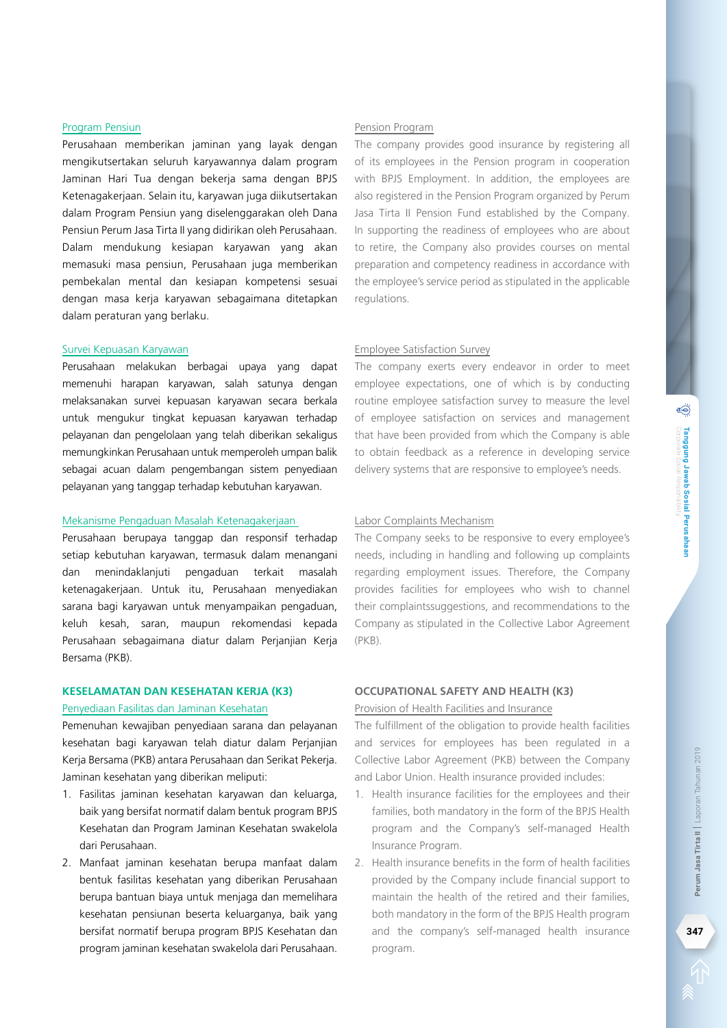Perusahaan memberikan jaminan yang layak dengan mengikutsertakan seluruh karyawannya dalam program Jaminan Hari Tua dengan bekerja sama dengan BPJS Ketenagakerjaan. Selain itu, karyawan juga diikutsertakan dalam Program Pensiun yang diselenggarakan oleh Dana Pensiun Perum Jasa Tirta II yang didirikan oleh Perusahaan. Dalam mendukung kesiapan karyawan yang akan memasuki masa pensiun, Perusahaan juga memberikan pembekalan mental dan kesiapan kompetensi sesuai dengan masa kerja karyawan sebagaimana ditetapkan dalam peraturan yang berlaku.

#### Survei Kepuasan Karyawan

Perusahaan melakukan berbagai upaya yang dapat memenuhi harapan karyawan, salah satunya dengan melaksanakan survei kepuasan karyawan secara berkala untuk mengukur tingkat kepuasan karyawan terhadap pelayanan dan pengelolaan yang telah diberikan sekaligus memungkinkan Perusahaan untuk memperoleh umpan balik sebagai acuan dalam pengembangan sistem penyediaan pelayanan yang tanggap terhadap kebutuhan karyawan.

#### Mekanisme Pengaduan Masalah Ketenagakerjaan

Perusahaan berupaya tanggap dan responsif terhadap setiap kebutuhan karyawan, termasuk dalam menangani dan menindaklanjuti pengaduan terkait masalah ketenagakerjaan. Untuk itu, Perusahaan menyediakan sarana bagi karyawan untuk menyampaikan pengaduan, keluh kesah, saran, maupun rekomendasi kepada Perusahaan sebagaimana diatur dalam Perjanjian Kerja Bersama (PKB).

#### **KESELAMATAN DAN KESEHATAN KERJA (K3)**

#### Penyediaan Fasilitas dan Jaminan Kesehatan

Pemenuhan kewajiban penyediaan sarana dan pelayanan kesehatan bagi karyawan telah diatur dalam Perjanjian Kerja Bersama (PKB) antara Perusahaan dan Serikat Pekerja. Jaminan kesehatan yang diberikan meliputi:

- 1. Fasilitas jaminan kesehatan karyawan dan keluarga, baik yang bersifat normatif dalam bentuk program BPJS Kesehatan dan Program Jaminan Kesehatan swakelola dari Perusahaan.
- 2. Manfaat jaminan kesehatan berupa manfaat dalam bentuk fasilitas kesehatan yang diberikan Perusahaan berupa bantuan biaya untuk menjaga dan memelihara kesehatan pensiunan beserta keluarganya, baik yang bersifat normatif berupa program BPJS Kesehatan dan program jaminan kesehatan swakelola dari Perusahaan.

#### Pension Program

The company provides good insurance by registering all of its employees in the Pension program in cooperation with BPJS Employment. In addition, the employees are also registered in the Pension Program organized by Perum Jasa Tirta II Pension Fund established by the Company. In supporting the readiness of employees who are about to retire, the Company also provides courses on mental preparation and competency readiness in accordance with the employee's service period as stipulated in the applicable regulations.

#### Employee Satisfaction Survey

The company exerts every endeavor in order to meet employee expectations, one of which is by conducting routine employee satisfaction survey to measure the level of employee satisfaction on services and management that have been provided from which the Company is able to obtain feedback as a reference in developing service delivery systems that are responsive to employee's needs.

#### Labor Complaints Mechanism

The Company seeks to be responsive to every employee's needs, including in handling and following up complaints regarding employment issues. Therefore, the Company provides facilities for employees who wish to channel their complaintssuggestions, and recommendations to the Company as stipulated in the Collective Labor Agreement (PKB).

#### **OCCUPATIONAL SAFETY AND HEALTH (K3)**

Provision of Health Facilities and Insurance

The fulfillment of the obligation to provide health facilities and services for employees has been regulated in a Collective Labor Agreement (PKB) between the Company and Labor Union. Health insurance provided includes:

- 1. Health insurance facilities for the employees and their families, both mandatory in the form of the BPJS Health program and the Company's self-managed Health Insurance Program.
- 2. Health insurance benefits in the form of health facilities provided by the Company include financial support to maintain the health of the retired and their families, both mandatory in the form of the BPJS Health program and the company's self-managed health insurance program.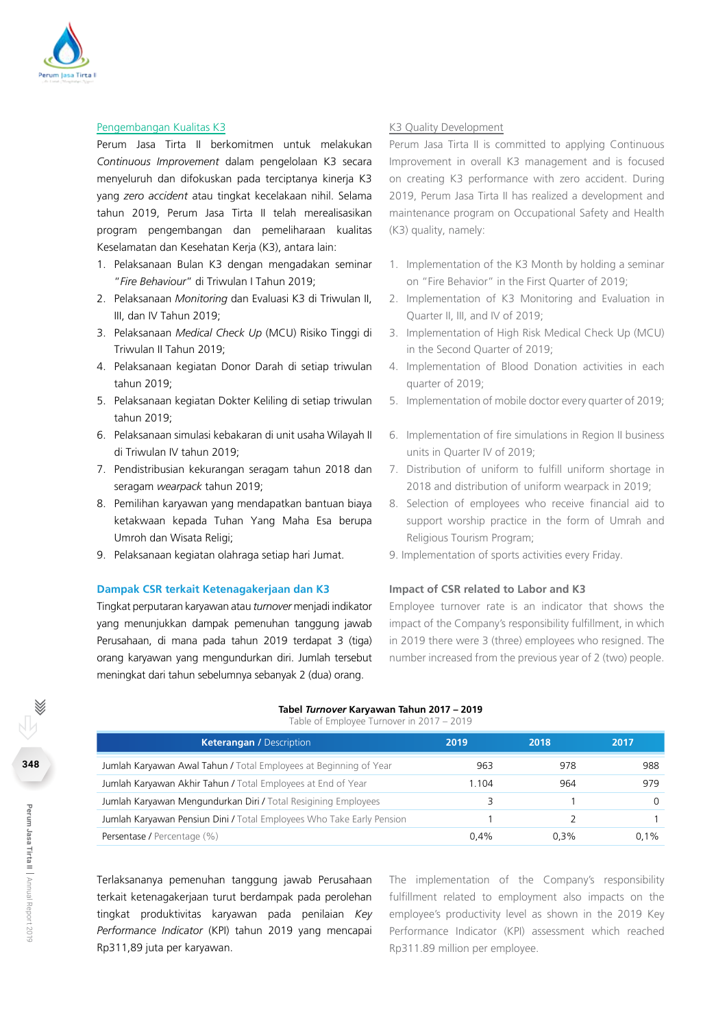

#### Pengembangan Kualitas K3

Perum Jasa Tirta II berkomitmen untuk melakukan *Continuous Improvement* dalam pengelolaan K3 secara menyeluruh dan difokuskan pada terciptanya kinerja K3 yang *zero accident* atau tingkat kecelakaan nihil. Selama tahun 2019, Perum Jasa Tirta II telah merealisasikan program pengembangan dan pemeliharaan kualitas Keselamatan dan Kesehatan Kerja (K3), antara lain:

- 1. Pelaksanaan Bulan K3 dengan mengadakan seminar "*Fire Behaviour*" di Triwulan I Tahun 2019;
- 2. Pelaksanaan *Monitoring* dan Evaluasi K3 di Triwulan II, III, dan IV Tahun 2019;
- 3. Pelaksanaan *Medical Check Up* (MCU) Risiko Tinggi di Triwulan II Tahun 2019;
- 4. Pelaksanaan kegiatan Donor Darah di setiap triwulan tahun 2019;
- 5. Pelaksanaan kegiatan Dokter Keliling di setiap triwulan tahun 2019;
- 6. Pelaksanaan simulasi kebakaran di unit usaha Wilayah II di Triwulan IV tahun 2019;
- 7. Pendistribusian kekurangan seragam tahun 2018 dan seragam *wearpack* tahun 2019;
- 8. Pemilihan karyawan yang mendapatkan bantuan biaya ketakwaan kepada Tuhan Yang Maha Esa berupa Umroh dan Wisata Religi;
- 9. Pelaksanaan kegiatan olahraga setiap hari Jumat.

#### **Dampak CSR terkait Ketenagakerjaan dan K3**

Tingkat perputaran karyawan atau *turnover* menjadi indikator yang menunjukkan dampak pemenuhan tanggung jawab Perusahaan, di mana pada tahun 2019 terdapat 3 (tiga) orang karyawan yang mengundurkan diri. Jumlah tersebut meningkat dari tahun sebelumnya sebanyak 2 (dua) orang.

#### K3 Quality Development

Perum Jasa Tirta II is committed to applying Continuous Improvement in overall K3 management and is focused on creating K3 performance with zero accident. During 2019, Perum Jasa Tirta II has realized a development and maintenance program on Occupational Safety and Health (K3) quality, namely:

- 1. Implementation of the K3 Month by holding a seminar on "Fire Behavior" in the First Quarter of 2019;
- 2. Implementation of K3 Monitoring and Evaluation in Quarter II, III, and IV of 2019;
- 3. Implementation of High Risk Medical Check Up (MCU) in the Second Quarter of 2019;
- 4. Implementation of Blood Donation activities in each quarter of 2019;
- 5. Implementation of mobile doctor every quarter of 2019;
- 6. Implementation of fire simulations in Region II business units in Quarter IV of 2019;
- 7. Distribution of uniform to fulfill uniform shortage in 2018 and distribution of uniform wearpack in 2019;
- 8. Selection of employees who receive financial aid to support worship practice in the form of Umrah and Religious Tourism Program;
- 9. Implementation of sports activities every Friday.

#### **Impact of CSR related to Labor and K3**

Employee turnover rate is an indicator that shows the impact of the Company's responsibility fulfillment, in which in 2019 there were 3 (three) employees who resigned. The number increased from the previous year of 2 (two) people.

#### **Tabel** *Turnover* **Karyawan Tahun 2017 – 2019** Table of Employee Turnover in 2017 – 2019

| <b>Keterangan / Description</b>                                       | 2019 | 2018 | 2017    |
|-----------------------------------------------------------------------|------|------|---------|
| Jumlah Karyawan Awal Tahun / Total Employees at Beginning of Year     | 963  | 978  | 988     |
| Jumlah Karyawan Akhir Tahun / Total Employees at End of Year          | .104 | 964  | 979     |
| Jumlah Karyawan Mengundurkan Diri / Total Resigining Employees        |      |      |         |
| Jumlah Karyawan Pensiun Dini / Total Employees Who Take Early Pension |      |      |         |
| Persentase / Percentage (%)                                           | 0.4% | 0.3% | $0.1\%$ |

Terlaksananya pemenuhan tanggung jawab Perusahaan terkait ketenagakerjaan turut berdampak pada perolehan tingkat produktivitas karyawan pada penilaian *Key Performance Indicator* (KPI) tahun 2019 yang mencapai Rp311,89 juta per karyawan.

The implementation of the Company's responsibility fulfillment related to employment also impacts on the employee's productivity level as shown in the 2019 Key Performance Indicator (KPI) assessment which reached Rp311.89 million per employee.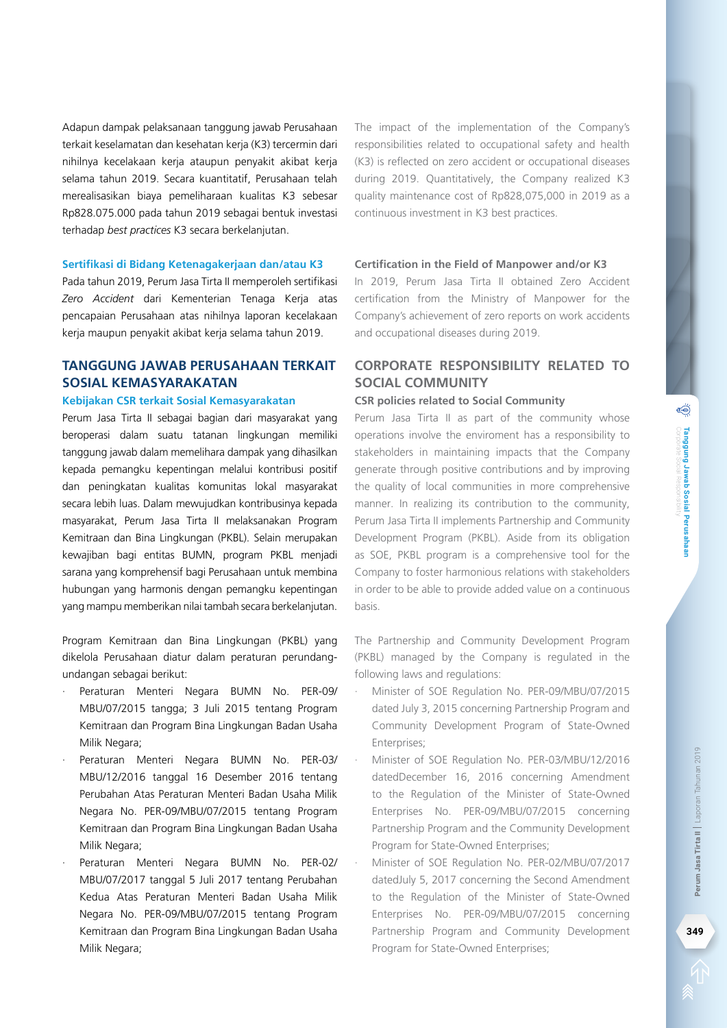Adapun dampak pelaksanaan tanggung jawab Perusahaan terkait keselamatan dan kesehatan kerja (K3) tercermin dari nihilnya kecelakaan kerja ataupun penyakit akibat kerja selama tahun 2019. Secara kuantitatif, Perusahaan telah merealisasikan biaya pemeliharaan kualitas K3 sebesar Rp828.075.000 pada tahun 2019 sebagai bentuk investasi terhadap *best practices* K3 secara berkelanjutan.

#### **Sertifikasi di Bidang Ketenagakerjaan dan/atau K3**

Pada tahun 2019, Perum Jasa Tirta II memperoleh sertifikasi *Zero Accident* dari Kementerian Tenaga Kerja atas pencapaian Perusahaan atas nihilnya laporan kecelakaan kerja maupun penyakit akibat kerja selama tahun 2019.

## **Tanggung Jawab Perusahaan terkait Sosial Kemasyarakatan**

#### **Kebijakan CSR terkait Sosial Kemasyarakatan**

Perum Jasa Tirta II sebagai bagian dari masyarakat yang beroperasi dalam suatu tatanan lingkungan memiliki tanggung jawab dalam memelihara dampak yang dihasilkan kepada pemangku kepentingan melalui kontribusi positif dan peningkatan kualitas komunitas lokal masyarakat secara lebih luas. Dalam mewujudkan kontribusinya kepada masyarakat, Perum Jasa Tirta II melaksanakan Program Kemitraan dan Bina Lingkungan (PKBL). Selain merupakan kewajiban bagi entitas BUMN, program PKBL menjadi sarana yang komprehensif bagi Perusahaan untuk membina hubungan yang harmonis dengan pemangku kepentingan yang mampu memberikan nilai tambah secara berkelanjutan.

Program Kemitraan dan Bina Lingkungan (PKBL) yang dikelola Perusahaan diatur dalam peraturan perundangundangan sebagai berikut:

- · Peraturan Menteri Negara BUMN No. PER-09/ MBU/07/2015 tangga; 3 Juli 2015 tentang Program Kemitraan dan Program Bina Lingkungan Badan Usaha Milik Negara;
- Peraturan Menteri Negara BUMN No. PER-03/ MBU/12/2016 tanggal 16 Desember 2016 tentang Perubahan Atas Peraturan Menteri Badan Usaha Milik Negara No. PER-09/MBU/07/2015 tentang Program Kemitraan dan Program Bina Lingkungan Badan Usaha Milik Negara;
- Peraturan Menteri Negara BUMN No. PER-02/ MBU/07/2017 tanggal 5 Juli 2017 tentang Perubahan Kedua Atas Peraturan Menteri Badan Usaha Milik Negara No. PER-09/MBU/07/2015 tentang Program Kemitraan dan Program Bina Lingkungan Badan Usaha Milik Negara;

The impact of the implementation of the Company's responsibilities related to occupational safety and health (K3) is reflected on zero accident or occupational diseases during 2019. Quantitatively, the Company realized K3 quality maintenance cost of Rp828,075,000 in 2019 as a continuous investment in K3 best practices.

#### **Certification in the Field of Manpower and/or K3**

In 2019, Perum Jasa Tirta II obtained Zero Accident certification from the Ministry of Manpower for the Company's achievement of zero reports on work accidents and occupational diseases during 2019.

## **Corporate Responsibility related to Social Community**

#### **CSR policies related to Social Community**

Perum Jasa Tirta II as part of the community whose operations involve the enviroment has a responsibility to stakeholders in maintaining impacts that the Company generate through positive contributions and by improving the quality of local communities in more comprehensive manner. In realizing its contribution to the community, Perum Jasa Tirta II implements Partnership and Community Development Program (PKBL). Aside from its obligation as SOE, PKBL program is a comprehensive tool for the Company to foster harmonious relations with stakeholders in order to be able to provide added value on a continuous basis.

The Partnership and Community Development Program (PKBL) managed by the Company is regulated in the following laws and regulations:

- · Minister of SOE Regulation No. PER-09/MBU/07/2015 dated July 3, 2015 concerning Partnership Program and Community Development Program of State-Owned Enterprises;
- · Minister of SOE Regulation No. PER-03/MBU/12/2016 datedDecember 16, 2016 concerning Amendment to the Regulation of the Minister of State-Owned Enterprises No. PER-09/MBU/07/2015 concerning Partnership Program and the Community Development Program for State-Owned Enterprises;
- · Minister of SOE Regulation No. PER-02/MBU/07/2017 datedJuly 5, 2017 concerning the Second Amendment to the Regulation of the Minister of State-Owned Enterprises No. PER-09/MBU/07/2015 concerning Partnership Program and Community Development Program for State-Owned Enterprises;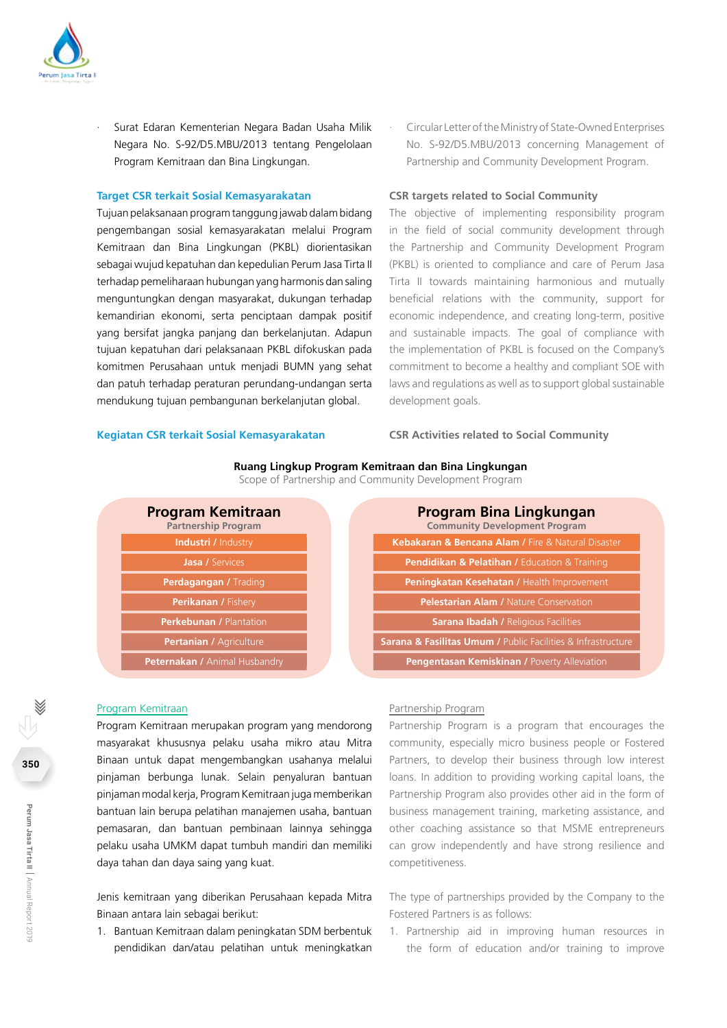

Surat Edaran Kementerian Negara Badan Usaha Milik Negara No. S-92/D5.MBU/2013 tentang Pengelolaan Program Kemitraan dan Bina Lingkungan.

#### **Target CSR terkait Sosial Kemasyarakatan**

Tujuan pelaksanaan program tanggung jawab dalam bidang pengembangan sosial kemasyarakatan melalui Program Kemitraan dan Bina Lingkungan (PKBL) diorientasikan sebagai wujud kepatuhan dan kepedulian Perum Jasa Tirta II terhadap pemeliharaan hubungan yang harmonis dan saling menguntungkan dengan masyarakat, dukungan terhadap kemandirian ekonomi, serta penciptaan dampak positif yang bersifat jangka panjang dan berkelanjutan. Adapun tujuan kepatuhan dari pelaksanaan PKBL difokuskan pada komitmen Perusahaan untuk menjadi BUMN yang sehat dan patuh terhadap peraturan perundang-undangan serta mendukung tujuan pembangunan berkelanjutan global.

· Circular Letter of the Ministry of State-Owned Enterprises No. S-92/D5.MBU/2013 concerning Management of Partnership and Community Development Program.

#### **CSR targets related to Social Community**

The objective of implementing responsibility program in the field of social community development through the Partnership and Community Development Program (PKBL) is oriented to compliance and care of Perum Jasa Tirta II towards maintaining harmonious and mutually beneficial relations with the community, support for economic independence, and creating long-term, positive and sustainable impacts. The goal of compliance with the implementation of PKBL is focused on the Company's commitment to become a healthy and compliant SOE with laws and regulations as well as to support global sustainable development goals.

#### **Kegiatan CSR terkait Sosial Kemasyarakatan**

#### **CSR Activities related to Social Community**

#### **Ruang Lingkup Program Kemitraan dan Bina Lingkungan**

Scope of Partnership and Community Development Program

| <b>Program Kemitraan</b><br><b>Partnership Program</b> | Program Bina Lingkungan<br><b>Community Development Program</b>             |
|--------------------------------------------------------|-----------------------------------------------------------------------------|
| <b>Industri / Industry</b>                             | Kebakaran & Bencana Alam / Fire & Natural Disaster                          |
| <b>Jasa / Services</b>                                 | <b>Pendidikan &amp; Pelatihan / Education &amp; Training</b>                |
| <b>Perdagangan / Trading</b>                           | Peningkatan Kesehatan / Health Improvement                                  |
| Perikanan / Fishery                                    | <b>Pelestarian Alam / Nature Conservation</b>                               |
| <b>Perkebunan / Plantation</b>                         | <b>Sarana Ibadah / Religious Facilities</b>                                 |
| <b>Pertanian / Agriculture</b>                         | <b>Sarana &amp; Fasilitas Umum / Public Facilities &amp; Infrastructure</b> |
| Peternakan / Animal Husbandry                          | Pengentasan Kemiskinan / Poverty Alleviation                                |

#### Program Kemitraan

Program Kemitraan merupakan program yang mendorong masyarakat khususnya pelaku usaha mikro atau Mitra Binaan untuk dapat mengembangkan usahanya melalui pinjaman berbunga lunak. Selain penyaluran bantuan pinjaman modal kerja, Program Kemitraan juga memberikan bantuan lain berupa pelatihan manajemen usaha, bantuan pemasaran, dan bantuan pembinaan lainnya sehingga pelaku usaha UMKM dapat tumbuh mandiri dan memiliki daya tahan dan daya saing yang kuat.

Jenis kemitraan yang diberikan Perusahaan kepada Mitra Binaan antara lain sebagai berikut:

1. Bantuan Kemitraan dalam peningkatan SDM berbentuk pendidikan dan/atau pelatihan untuk meningkatkan

#### Partnership Program

Partnership Program is a program that encourages the community, especially micro business people or Fostered Partners, to develop their business through low interest loans. In addition to providing working capital loans, the Partnership Program also provides other aid in the form of business management training, marketing assistance, and other coaching assistance so that MSME entrepreneurs can grow independently and have strong resilience and competitiveness.

The type of partnerships provided by the Company to the Fostered Partners is as follows:

1. Partnership aid in improving human resources in the form of education and/or training to improve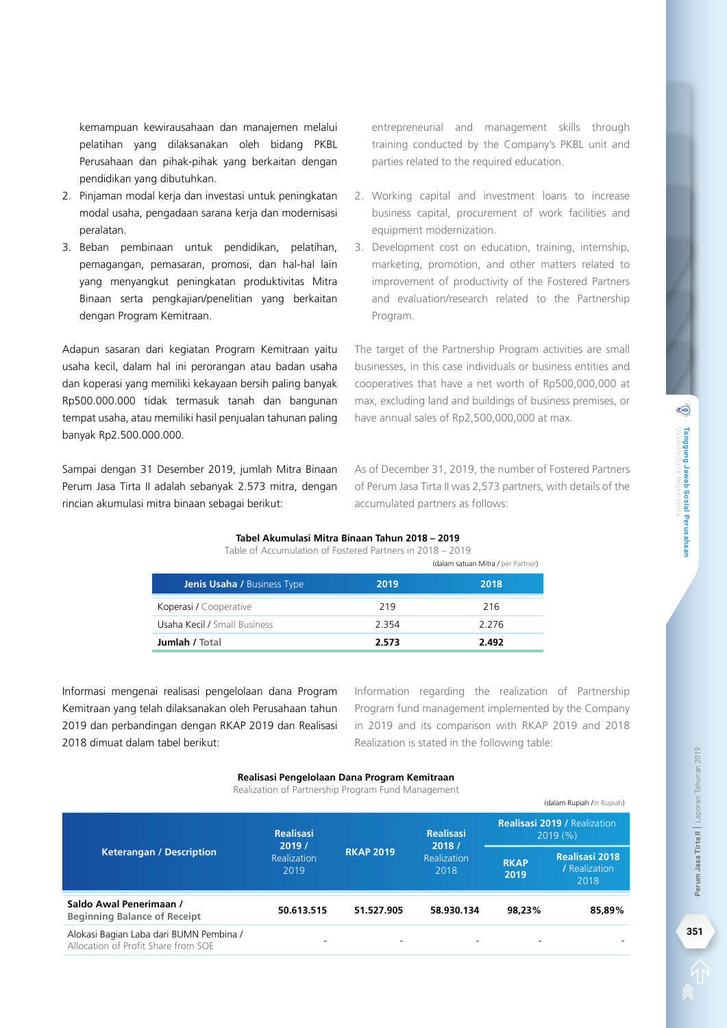kemampuan kewirausahaan dan manajemen melalui pelatihan yang dilaksanakan oleh bidang PKBL Perusahaan dan pihak-pihak yang berkaitan dengan pendidikan yang dibutuhkan.

- 2. Pinjaman modal kerja dan investasi untuk peningkatan modal usaha, pengadaan sarana kerja dan modernisasi peralatan.
- 3. Beban pembinaan untuk pendidikan, pelatihan, pemagangan, pemasaran, promosi, dan hal-hal lain yang menyangkut peningkatan produktivitas Mitra Binaan serta pengkajian/penelitian yang berkaitan dengan Program Kemitraan.

Adapun sasaran dari kegiatan Program Kemitraan yaitu usaha kecil, dalam hal ini perorangan atau badan usaha dan koperasi yang memiliki kekayaan bersih paling banyak Rp500.000.000 tidak termasuk tanah dan bangunan tempat usaha, atau memiliki hasil penjualan tahunan paling banyak Rp2.500.000.000.

Sampai dengan 31 Desember 2019, jumlah Mitra Binaan Perum Jasa Tirta II adalah sebanyak 2.573 mitra, dengan rincian akumulasi mitra binaan sebagai berikut:

entrepreneurial and management skills through training conducted by the Company's PKBL unit and parties related to the required education.

- 2. Working capital and investment loans to increase business capital, procurement of work facilities and equipment modernization.
- 3. Development cost on education, training, internship, marketing, promotion, and other matters related to improvement of productivity of the Fostered Partners and evaluation/research related to the Partnership Program.

The target of the Partnership Program activities are small businesses, in this case individuals or business entities and cooperatives that have a net worth of Rp500,000,000 at max, excluding land and buildings of business premises, or have annual sales of Rp2,500,000,000 at max.

As of December 31, 2019, the number of Fostered Partners of Perum Jasa Tirta II was 2,573 partners, with details of the accumulated partners as follows:

## **Tabel Akumulasi Mitra Binaan Tahun 2018 – 2019**

| Table of Accumulation of Fostered Partners in 2018 – 2019 |                                   |
|-----------------------------------------------------------|-----------------------------------|
|                                                           | Idalam catuan Mitro I nor Dartnor |

|                              |       | $\alpha$ |
|------------------------------|-------|----------|
| Jenis Usaha / Business Type  | 2019  | 2018     |
| Koperasi / Cooperative       | 219   | 216      |
| Usaha Kecil / Small Business | 2354  | 2.276    |
| <b>Jumlah / Total</b>        | 2.573 | 2.492    |

Informasi mengenai realisasi pengelolaan dana Program Kemitraan yang telah dilaksanakan oleh Perusahaan tahun 2019 dan perbandingan dengan RKAP 2019 dan Realisasi 2018 dimuat dalam tabel berikut:

Information regarding the realization of Partnership Program fund management implemented by the Company in 2019 and its comparison with RKAP 2019 and 2018 Realization is stated in the following table:

(dalam Rupiah /in Rupiah)

#### **Realisasi Pengelolaan Dana Program Kemitraan**

Realization of Partnership Program Fund Management

|                                                                                |                                     |                  |                                                |                          | <i>(Galari Kupian /III Kupian)</i>      |
|--------------------------------------------------------------------------------|-------------------------------------|------------------|------------------------------------------------|--------------------------|-----------------------------------------|
|                                                                                | <b>Realisasi</b>                    | <b>Realisasi</b> | <b>Realisasi 2019 / Realization</b><br>2019(%) |                          |                                         |
| <b>Keterangan / Description</b>                                                | 2019/<br><b>Realization</b><br>2019 | <b>RKAP 2019</b> | 2018/<br><b>Realization</b><br>2018            | <b>RKAP</b><br>2019      | Realisasi 2018<br>/ Realization<br>2018 |
| Saldo Awal Penerimaan /<br><b>Beginning Balance of Receipt</b>                 | 50.613.515                          | 51.527.905       | 58.930.134                                     | 98.23%                   | 85.89%                                  |
| Alokasi Bagian Laba dari BUMN Pembina /<br>Allocation of Profit Share from SOE | $\overline{\phantom{0}}$            | $\blacksquare$   | $\overline{\phantom{0}}$                       | $\overline{\phantom{0}}$ |                                         |

Perum Jasa Tirta II | Laporan Tahunan 2019 **351Perum Jasa Tirta II** Laporan Tahunan 2019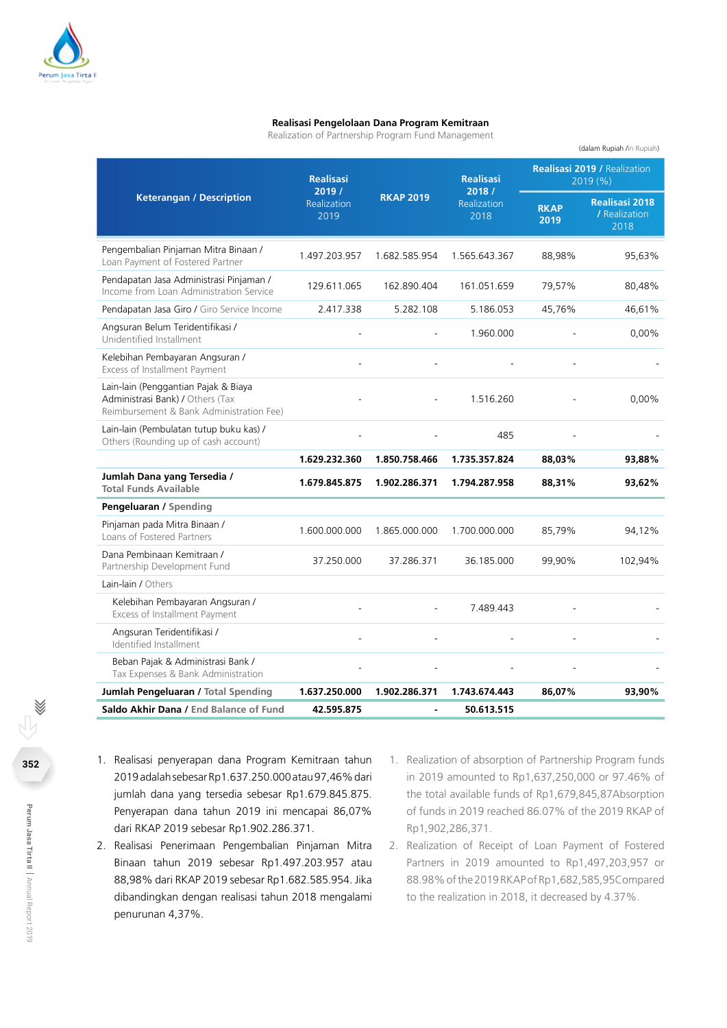

#### **Realisasi Pengelolaan Dana Program Kemitraan**

Realization of Partnership Program Fund Management

| <b>Keterangan / Description</b>                                                                                      | <b>Realisasi</b><br>2019 /<br><b>Realization</b><br>2019 | <b>RKAP 2019</b> | <b>Realisasi</b><br>2018 /<br><b>Realization</b><br>2018 | <b>Realisasi 2019 / Realization</b><br>2019(%) |                                                |
|----------------------------------------------------------------------------------------------------------------------|----------------------------------------------------------|------------------|----------------------------------------------------------|------------------------------------------------|------------------------------------------------|
|                                                                                                                      |                                                          |                  |                                                          | <b>RKAP</b><br>2019                            | <b>Realisasi 2018</b><br>/ Realization<br>2018 |
| Pengembalian Pinjaman Mitra Binaan /<br>Loan Payment of Fostered Partner                                             | 1.497.203.957                                            | 1.682.585.954    | 1.565.643.367                                            | 88,98%                                         | 95,63%                                         |
| Pendapatan Jasa Administrasi Pinjaman /<br>Income from Loan Administration Service                                   | 129.611.065                                              | 162.890.404      | 161.051.659                                              | 79,57%                                         | 80,48%                                         |
| Pendapatan Jasa Giro / Giro Service Income                                                                           | 2.417.338                                                | 5.282.108        | 5.186.053                                                | 45,76%                                         | 46,61%                                         |
| Angsuran Belum Teridentifikasi /<br>Unidentified Installment                                                         |                                                          |                  | 1.960.000                                                |                                                | 0,00%                                          |
| Kelebihan Pembayaran Angsuran /<br>Excess of Installment Payment                                                     |                                                          |                  |                                                          |                                                |                                                |
| Lain-lain (Penggantian Pajak & Biaya<br>Administrasi Bank) / Others (Tax<br>Reimbursement & Bank Administration Fee) |                                                          |                  | 1.516.260                                                |                                                | 0,00%                                          |
| Lain-lain (Pembulatan tutup buku kas) /<br>Others (Rounding up of cash account)                                      |                                                          |                  | 485                                                      |                                                |                                                |
|                                                                                                                      | 1.629.232.360                                            | 1.850.758.466    | 1.735.357.824                                            | 88,03%                                         | 93,88%                                         |
| Jumlah Dana yang Tersedia /<br><b>Total Funds Available</b>                                                          | 1.679.845.875                                            | 1.902.286.371    | 1.794.287.958                                            | 88,31%                                         | 93,62%                                         |
| Pengeluaran / Spending                                                                                               |                                                          |                  |                                                          |                                                |                                                |
| Pinjaman pada Mitra Binaan /<br>Loans of Fostered Partners                                                           | 1.600.000.000                                            | 1.865.000.000    | 1.700.000.000                                            | 85,79%                                         | 94,12%                                         |
| Dana Pembinaan Kemitraan /<br>Partnership Development Fund                                                           | 37.250.000                                               | 37.286.371       | 36.185.000                                               | 99,90%                                         | 102,94%                                        |
| Lain-lain / Others                                                                                                   |                                                          |                  |                                                          |                                                |                                                |
| Kelebihan Pembayaran Angsuran /<br>Excess of Installment Payment                                                     |                                                          |                  | 7.489.443                                                |                                                |                                                |
| Angsuran Teridentifikasi /<br>Identified Installment                                                                 |                                                          |                  |                                                          |                                                |                                                |
| Beban Pajak & Administrasi Bank /<br>Tax Expenses & Bank Administration                                              |                                                          |                  |                                                          |                                                |                                                |
| Jumlah Pengeluaran / Total Spending                                                                                  | 1.637.250.000                                            | 1.902.286.371    | 1.743.674.443                                            | 86.07%                                         | 93.90%                                         |
| Saldo Akhir Dana / End Balance of Fund                                                                               | 42.595.875                                               |                  | 50.613.515                                               |                                                |                                                |

- 1. Realisasi penyerapan dana Program Kemitraan tahun 2019 adalah sebesar Rp1.637.250.000 atau 97,46% dari jumlah dana yang tersedia sebesar Rp1.679.845.875. Penyerapan dana tahun 2019 ini mencapai 86,07% dari RKAP 2019 sebesar Rp1.902.286.371.
- 2. Realisasi Penerimaan Pengembalian Pinjaman Mitra Binaan tahun 2019 sebesar Rp1.497.203.957 atau 88,98% dari RKAP 2019 sebesar Rp1.682.585.954. Jika dibandingkan dengan realisasi tahun 2018 mengalami penurunan 4,37%.
- 1. Realization of absorption of Partnership Program funds in 2019 amounted to Rp1,637,250,000 or 97.46% of the total available funds of Rp1,679,845,87Absorption of funds in 2019 reached 86.07% of the 2019 RKAP of Rp1,902,286,371.

(dalam Rupiah /in Rupiah)

2. Realization of Receipt of Loan Payment of Fostered Partners in 2019 amounted to Rp1,497,203,957 or 88.98% of the 2019 RKAP of Rp1,682,585,95Compared to the realization in 2018, it decreased by 4.37%.

÷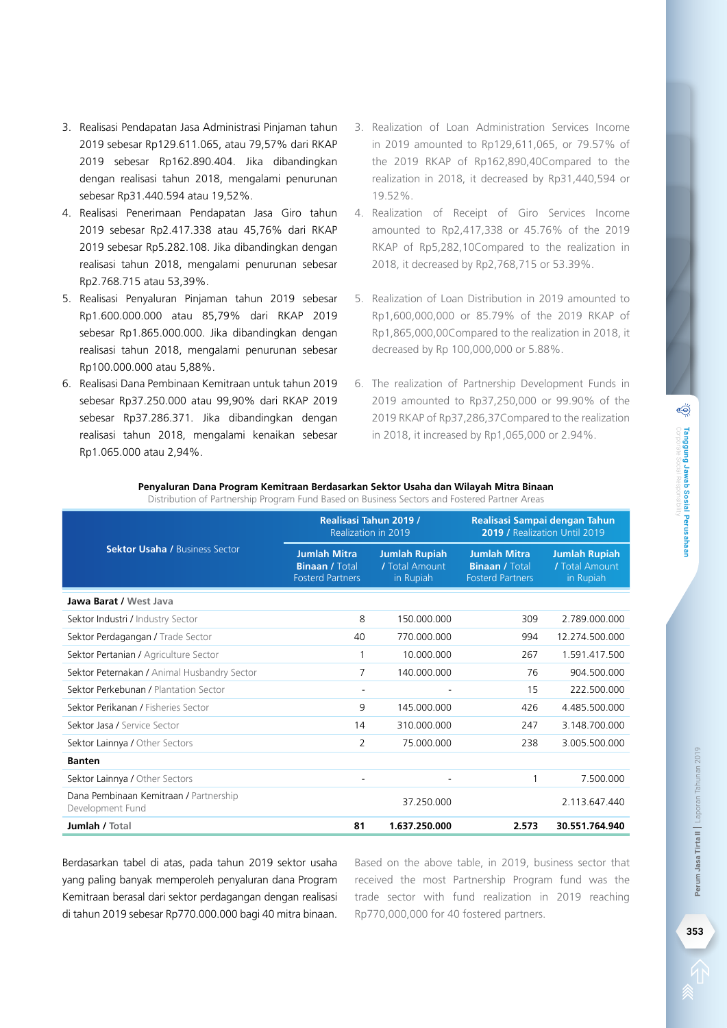- 3. Realisasi Pendapatan Jasa Administrasi Pinjaman tahun 2019 sebesar Rp129.611.065, atau 79,57% dari RKAP 2019 sebesar Rp162.890.404. Jika dibandingkan dengan realisasi tahun 2018, mengalami penurunan sebesar Rp31.440.594 atau 19,52%.
- 4. Realisasi Penerimaan Pendapatan Jasa Giro tahun 2019 sebesar Rp2.417.338 atau 45,76% dari RKAP 2019 sebesar Rp5.282.108. Jika dibandingkan dengan realisasi tahun 2018, mengalami penurunan sebesar Rp2.768.715 atau 53,39%.
- 5. Realisasi Penyaluran Pinjaman tahun 2019 sebesar Rp1.600.000.000 atau 85,79% dari RKAP 2019 sebesar Rp1.865.000.000. Jika dibandingkan dengan realisasi tahun 2018, mengalami penurunan sebesar Rp100.000.000 atau 5,88%.
- 6. Realisasi Dana Pembinaan Kemitraan untuk tahun 2019 sebesar Rp37.250.000 atau 99,90% dari RKAP 2019 sebesar Rp37.286.371. Jika dibandingkan dengan realisasi tahun 2018, mengalami kenaikan sebesar Rp1.065.000 atau 2,94%.
- 3. Realization of Loan Administration Services Income in 2019 amounted to Rp129,611,065, or 79.57% of the 2019 RKAP of Rp162,890,40Compared to the realization in 2018, it decreased by Rp31,440,594 or 19.52%.
- 4. Realization of Receipt of Giro Services Income amounted to Rp2,417,338 or 45.76% of the 2019 RKAP of Rp5,282,10Compared to the realization in 2018, it decreased by Rp2,768,715 or 53.39%.
- 5. Realization of Loan Distribution in 2019 amounted to Rp1,600,000,000 or 85.79% of the 2019 RKAP of Rp1,865,000,00Compared to the realization in 2018, it decreased by Rp 100,000,000 or 5.88%.
- 6. The realization of Partnership Development Funds in 2019 amounted to Rp37,250,000 or 99.90% of the 2019 RKAP of Rp37,286,37Compared to the realization in 2018, it increased by Rp1,065,000 or 2.94%.

|                                                            | Realisasi Tahun 2019 /<br>Realization in 2019                           |                                                     | Realisasi Sampai dengan Tahun<br>2019 / Realization Until 2019          |                                                     |
|------------------------------------------------------------|-------------------------------------------------------------------------|-----------------------------------------------------|-------------------------------------------------------------------------|-----------------------------------------------------|
| <b>Sektor Usaha / Business Sector</b>                      | <b>Jumlah Mitra</b><br><b>Binaan / Total</b><br><b>Fosterd Partners</b> | <b>Jumlah Rupiah</b><br>/ Total Amount<br>in Rupiah | <b>Jumlah Mitra</b><br><b>Binaan / Total</b><br><b>Fosterd Partners</b> | <b>Jumlah Rupiah</b><br>/ Total Amount<br>in Rupiah |
| Jawa Barat / West Java                                     |                                                                         |                                                     |                                                                         |                                                     |
| Sektor Industri / Industry Sector                          | 8                                                                       | 150.000.000                                         | 309                                                                     | 2.789.000.000                                       |
| Sektor Perdagangan / Trade Sector                          | 40                                                                      | 770.000.000                                         | 994                                                                     | 12.274.500.000                                      |
| Sektor Pertanian / Agriculture Sector                      | 1                                                                       | 10.000.000                                          | 267                                                                     | 1.591.417.500                                       |
| Sektor Peternakan / Animal Husbandry Sector                | 7                                                                       | 140.000.000                                         | 76                                                                      | 904.500.000                                         |
| Sektor Perkebunan / Plantation Sector                      |                                                                         |                                                     | 15                                                                      | 222.500.000                                         |
| Sektor Perikanan / Fisheries Sector                        | 9                                                                       | 145.000.000                                         | 426                                                                     | 4.485.500.000                                       |
| Sektor Jasa / Service Sector                               | 14                                                                      | 310.000.000                                         | 247                                                                     | 3.148.700.000                                       |
| Sektor Lainnya / Other Sectors                             | 2                                                                       | 75.000.000                                          | 238                                                                     | 3.005.500.000                                       |
| <b>Banten</b>                                              |                                                                         |                                                     |                                                                         |                                                     |
| Sektor Lainnya / Other Sectors                             |                                                                         |                                                     |                                                                         | 7.500.000                                           |
| Dana Pembinaan Kemitraan / Partnership<br>Development Fund |                                                                         | 37.250.000                                          |                                                                         | 2.113.647.440                                       |
| Jumlah / Total                                             | 81                                                                      | 1.637.250.000                                       | 2.573                                                                   | 30.551.764.940                                      |

#### **Penyaluran Dana Program Kemitraan Berdasarkan Sektor Usaha dan Wilayah Mitra Binaan**

Distribution of Partnership Program Fund Based on Business Sectors and Fostered Partner Areas

Berdasarkan tabel di atas, pada tahun 2019 sektor usaha yang paling banyak memperoleh penyaluran dana Program Kemitraan berasal dari sektor perdagangan dengan realisasi di tahun 2019 sebesar Rp770.000.000 bagi 40 mitra binaan.

Based on the above table, in 2019, business sector that received the most Partnership Program fund was the trade sector with fund realization in 2019 reaching Rp770,000,000 for 40 fostered partners.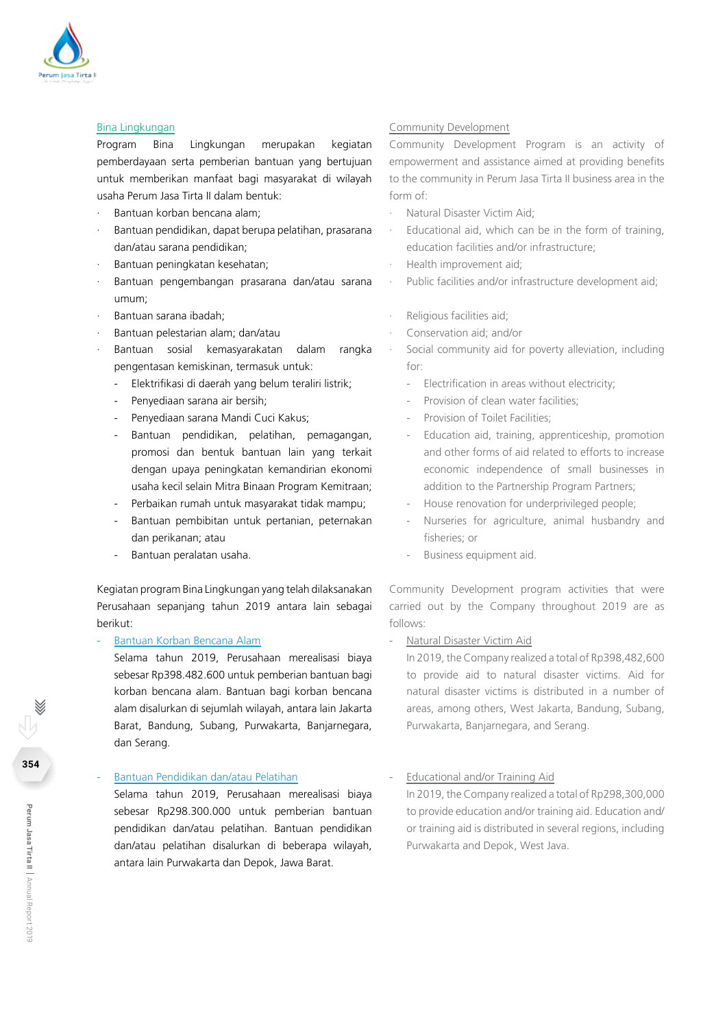

## Bina Lingkungan

Program Bina Lingkungan merupakan kegiatan pemberdayaan serta pemberian bantuan yang bertujuan untuk memberikan manfaat bagi masyarakat di wilayah usaha Perum Jasa Tirta II dalam bentuk:

- · Bantuan korban bencana alam;
- Bantuan pendidikan, dapat berupa pelatihan, prasarana dan/atau sarana pendidikan;
- · Bantuan peningkatan kesehatan;
- · Bantuan pengembangan prasarana dan/atau sarana umum;
- · Bantuan sarana ibadah;
- Bantuan pelestarian alam; dan/atau
- · Bantuan sosial kemasyarakatan dalam rangka pengentasan kemiskinan, termasuk untuk:
	- Elektrifikasi di daerah yang belum teraliri listrik;
	- Penyediaan sarana air bersih:
	- Penyediaan sarana Mandi Cuci Kakus;
	- Bantuan pendidikan, pelatihan, pemagangan, promosi dan bentuk bantuan lain yang terkait dengan upaya peningkatan kemandirian ekonomi usaha kecil selain Mitra Binaan Program Kemitraan;
	- Perbaikan rumah untuk masyarakat tidak mampu;
	- Bantuan pembibitan untuk pertanian, peternakan dan perikanan; atau
	- Bantuan peralatan usaha.

Kegiatan program Bina Lingkungan yang telah dilaksanakan Perusahaan sepanjang tahun 2019 antara lain sebagai berikut:

#### Bantuan Korban Bencana Alam

Selama tahun 2019, Perusahaan merealisasi biaya sebesar Rp398.482.600 untuk pemberian bantuan bagi korban bencana alam. Bantuan bagi korban bencana alam disalurkan di sejumlah wilayah, antara lain Jakarta Barat, Bandung, Subang, Purwakarta, Banjarnegara, dan Serang.

#### Bantuan Pendidikan dan/atau Pelatihan

Selama tahun 2019, Perusahaan merealisasi biaya sebesar Rp298.300.000 untuk pemberian bantuan pendidikan dan/atau pelatihan. Bantuan pendidikan dan/atau pelatihan disalurkan di beberapa wilayah, antara lain Purwakarta dan Depok, Jawa Barat.

#### Community Development

Community Development Program is an activity of empowerment and assistance aimed at providing benefits to the community in Perum Jasa Tirta II business area in the form of:

- · Natural Disaster Victim Aid;
- Educational aid, which can be in the form of training, education facilities and/or infrastructure;
- · Health improvement aid;
- Public facilities and/or infrastructure development aid;
- Religious facilities aid;
- · Conservation aid; and/or
	- Social community aid for poverty alleviation, including for:
		- Electrification in areas without electricity;
		- Provision of clean water facilities:
		- Provision of Toilet Facilities:
		- Education aid, training, apprenticeship, promotion and other forms of aid related to efforts to increase economic independence of small businesses in addition to the Partnership Program Partners;
		- House renovation for underprivileged people;
		- Nurseries for agriculture, animal husbandry and fisheries; or
		- Business equipment aid.

Community Development program activities that were carried out by the Company throughout 2019 are as follows:

- Natural Disaster Victim Aid

In 2019, the Company realized a total of Rp398,482,600 to provide aid to natural disaster victims. Aid for natural disaster victims is distributed in a number of areas, among others, West Jakarta, Bandung, Subang, Purwakarta, Banjarnegara, and Serang.

- Educational and/or Training Aid

In 2019, the Company realized a total of Rp298,300,000 to provide education and/or training aid. Education and/ or training aid is distributed in several regions, including Purwakarta and Depok, West Java.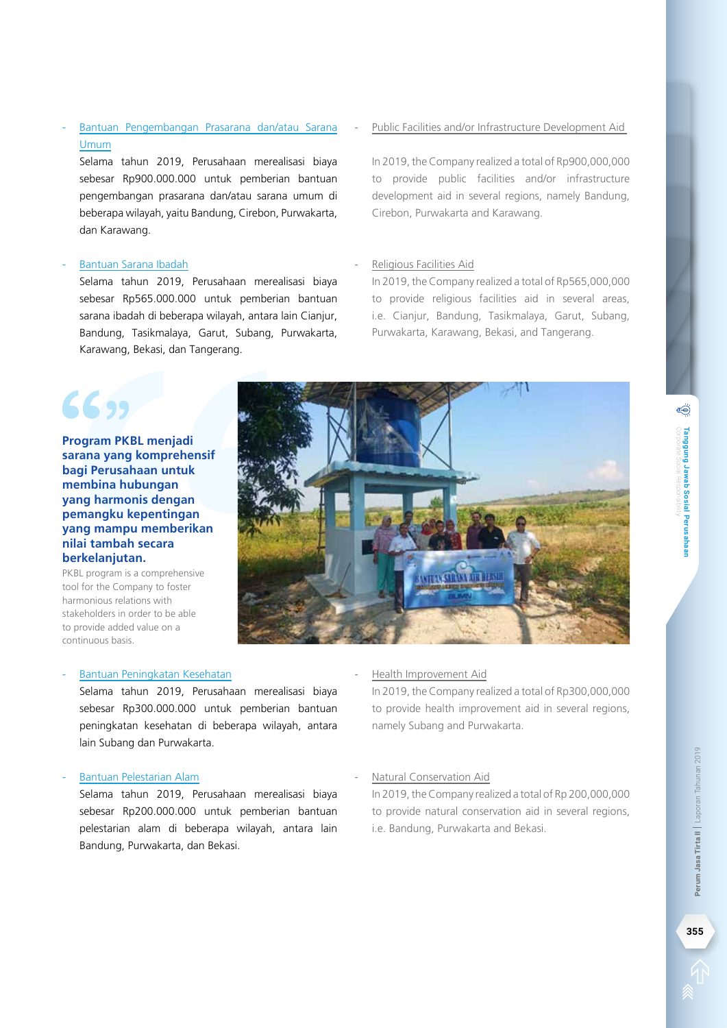## Bantuan Pengembangan Prasarana dan/atau Sarana Umum

Selama tahun 2019, Perusahaan merealisasi biaya sebesar Rp900.000.000 untuk pemberian bantuan pengembangan prasarana dan/atau sarana umum di beberapa wilayah, yaitu Bandung, Cirebon, Purwakarta, dan Karawang.

#### - Bantuan Sarana Ibadah

Selama tahun 2019, Perusahaan merealisasi biaya sebesar Rp565.000.000 untuk pemberian bantuan sarana ibadah di beberapa wilayah, antara lain Cianjur, Bandung, Tasikmalaya, Garut, Subang, Purwakarta, Karawang, Bekasi, dan Tangerang.

## Public Facilities and/or Infrastructure Development Aid

In 2019, the Company realized a total of Rp900,000,000 to provide public facilities and/or infrastructure development aid in several regions, namely Bandung, Cirebon, Purwakarta and Karawang.

#### - Religious Facilities Aid

In 2019, the Company realized a total of Rp565,000,000 to provide religious facilities aid in several areas, i.e. Cianjur, Bandung, Tasikmalaya, Garut, Subang, Purwakarta, Karawang, Bekasi, and Tangerang.

## 6699 **Program PKBL menjadi sarana yang komprehensif**

**bagi Perusahaan untuk membina hubungan yang harmonis dengan pemangku kepentingan yang mampu memberikan nilai tambah secara berkelanjutan.** 

PKBL program is a comprehensive tool for the Company to foster harmonious relations with stakeholders in order to be able to provide added value on a continuous basis.

## Bantuan Peningkatan Kesehatan

Selama tahun 2019, Perusahaan merealisasi biaya sebesar Rp300.000.000 untuk pemberian bantuan peningkatan kesehatan di beberapa wilayah, antara lain Subang dan Purwakarta.

#### Bantuan Pelestarian Alam

Selama tahun 2019, Perusahaan merealisasi biaya sebesar Rp200.000.000 untuk pemberian bantuan pelestarian alam di beberapa wilayah, antara lain Bandung, Purwakarta, dan Bekasi.

#### - Health Improvement Aid

In 2019, the Company realized a total of Rp300,000,000 to provide health improvement aid in several regions, namely Subang and Purwakarta.

#### Natural Conservation Aid

In 2019, the Company realized a total of Rp 200,000,000 to provide natural conservation aid in several regions, i.e. Bandung, Purwakarta and Bekasi.



per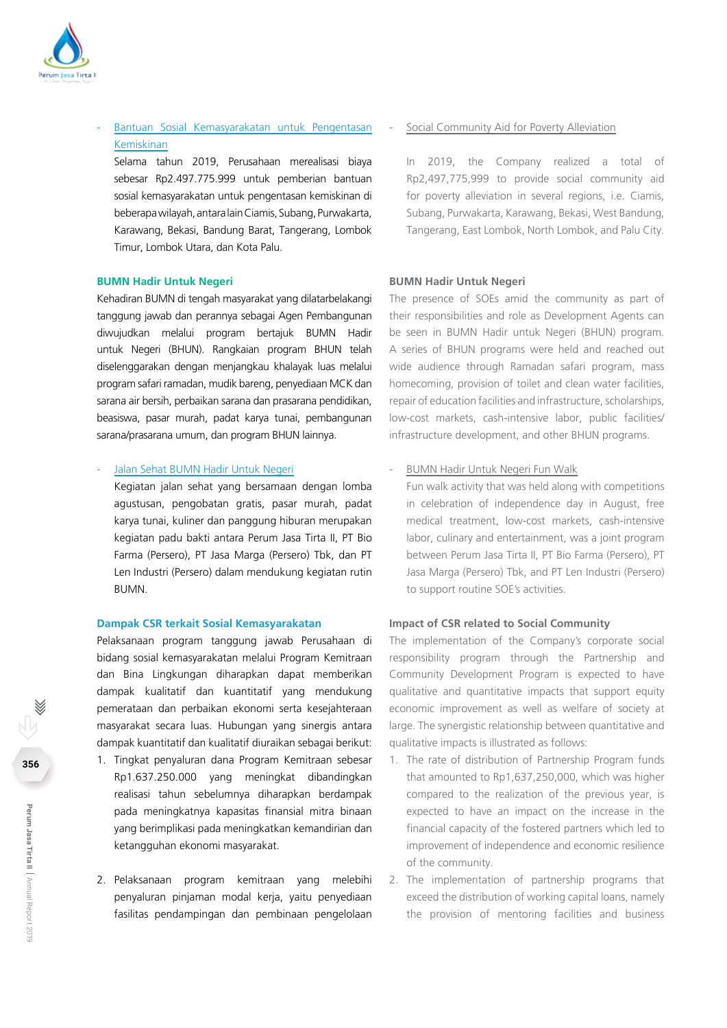

- Bantuan Sosial Kemasyarakatan untuk Pengentasan Kemiskinan

Selama tahun 2019, Perusahaan merealisasi biaya sebesar Rp2.497.775.999 untuk pemberian bantuan sosial kemasyarakatan untuk pengentasan kemiskinan di beberapa wilayah, antara lain Ciamis, Subang, Purwakarta, Karawang, Bekasi, Bandung Barat, Tangerang, Lombok Timur, Lombok Utara, dan Kota Palu.

#### **BUMN Hadir Untuk Negeri**

Kehadiran BUMN di tengah masyarakat yang dilatarbelakangi tanggung jawab dan perannya sebagai Agen Pembangunan diwujudkan melalui program bertajuk BUMN Hadir untuk Negeri (BHUN). Rangkaian program BHUN telah diselenggarakan dengan menjangkau khalayak luas melalui program safari ramadan, mudik bareng, penyediaan MCK dan sarana air bersih, perbaikan sarana dan prasarana pendidikan, beasiswa, pasar murah, padat karya tunai, pembangunan sarana/prasarana umum, dan program BHUN lainnya.

#### Jalan Sehat BUMN Hadir Untuk Negeri

Kegiatan jalan sehat yang bersamaan dengan lomba agustusan, pengobatan gratis, pasar murah, padat karya tunai, kuliner dan panggung hiburan merupakan kegiatan padu bakti antara Perum Jasa Tirta II, PT Bio Farma (Persero), PT Jasa Marga (Persero) Tbk, dan PT Len Industri (Persero) dalam mendukung kegiatan rutin BUMN.

#### **Dampak CSR terkait Sosial Kemasyarakatan**

Pelaksanaan program tanggung jawab Perusahaan di bidang sosial kemasyarakatan melalui Program Kemitraan dan Bina Lingkungan diharapkan dapat memberikan dampak kualitatif dan kuantitatif yang mendukung pemerataan dan perbaikan ekonomi serta kesejahteraan masyarakat secara luas. Hubungan yang sinergis antara dampak kuantitatif dan kualitatif diuraikan sebagai berikut:

- 1. Tingkat penyaluran dana Program Kemitraan sebesar Rp1.637.250.000 yang meningkat dibandingkan realisasi tahun sebelumnya diharapkan berdampak pada meningkatnya kapasitas finansial mitra binaan yang berimplikasi pada meningkatkan kemandirian dan ketangguhan ekonomi masyarakat.
- 2. Pelaksanaan program kemitraan yang melebihi penyaluran pinjaman modal kerja, yaitu penyediaan fasilitas pendampingan dan pembinaan pengelolaan

#### Social Community Aid for Poverty Alleviation

In 2019, the Company realized a total of Rp2,497,775,999 to provide social community aid for poverty alleviation in several regions, i.e. Ciamis, Subang, Purwakarta, Karawang, Bekasi, West Bandung, Tangerang, East Lombok, North Lombok, and Palu City.

#### **BUMN Hadir Untuk Negeri**

The presence of SOEs amid the community as part of their responsibilities and role as Development Agents can be seen in BUMN Hadir untuk Negeri (BHUN) program. A series of BHUN programs were held and reached out wide audience through Ramadan safari program, mass homecoming, provision of toilet and clean water facilities, repair of education facilities and infrastructure, scholarships, low-cost markets, cash-intensive labor, public facilities/ infrastructure development, and other BHUN programs.

#### - BUMN Hadir Untuk Negeri Fun Walk

Fun walk activity that was held along with competitions in celebration of independence day in August, free medical treatment, low-cost markets, cash-intensive labor, culinary and entertainment, was a joint program between Perum Jasa Tirta II, PT Bio Farma (Persero), PT Jasa Marga (Persero) Tbk, and PT Len Industri (Persero) to support routine SOE's activities.

#### **Impact of CSR related to Social Community**

The implementation of the Company's corporate social responsibility program through the Partnership and Community Development Program is expected to have qualitative and quantitative impacts that support equity economic improvement as well as welfare of society at large. The synergistic relationship between quantitative and qualitative impacts is illustrated as follows:

- 1. The rate of distribution of Partnership Program funds that amounted to Rp1,637,250,000, which was higher compared to the realization of the previous year, is expected to have an impact on the increase in the financial capacity of the fostered partners which led to improvement of independence and economic resilience of the community.
- 2. The implementation of partnership programs that exceed the distribution of working capital loans, namely the provision of mentoring facilities and business

**356**

 $\overline{\phantom{a}}$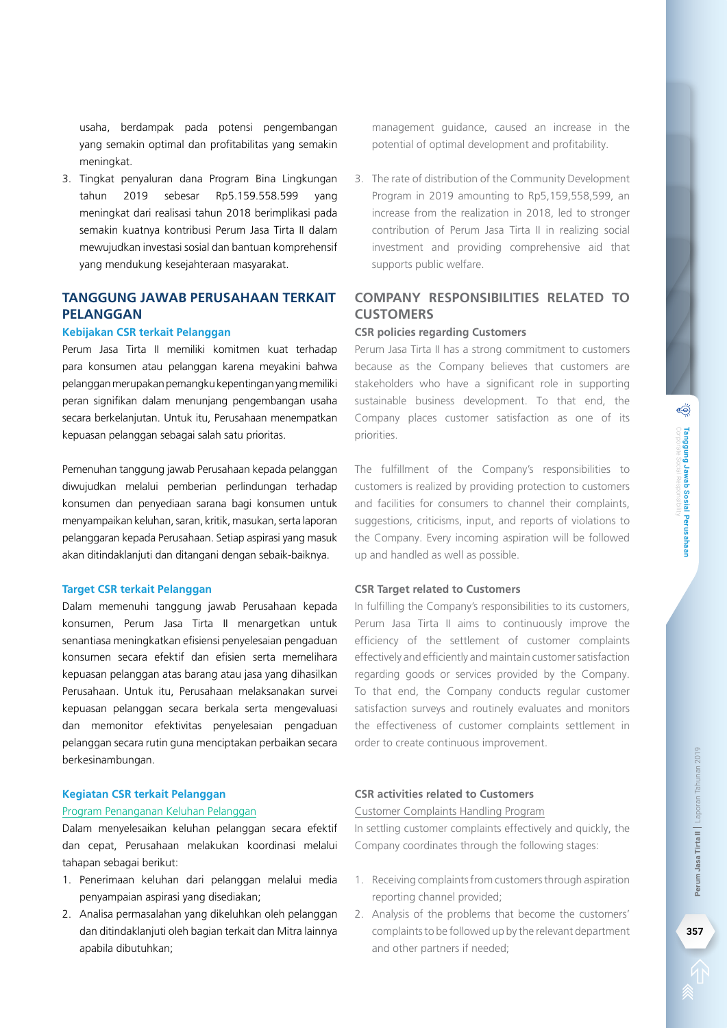3. The rate of distribution of the Community Development Program in 2019 amounting to Rp5,159,558,599, an increase from the realization in 2018, led to stronger contribution of Perum Jasa Tirta II in realizing social

## **Company Responsibilities related to Customers**

investment and providing comprehensive aid that

management guidance, caused an increase in the potential of optimal development and profitability.

#### **CSR policies regarding Customers**

supports public welfare.

Perum Jasa Tirta II has a strong commitment to customers because as the Company believes that customers are stakeholders who have a significant role in supporting sustainable business development. To that end, the Company places customer satisfaction as one of its priorities.

The fulfillment of the Company's responsibilities to customers is realized by providing protection to customers and facilities for consumers to channel their complaints, suggestions, criticisms, input, and reports of violations to the Company. Every incoming aspiration will be followed up and handled as well as possible.

#### **CSR Target related to Customers**

In fulfilling the Company's responsibilities to its customers, Perum Jasa Tirta II aims to continuously improve the efficiency of the settlement of customer complaints effectively and efficiently and maintain customer satisfaction regarding goods or services provided by the Company. To that end, the Company conducts regular customer satisfaction surveys and routinely evaluates and monitors the effectiveness of customer complaints settlement in order to create continuous improvement.

## **CSR activities related to Customers**

#### Customer Complaints Handling Program

In settling customer complaints effectively and quickly, the Company coordinates through the following stages:

- 1. Receiving complaints from customers through aspiration reporting channel provided;
- 2. Analysis of the problems that become the customers' complaints to be followed up by the relevant department and other partners if needed;

usaha, berdampak pada potensi pengembangan yang semakin optimal dan profitabilitas yang semakin meningkat.

3. Tingkat penyaluran dana Program Bina Lingkungan tahun 2019 sebesar Rp5.159.558.599 yang meningkat dari realisasi tahun 2018 berimplikasi pada semakin kuatnya kontribusi Perum Jasa Tirta II dalam mewujudkan investasi sosial dan bantuan komprehensif yang mendukung kesejahteraan masyarakat.

## **Tanggung Jawab Perusahaan terkait Pelanggan**

#### **Kebijakan CSR terkait Pelanggan**

Perum Jasa Tirta II memiliki komitmen kuat terhadap para konsumen atau pelanggan karena meyakini bahwa pelanggan merupakan pemangku kepentingan yang memiliki peran signifikan dalam menunjang pengembangan usaha secara berkelanjutan. Untuk itu, Perusahaan menempatkan kepuasan pelanggan sebagai salah satu prioritas.

Pemenuhan tanggung jawab Perusahaan kepada pelanggan diwujudkan melalui pemberian perlindungan terhadap konsumen dan penyediaan sarana bagi konsumen untuk menyampaikan keluhan, saran, kritik, masukan, serta laporan pelanggaran kepada Perusahaan. Setiap aspirasi yang masuk akan ditindaklanjuti dan ditangani dengan sebaik-baiknya.

#### **Target CSR terkait Pelanggan**

Dalam memenuhi tanggung jawab Perusahaan kepada konsumen, Perum Jasa Tirta II menargetkan untuk senantiasa meningkatkan efisiensi penyelesaian pengaduan konsumen secara efektif dan efisien serta memelihara kepuasan pelanggan atas barang atau jasa yang dihasilkan Perusahaan. Untuk itu, Perusahaan melaksanakan survei kepuasan pelanggan secara berkala serta mengevaluasi dan memonitor efektivitas penyelesaian pengaduan pelanggan secara rutin guna menciptakan perbaikan secara berkesinambungan.

#### **Kegiatan CSR terkait Pelanggan**

### Program Penanganan Keluhan Pelanggan

Dalam menyelesaikan keluhan pelanggan secara efektif dan cepat, Perusahaan melakukan koordinasi melalui tahapan sebagai berikut:

- 1. Penerimaan keluhan dari pelanggan melalui media penyampaian aspirasi yang disediakan;
- 2. Analisa permasalahan yang dikeluhkan oleh pelanggan dan ditindaklanjuti oleh bagian terkait dan Mitra lainnya apabila dibutuhkan;

**357Perum Jasa Tirta II** Laporan Tahunan 2019357

Perum Jasa Tirta II | Laporan Tahunan 2019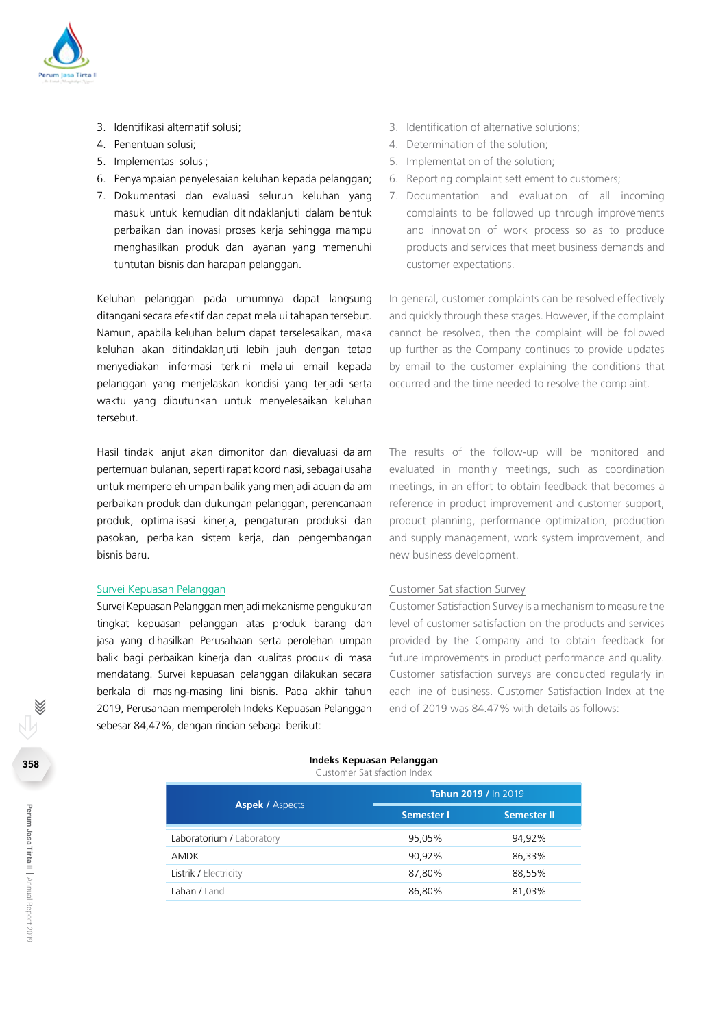

- 3. Identifikasi alternatif solusi;
- 4. Penentuan solusi;
- 5. Implementasi solusi;
- 6. Penyampaian penyelesaian keluhan kepada pelanggan;
- 7. Dokumentasi dan evaluasi seluruh keluhan yang masuk untuk kemudian ditindaklanjuti dalam bentuk perbaikan dan inovasi proses kerja sehingga mampu menghasilkan produk dan layanan yang memenuhi tuntutan bisnis dan harapan pelanggan.

Keluhan pelanggan pada umumnya dapat langsung ditangani secara efektif dan cepat melalui tahapan tersebut. Namun, apabila keluhan belum dapat terselesaikan, maka keluhan akan ditindaklanjuti lebih jauh dengan tetap menyediakan informasi terkini melalui email kepada pelanggan yang menjelaskan kondisi yang terjadi serta waktu yang dibutuhkan untuk menyelesaikan keluhan tersebut.

Hasil tindak lanjut akan dimonitor dan dievaluasi dalam pertemuan bulanan, seperti rapat koordinasi, sebagai usaha untuk memperoleh umpan balik yang menjadi acuan dalam perbaikan produk dan dukungan pelanggan, perencanaan produk, optimalisasi kinerja, pengaturan produksi dan pasokan, perbaikan sistem kerja, dan pengembangan bisnis baru.

#### Survei Kepuasan Pelanggan

Survei Kepuasan Pelanggan menjadi mekanisme pengukuran tingkat kepuasan pelanggan atas produk barang dan jasa yang dihasilkan Perusahaan serta perolehan umpan balik bagi perbaikan kinerja dan kualitas produk di masa mendatang. Survei kepuasan pelanggan dilakukan secara berkala di masing-masing lini bisnis. Pada akhir tahun 2019, Perusahaan memperoleh Indeks Kepuasan Pelanggan sebesar 84,47%, dengan rincian sebagai berikut:

- 3. Identification of alternative solutions;
- 4. Determination of the solution;
- 5. Implementation of the solution;
- 6. Reporting complaint settlement to customers;
- 7. Documentation and evaluation of all incoming complaints to be followed up through improvements and innovation of work process so as to produce products and services that meet business demands and customer expectations.

In general, customer complaints can be resolved effectively and quickly through these stages. However, if the complaint cannot be resolved, then the complaint will be followed up further as the Company continues to provide updates by email to the customer explaining the conditions that occurred and the time needed to resolve the complaint.

The results of the follow-up will be monitored and evaluated in monthly meetings, such as coordination meetings, in an effort to obtain feedback that becomes a reference in product improvement and customer support, product planning, performance optimization, production and supply management, work system improvement, and new business development.

#### Customer Satisfaction Survey

Customer Satisfaction Survey is a mechanism to measure the level of customer satisfaction on the products and services provided by the Company and to obtain feedback for future improvements in product performance and quality. Customer satisfaction surveys are conducted regularly in each line of business. Customer Satisfaction Index at the end of 2019 was 84.47% with details as follows:

#### **Indeks Kepuasan Pelanggan** Customer Satisfaction Index

|                           | Tahun 2019 / In 2019 |                    |  |  |
|---------------------------|----------------------|--------------------|--|--|
| <b>Aspek / Aspects</b>    | Semester I           | <b>Semester II</b> |  |  |
| Laboratorium / Laboratory | 95,05%               | 94.92%             |  |  |
| AMDK                      | 90.92%               | 86.33%             |  |  |
| Listrik / Electricity     | 87.80%               | 88,55%             |  |  |
| Lahan / Land              | 86,80%               | 81,03%             |  |  |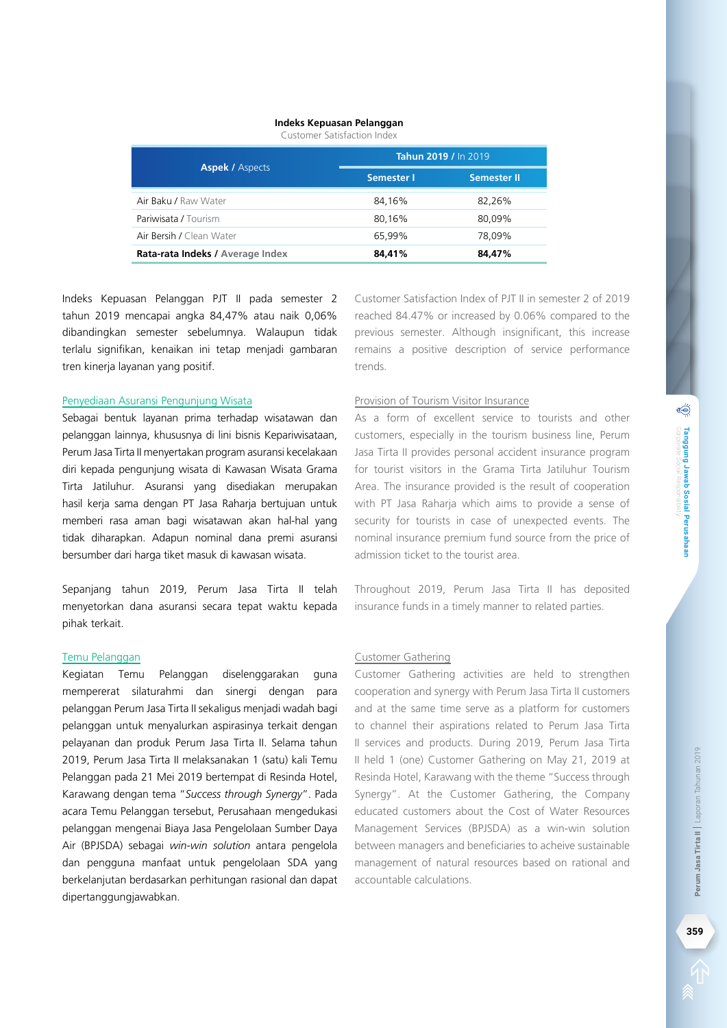#### **Indeks Kepuasan Pelanggan**

Customer Satisfaction Index

|                                  | Tahun 2019 / In 2019, |             |  |  |
|----------------------------------|-----------------------|-------------|--|--|
| <b>Aspek / Aspects</b>           | Semester I            | Semester II |  |  |
| Air Baku / Raw Water             | 84.16%                | 82.26%      |  |  |
| Pariwisata / Tourism             | 80,16%                | 80.09%      |  |  |
| Air Bersih / Clean Water         | 65.99%                | 78.09%      |  |  |
| Rata-rata Indeks / Average Index | 84,41%                | 84,47%      |  |  |

Indeks Kepuasan Pelanggan PJT II pada semester 2 tahun 2019 mencapai angka 84,47% atau naik 0,06% dibandingkan semester sebelumnya. Walaupun tidak terlalu signifikan, kenaikan ini tetap menjadi gambaran tren kinerja layanan yang positif.

#### Penyediaan Asuransi Pengunjung Wisata

Sebagai bentuk layanan prima terhadap wisatawan dan pelanggan lainnya, khususnya di lini bisnis Kepariwisataan, Perum Jasa Tirta II menyertakan program asuransi kecelakaan diri kepada pengunjung wisata di Kawasan Wisata Grama Tirta Jatiluhur. Asuransi yang disediakan merupakan hasil kerja sama dengan PT Jasa Raharja bertujuan untuk memberi rasa aman bagi wisatawan akan hal-hal yang tidak diharapkan. Adapun nominal dana premi asuransi bersumber dari harga tiket masuk di kawasan wisata.

Sepanjang tahun 2019, Perum Jasa Tirta II telah menyetorkan dana asuransi secara tepat waktu kepada pihak terkait.

#### Temu Pelanggan

Kegiatan Temu Pelanggan diselenggarakan guna mempererat silaturahmi dan sinergi dengan para pelanggan Perum Jasa Tirta II sekaligus menjadi wadah bagi pelanggan untuk menyalurkan aspirasinya terkait dengan pelayanan dan produk Perum Jasa Tirta II. Selama tahun 2019, Perum Jasa Tirta II melaksanakan 1 (satu) kali Temu Pelanggan pada 21 Mei 2019 bertempat di Resinda Hotel, Karawang dengan tema "*Success through Synergy*". Pada acara Temu Pelanggan tersebut, Perusahaan mengedukasi pelanggan mengenai Biaya Jasa Pengelolaan Sumber Daya Air (BPJSDA) sebagai *win-win solution* antara pengelola dan pengguna manfaat untuk pengelolaan SDA yang berkelanjutan berdasarkan perhitungan rasional dan dapat dipertanggungjawabkan.

Customer Satisfaction Index of PJT II in semester 2 of 2019 reached 84.47% or increased by 0.06% compared to the previous semester. Although insignificant, this increase remains a positive description of service performance trends.

#### Provision of Tourism Visitor Insurance

As a form of excellent service to tourists and other customers, especially in the tourism business line, Perum Jasa Tirta II provides personal accident insurance program for tourist visitors in the Grama Tirta Jatiluhur Tourism Area. The insurance provided is the result of cooperation with PT Jasa Raharja which aims to provide a sense of security for tourists in case of unexpected events. The nominal insurance premium fund source from the price of admission ticket to the tourist area.

Throughout 2019, Perum Jasa Tirta II has deposited insurance funds in a timely manner to related parties.

#### Customer Gathering

Customer Gathering activities are held to strengthen cooperation and synergy with Perum Jasa Tirta II customers and at the same time serve as a platform for customers to channel their aspirations related to Perum Jasa Tirta II services and products. During 2019, Perum Jasa Tirta II held 1 (one) Customer Gathering on May 21, 2019 at Resinda Hotel, Karawang with the theme "Success through Synergy". At the Customer Gathering, the Company educated customers about the Cost of Water Resources Management Services (BPJSDA) as a win-win solution between managers and beneficiaries to acheive sustainable management of natural resources based on rational and accountable calculations.